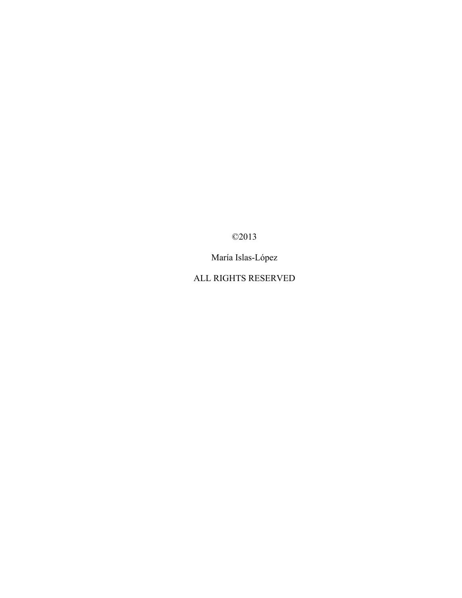©2013

María Islas-López

ALL RIGHTS RESERVED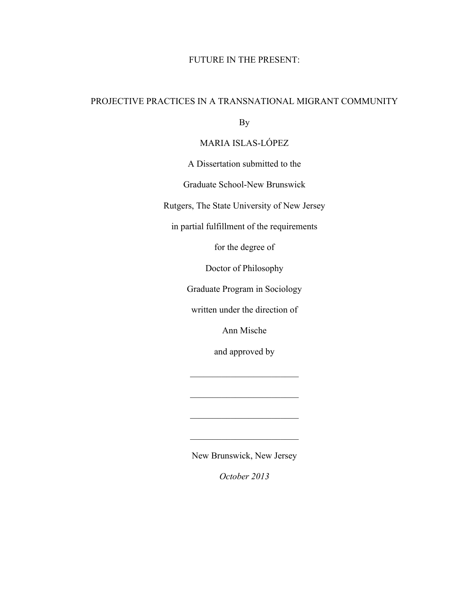## FUTURE IN THE PRESENT:

## PROJECTIVE PRACTICES IN A TRANSNATIONAL MIGRANT COMMUNITY

By

## MARIA ISLAS-LÓPEZ

A Dissertation submitted to the

Graduate School-New Brunswick

Rutgers, The State University of New Jersey

in partial fulfillment of the requirements

for the degree of

Doctor of Philosophy

Graduate Program in Sociology

written under the direction of

Ann Mische

and approved by

 $\mathcal{L}_\text{max}$  , where  $\mathcal{L}_\text{max}$  , we have the set of  $\mathcal{L}_\text{max}$ 

 $\mathcal{L}_\text{max}$  , where  $\mathcal{L}_\text{max}$  , we have the set of  $\mathcal{L}_\text{max}$ 

 $\mathcal{L}_\text{max}$ 

 $\mathcal{L}_\text{max}$  , where  $\mathcal{L}_\text{max}$  , we have the set of  $\mathcal{L}_\text{max}$ 

New Brunswick, New Jersey

*October 2013*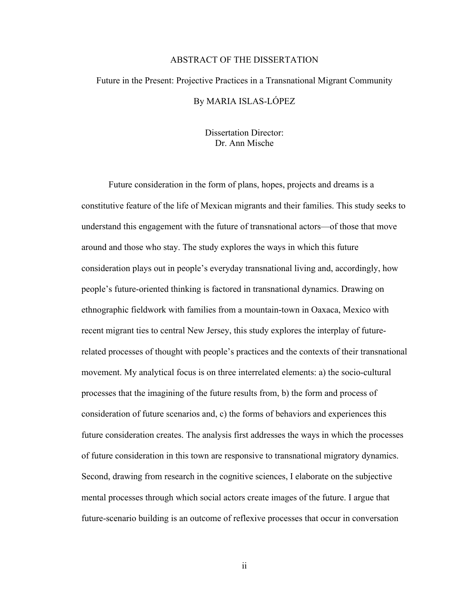#### ABSTRACT OF THE DISSERTATION

# Future in the Present: Projective Practices in a Transnational Migrant Community By MARIA ISLAS-LÓPEZ

Dissertation Director: Dr. Ann Mische

Future consideration in the form of plans, hopes, projects and dreams is a constitutive feature of the life of Mexican migrants and their families. This study seeks to understand this engagement with the future of transnational actors—of those that move around and those who stay. The study explores the ways in which this future consideration plays out in people's everyday transnational living and, accordingly, how people's future-oriented thinking is factored in transnational dynamics. Drawing on ethnographic fieldwork with families from a mountain-town in Oaxaca, Mexico with recent migrant ties to central New Jersey, this study explores the interplay of futurerelated processes of thought with people's practices and the contexts of their transnational movement. My analytical focus is on three interrelated elements: a) the socio-cultural processes that the imagining of the future results from, b) the form and process of consideration of future scenarios and, c) the forms of behaviors and experiences this future consideration creates. The analysis first addresses the ways in which the processes of future consideration in this town are responsive to transnational migratory dynamics. Second, drawing from research in the cognitive sciences, I elaborate on the subjective mental processes through which social actors create images of the future. I argue that future-scenario building is an outcome of reflexive processes that occur in conversation

ii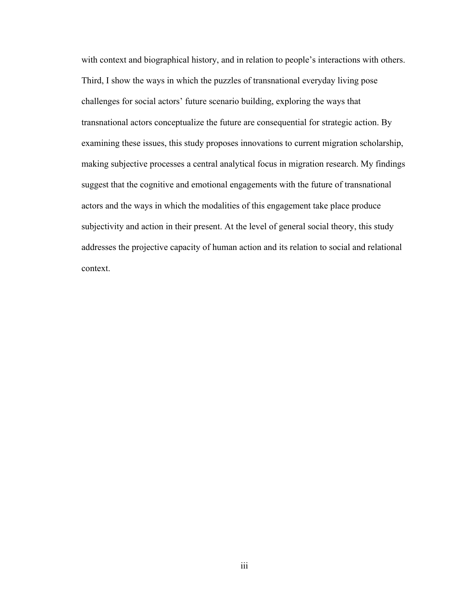with context and biographical history, and in relation to people's interactions with others. Third, I show the ways in which the puzzles of transnational everyday living pose challenges for social actors' future scenario building, exploring the ways that transnational actors conceptualize the future are consequential for strategic action. By examining these issues, this study proposes innovations to current migration scholarship, making subjective processes a central analytical focus in migration research. My findings suggest that the cognitive and emotional engagements with the future of transnational actors and the ways in which the modalities of this engagement take place produce subjectivity and action in their present. At the level of general social theory, this study addresses the projective capacity of human action and its relation to social and relational context.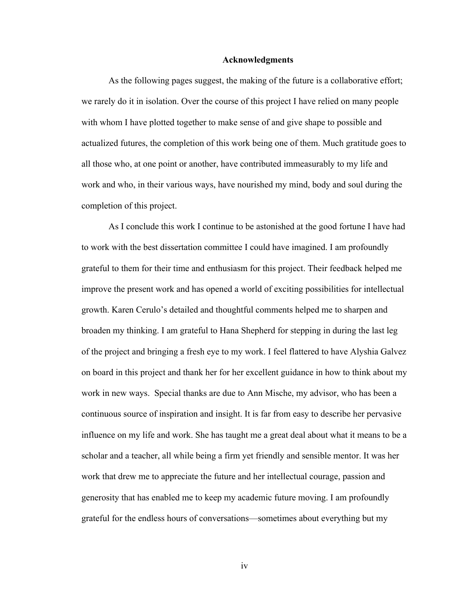#### **Acknowledgments**

As the following pages suggest, the making of the future is a collaborative effort; we rarely do it in isolation. Over the course of this project I have relied on many people with whom I have plotted together to make sense of and give shape to possible and actualized futures, the completion of this work being one of them. Much gratitude goes to all those who, at one point or another, have contributed immeasurably to my life and work and who, in their various ways, have nourished my mind, body and soul during the completion of this project.

As I conclude this work I continue to be astonished at the good fortune I have had to work with the best dissertation committee I could have imagined. I am profoundly grateful to them for their time and enthusiasm for this project. Their feedback helped me improve the present work and has opened a world of exciting possibilities for intellectual growth. Karen Cerulo's detailed and thoughtful comments helped me to sharpen and broaden my thinking. I am grateful to Hana Shepherd for stepping in during the last leg of the project and bringing a fresh eye to my work. I feel flattered to have Alyshia Galvez on board in this project and thank her for her excellent guidance in how to think about my work in new ways. Special thanks are due to Ann Mische, my advisor, who has been a continuous source of inspiration and insight. It is far from easy to describe her pervasive influence on my life and work. She has taught me a great deal about what it means to be a scholar and a teacher, all while being a firm yet friendly and sensible mentor. It was her work that drew me to appreciate the future and her intellectual courage, passion and generosity that has enabled me to keep my academic future moving. I am profoundly grateful for the endless hours of conversations—sometimes about everything but my

iv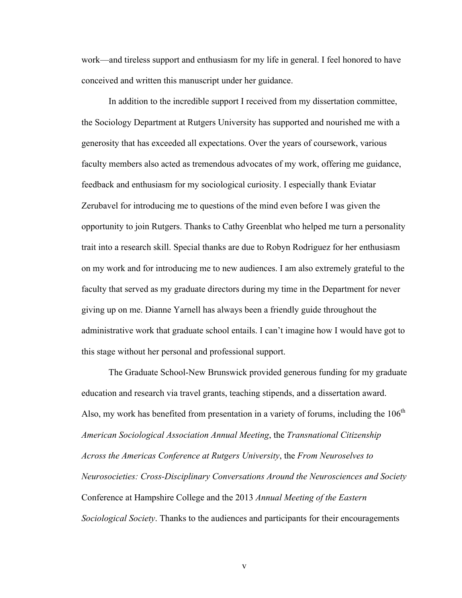work—and tireless support and enthusiasm for my life in general. I feel honored to have conceived and written this manuscript under her guidance.

In addition to the incredible support I received from my dissertation committee, the Sociology Department at Rutgers University has supported and nourished me with a generosity that has exceeded all expectations. Over the years of coursework, various faculty members also acted as tremendous advocates of my work, offering me guidance, feedback and enthusiasm for my sociological curiosity. I especially thank Eviatar Zerubavel for introducing me to questions of the mind even before I was given the opportunity to join Rutgers. Thanks to Cathy Greenblat who helped me turn a personality trait into a research skill. Special thanks are due to Robyn Rodriguez for her enthusiasm on my work and for introducing me to new audiences. I am also extremely grateful to the faculty that served as my graduate directors during my time in the Department for never giving up on me. Dianne Yarnell has always been a friendly guide throughout the administrative work that graduate school entails. I can't imagine how I would have got to this stage without her personal and professional support.

The Graduate School-New Brunswick provided generous funding for my graduate education and research via travel grants, teaching stipends, and a dissertation award. Also, my work has benefited from presentation in a variety of forums, including the  $106<sup>th</sup>$ *American Sociological Association Annual Meeting*, the *Transnational Citizenship Across the Americas Conference at Rutgers University*, the *From Neuroselves to Neurosocieties: Cross-Disciplinary Conversations Around the Neurosciences and Society* Conference at Hampshire College and the 2013 *Annual Meeting of the Eastern Sociological Society*. Thanks to the audiences and participants for their encouragements

v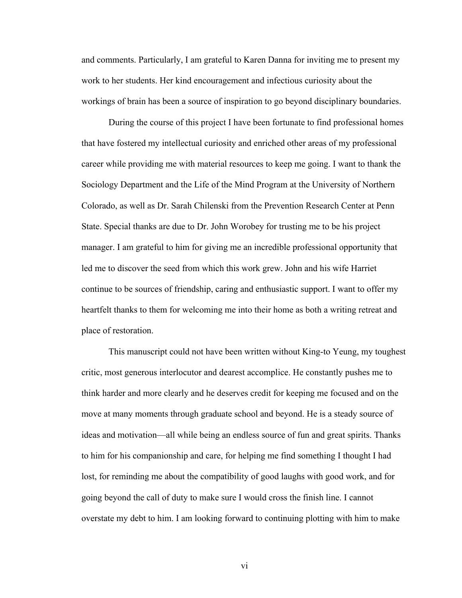and comments. Particularly, I am grateful to Karen Danna for inviting me to present my work to her students. Her kind encouragement and infectious curiosity about the workings of brain has been a source of inspiration to go beyond disciplinary boundaries.

During the course of this project I have been fortunate to find professional homes that have fostered my intellectual curiosity and enriched other areas of my professional career while providing me with material resources to keep me going. I want to thank the Sociology Department and the Life of the Mind Program at the University of Northern Colorado, as well as Dr. Sarah Chilenski from the Prevention Research Center at Penn State. Special thanks are due to Dr. John Worobey for trusting me to be his project manager. I am grateful to him for giving me an incredible professional opportunity that led me to discover the seed from which this work grew. John and his wife Harriet continue to be sources of friendship, caring and enthusiastic support. I want to offer my heartfelt thanks to them for welcoming me into their home as both a writing retreat and place of restoration.

This manuscript could not have been written without King-to Yeung, my toughest critic, most generous interlocutor and dearest accomplice. He constantly pushes me to think harder and more clearly and he deserves credit for keeping me focused and on the move at many moments through graduate school and beyond. He is a steady source of ideas and motivation—all while being an endless source of fun and great spirits. Thanks to him for his companionship and care, for helping me find something I thought I had lost, for reminding me about the compatibility of good laughs with good work, and for going beyond the call of duty to make sure I would cross the finish line. I cannot overstate my debt to him. I am looking forward to continuing plotting with him to make

vi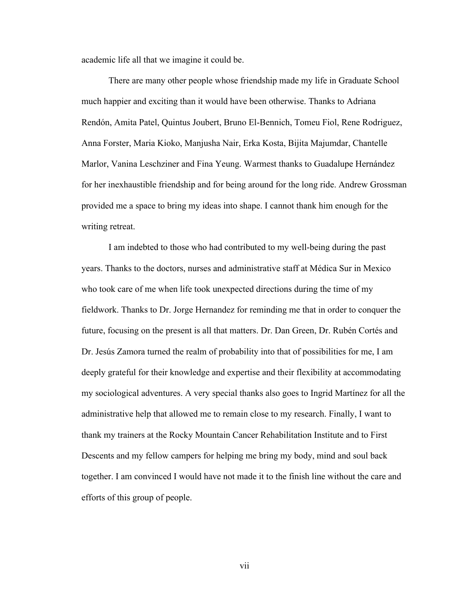academic life all that we imagine it could be.

There are many other people whose friendship made my life in Graduate School much happier and exciting than it would have been otherwise. Thanks to Adriana Rendón, Amita Patel, Quintus Joubert, Bruno El-Bennich, Tomeu Fiol, Rene Rodriguez, Anna Forster, Maria Kioko, Manjusha Nair, Erka Kosta, Bijita Majumdar, Chantelle Marlor, Vanina Leschziner and Fina Yeung. Warmest thanks to Guadalupe Hernández for her inexhaustible friendship and for being around for the long ride. Andrew Grossman provided me a space to bring my ideas into shape. I cannot thank him enough for the writing retreat.

I am indebted to those who had contributed to my well-being during the past years. Thanks to the doctors, nurses and administrative staff at Médica Sur in Mexico who took care of me when life took unexpected directions during the time of my fieldwork. Thanks to Dr. Jorge Hernandez for reminding me that in order to conquer the future, focusing on the present is all that matters. Dr. Dan Green, Dr. Rubén Cortés and Dr. Jesús Zamora turned the realm of probability into that of possibilities for me, I am deeply grateful for their knowledge and expertise and their flexibility at accommodating my sociological adventures. A very special thanks also goes to Ingrid Martínez for all the administrative help that allowed me to remain close to my research. Finally, I want to thank my trainers at the Rocky Mountain Cancer Rehabilitation Institute and to First Descents and my fellow campers for helping me bring my body, mind and soul back together. I am convinced I would have not made it to the finish line without the care and efforts of this group of people.

vii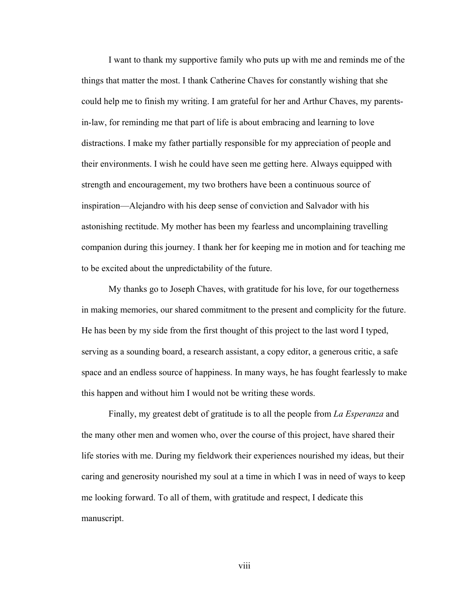I want to thank my supportive family who puts up with me and reminds me of the things that matter the most. I thank Catherine Chaves for constantly wishing that she could help me to finish my writing. I am grateful for her and Arthur Chaves, my parentsin-law, for reminding me that part of life is about embracing and learning to love distractions. I make my father partially responsible for my appreciation of people and their environments. I wish he could have seen me getting here. Always equipped with strength and encouragement, my two brothers have been a continuous source of inspiration—Alejandro with his deep sense of conviction and Salvador with his astonishing rectitude. My mother has been my fearless and uncomplaining travelling companion during this journey. I thank her for keeping me in motion and for teaching me to be excited about the unpredictability of the future.

My thanks go to Joseph Chaves, with gratitude for his love, for our togetherness in making memories, our shared commitment to the present and complicity for the future. He has been by my side from the first thought of this project to the last word I typed, serving as a sounding board, a research assistant, a copy editor, a generous critic, a safe space and an endless source of happiness. In many ways, he has fought fearlessly to make this happen and without him I would not be writing these words.

Finally, my greatest debt of gratitude is to all the people from *La Esperanza* and the many other men and women who, over the course of this project, have shared their life stories with me. During my fieldwork their experiences nourished my ideas, but their caring and generosity nourished my soul at a time in which I was in need of ways to keep me looking forward. To all of them, with gratitude and respect, I dedicate this manuscript.

viii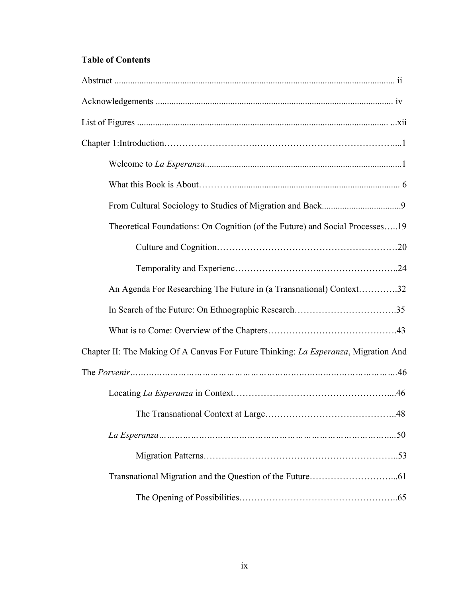# **Table of Contents**

| Theoretical Foundations: On Cognition (of the Future) and Social Processes19        |  |
|-------------------------------------------------------------------------------------|--|
|                                                                                     |  |
|                                                                                     |  |
| An Agenda For Researching The Future in (a Transnational) Context32                 |  |
|                                                                                     |  |
|                                                                                     |  |
| Chapter II: The Making Of A Canvas For Future Thinking: La Esperanza, Migration And |  |
|                                                                                     |  |
|                                                                                     |  |
|                                                                                     |  |
|                                                                                     |  |
|                                                                                     |  |
|                                                                                     |  |
|                                                                                     |  |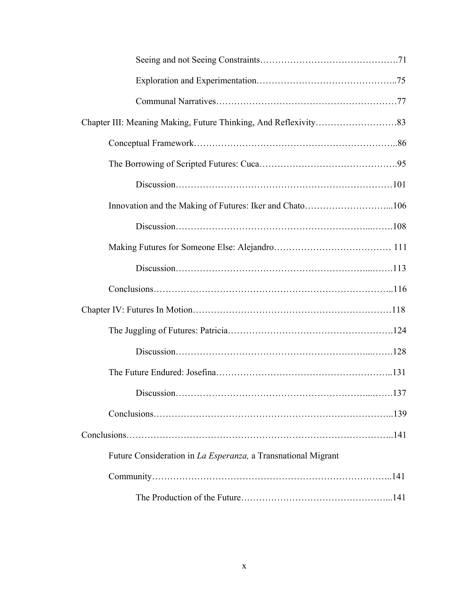| Future Consideration in La Esperanza, a Transnational Migrant |  |
|---------------------------------------------------------------|--|
|                                                               |  |
|                                                               |  |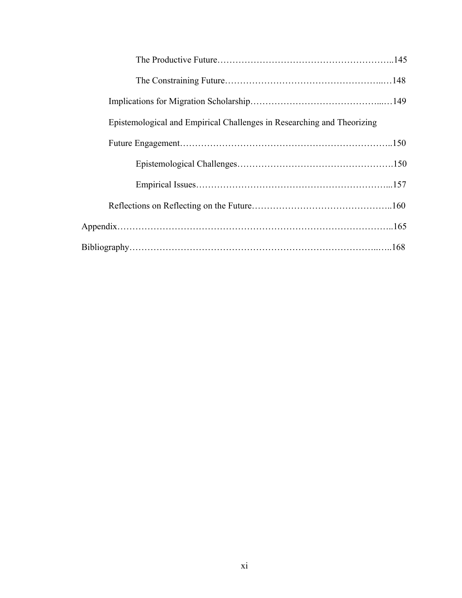| Epistemological and Empirical Challenges in Researching and Theorizing |  |
|------------------------------------------------------------------------|--|
|                                                                        |  |
|                                                                        |  |
|                                                                        |  |
|                                                                        |  |
|                                                                        |  |
|                                                                        |  |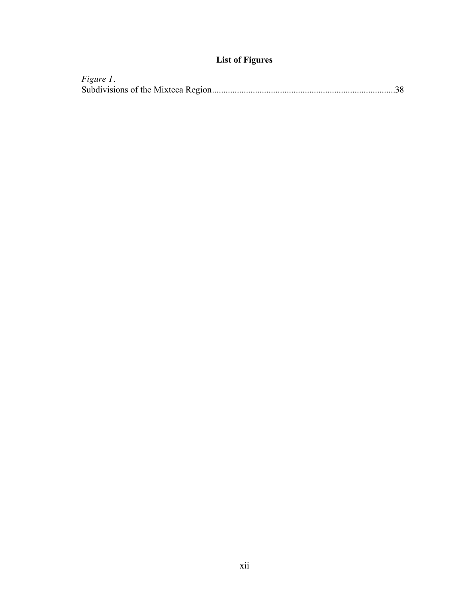# **List of Figures**

| Figure 1. |  |
|-----------|--|
|           |  |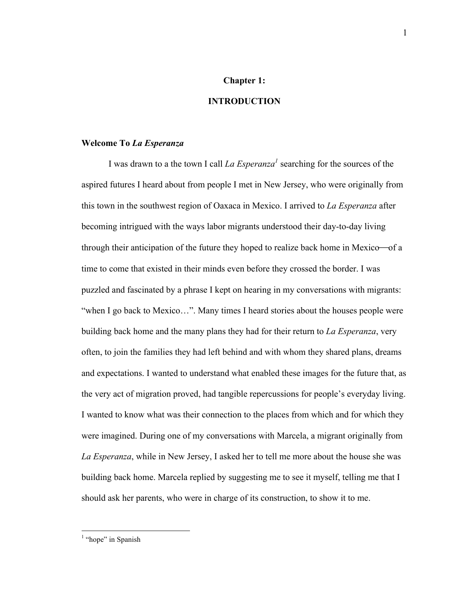#### **Chapter 1:**

#### **INTRODUCTION**

#### **Welcome To** *La Esperanza*

I was drawn to a the town I call *La Esperanza*<sup>1</sup> searching for the sources of the aspired futures I heard about from people I met in New Jersey, who were originally from this town in the southwest region of Oaxaca in Mexico. I arrived to *La Esperanza* after becoming intrigued with the ways labor migrants understood their day-to-day living through their anticipation of the future they hoped to realize back home in Mexico—of a time to come that existed in their minds even before they crossed the border. I was puzzled and fascinated by a phrase I kept on hearing in my conversations with migrants: "when I go back to Mexico…". Many times I heard stories about the houses people were building back home and the many plans they had for their return to *La Esperanza*, very often, to join the families they had left behind and with whom they shared plans, dreams and expectations. I wanted to understand what enabled these images for the future that, as the very act of migration proved, had tangible repercussions for people's everyday living. I wanted to know what was their connection to the places from which and for which they were imagined. During one of my conversations with Marcela, a migrant originally from *La Esperanza*, while in New Jersey, I asked her to tell me more about the house she was building back home. Marcela replied by suggesting me to see it myself, telling me that I should ask her parents, who were in charge of its construction, to show it to me.

<sup>1</sup> 

 $\frac{1}{1}$  $<sup>1</sup>$  "hope" in Spanish</sup>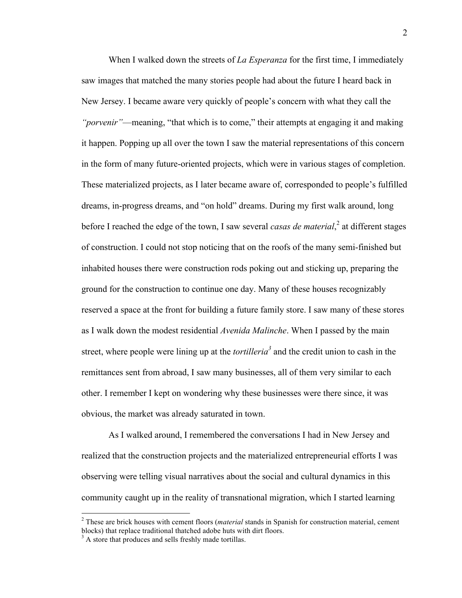When I walked down the streets of *La Esperanza* for the first time, I immediately saw images that matched the many stories people had about the future I heard back in New Jersey. I became aware very quickly of people's concern with what they call the *"porvenir"*—meaning, "that which is to come," their attempts at engaging it and making it happen. Popping up all over the town I saw the material representations of this concern in the form of many future-oriented projects, which were in various stages of completion. These materialized projects, as I later became aware of, corresponded to people's fulfilled dreams, in-progress dreams, and "on hold" dreams. During my first walk around, long before I reached the edge of the town, I saw several *casas de material*,<sup>2</sup> at different stages of construction. I could not stop noticing that on the roofs of the many semi-finished but inhabited houses there were construction rods poking out and sticking up, preparing the ground for the construction to continue one day. Many of these houses recognizably reserved a space at the front for building a future family store. I saw many of these stores as I walk down the modest residential *Avenida Malinche*. When I passed by the main street, where people were lining up at the *tortilleria<sup>3</sup>* and the credit union to cash in the remittances sent from abroad, I saw many businesses, all of them very similar to each other. I remember I kept on wondering why these businesses were there since, it was obvious, the market was already saturated in town.

As I walked around, I remembered the conversations I had in New Jersey and realized that the construction projects and the materialized entrepreneurial efforts I was observing were telling visual narratives about the social and cultural dynamics in this community caught up in the reality of transnational migration, which I started learning

 $\frac{1}{2}$  These are brick houses with cement floors (*material* stands in Spanish for construction material, cement blocks) that replace traditional thatched adobe huts with dirt floors.

<sup>&</sup>lt;sup>3</sup> A store that produces and sells freshly made tortillas.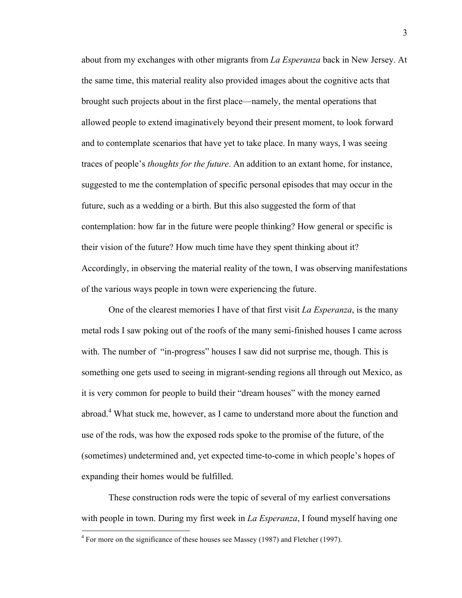about from my exchanges with other migrants from *La Esperanza* back in New Jersey. At the same time, this material reality also provided images about the cognitive acts that brought such projects about in the first place—namely, the mental operations that allowed people to extend imaginatively beyond their present moment, to look forward and to contemplate scenarios that have yet to take place. In many ways, I was seeing traces of people's *thoughts for the future*. An addition to an extant home, for instance, suggested to me the contemplation of specific personal episodes that may occur in the future, such as a wedding or a birth. But this also suggested the form of that contemplation: how far in the future were people thinking? How general or specific is their vision of the future? How much time have they spent thinking about it? Accordingly, in observing the material reality of the town, I was observing manifestations of the various ways people in town were experiencing the future.

One of the clearest memories I have of that first visit *La Esperanza*, is the many metal rods I saw poking out of the roofs of the many semi-finished houses I came across with. The number of "in-progress" houses I saw did not surprise me, though. This is something one gets used to seeing in migrant-sending regions all through out Mexico, as it is very common for people to build their "dream houses" with the money earned abroad.<sup>4</sup> What stuck me, however, as I came to understand more about the function and use of the rods, was how the exposed rods spoke to the promise of the future, of the (sometimes) undetermined and, yet expected time-to-come in which people's hopes of expanding their homes would be fulfilled.

These construction rods were the topic of several of my earliest conversations with people in town. During my first week in *La Esperanza*, I found myself having one

 $\frac{1}{4}$  $4$  For more on the significance of these houses see Massey (1987) and Fletcher (1997).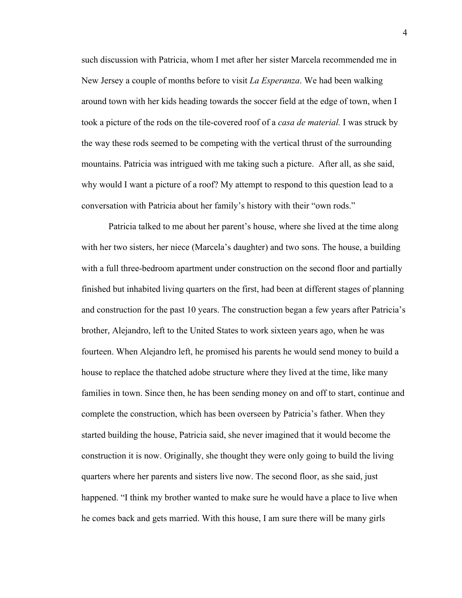such discussion with Patricia, whom I met after her sister Marcela recommended me in New Jersey a couple of months before to visit *La Esperanza*. We had been walking around town with her kids heading towards the soccer field at the edge of town, when I took a picture of the rods on the tile-covered roof of a *casa de material.* I was struck by the way these rods seemed to be competing with the vertical thrust of the surrounding mountains. Patricia was intrigued with me taking such a picture. After all, as she said, why would I want a picture of a roof? My attempt to respond to this question lead to a conversation with Patricia about her family's history with their "own rods."

Patricia talked to me about her parent's house, where she lived at the time along with her two sisters, her niece (Marcela's daughter) and two sons. The house, a building with a full three-bedroom apartment under construction on the second floor and partially finished but inhabited living quarters on the first, had been at different stages of planning and construction for the past 10 years. The construction began a few years after Patricia's brother, Alejandro, left to the United States to work sixteen years ago, when he was fourteen. When Alejandro left, he promised his parents he would send money to build a house to replace the thatched adobe structure where they lived at the time, like many families in town. Since then, he has been sending money on and off to start, continue and complete the construction, which has been overseen by Patricia's father. When they started building the house, Patricia said, she never imagined that it would become the construction it is now. Originally, she thought they were only going to build the living quarters where her parents and sisters live now. The second floor, as she said, just happened. "I think my brother wanted to make sure he would have a place to live when he comes back and gets married. With this house, I am sure there will be many girls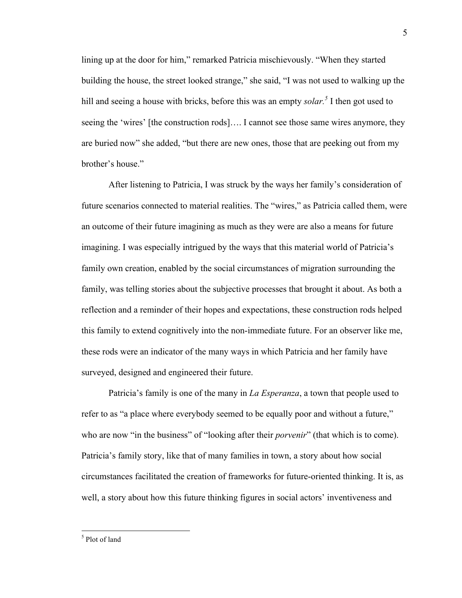lining up at the door for him," remarked Patricia mischievously. "When they started building the house, the street looked strange," she said, "I was not used to walking up the hill and seeing a house with bricks, before this was an empty *solar*.<sup>5</sup> I then got used to seeing the 'wires' [the construction rods]…. I cannot see those same wires anymore, they are buried now" she added, "but there are new ones, those that are peeking out from my brother's house."

After listening to Patricia, I was struck by the ways her family's consideration of future scenarios connected to material realities. The "wires," as Patricia called them, were an outcome of their future imagining as much as they were are also a means for future imagining. I was especially intrigued by the ways that this material world of Patricia's family own creation, enabled by the social circumstances of migration surrounding the family, was telling stories about the subjective processes that brought it about. As both a reflection and a reminder of their hopes and expectations, these construction rods helped this family to extend cognitively into the non-immediate future. For an observer like me, these rods were an indicator of the many ways in which Patricia and her family have surveyed, designed and engineered their future.

Patricia's family is one of the many in *La Esperanza*, a town that people used to refer to as "a place where everybody seemed to be equally poor and without a future," who are now "in the business" of "looking after their *porvenir*" (that which is to come). Patricia's family story, like that of many families in town, a story about how social circumstances facilitated the creation of frameworks for future-oriented thinking. It is, as well, a story about how this future thinking figures in social actors' inventiveness and

 <sup>5</sup>  $<sup>5</sup>$  Plot of land</sup>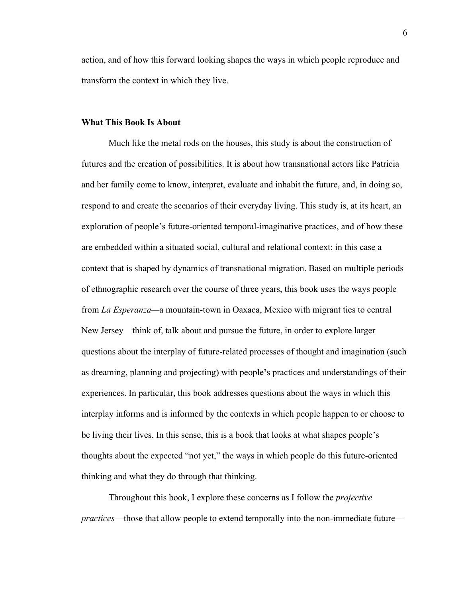action, and of how this forward looking shapes the ways in which people reproduce and transform the context in which they live.

#### **What This Book Is About**

Much like the metal rods on the houses, this study is about the construction of futures and the creation of possibilities. It is about how transnational actors like Patricia and her family come to know, interpret, evaluate and inhabit the future, and, in doing so, respond to and create the scenarios of their everyday living. This study is, at its heart, an exploration of people's future-oriented temporal-imaginative practices, and of how these are embedded within a situated social, cultural and relational context; in this case a context that is shaped by dynamics of transnational migration. Based on multiple periods of ethnographic research over the course of three years, this book uses the ways people from *La Esperanza—*a mountain-town in Oaxaca, Mexico with migrant ties to central New Jersey—think of, talk about and pursue the future, in order to explore larger questions about the interplay of future-related processes of thought and imagination (such as dreaming, planning and projecting) with people**'**s practices and understandings of their experiences. In particular, this book addresses questions about the ways in which this interplay informs and is informed by the contexts in which people happen to or choose to be living their lives. In this sense, this is a book that looks at what shapes people's thoughts about the expected "not yet," the ways in which people do this future-oriented thinking and what they do through that thinking.

Throughout this book, I explore these concerns as I follow the *projective practices*—those that allow people to extend temporally into the non-immediate future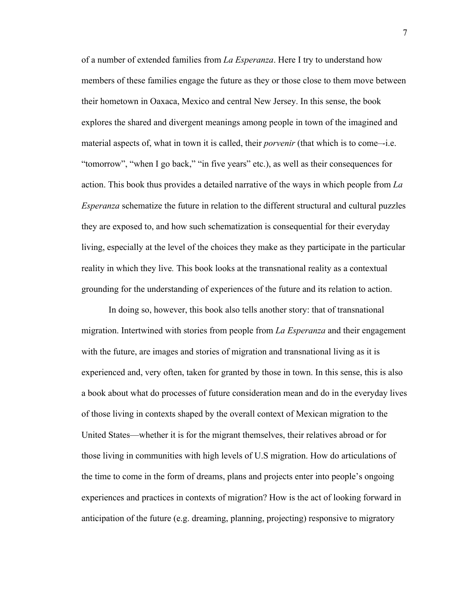of a number of extended families from *La Esperanza*. Here I try to understand how members of these families engage the future as they or those close to them move between their hometown in Oaxaca, Mexico and central New Jersey. In this sense, the book explores the shared and divergent meanings among people in town of the imagined and material aspects of, what in town it is called, their *porvenir* (that which is to come–-i.e. "tomorrow", "when I go back," "in five years" etc.), as well as their consequences for action. This book thus provides a detailed narrative of the ways in which people from *La Esperanza* schematize the future in relation to the different structural and cultural puzzles they are exposed to, and how such schematization is consequential for their everyday living, especially at the level of the choices they make as they participate in the particular reality in which they live*.* This book looks at the transnational reality as a contextual grounding for the understanding of experiences of the future and its relation to action.

In doing so, however, this book also tells another story: that of transnational migration. Intertwined with stories from people from *La Esperanza* and their engagement with the future, are images and stories of migration and transnational living as it is experienced and, very often, taken for granted by those in town. In this sense, this is also a book about what do processes of future consideration mean and do in the everyday lives of those living in contexts shaped by the overall context of Mexican migration to the United States—whether it is for the migrant themselves, their relatives abroad or for those living in communities with high levels of U.S migration. How do articulations of the time to come in the form of dreams, plans and projects enter into people's ongoing experiences and practices in contexts of migration? How is the act of looking forward in anticipation of the future (e.g. dreaming, planning, projecting) responsive to migratory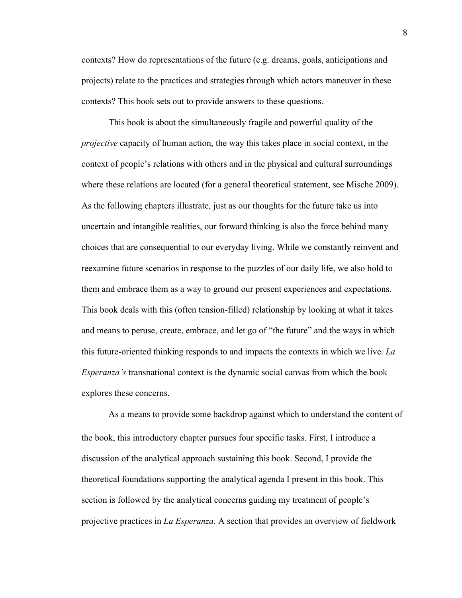contexts? How do representations of the future (e.g. dreams, goals, anticipations and projects) relate to the practices and strategies through which actors maneuver in these contexts? This book sets out to provide answers to these questions.

This book is about the simultaneously fragile and powerful quality of the *projective* capacity of human action, the way this takes place in social context, in the context of people's relations with others and in the physical and cultural surroundings where these relations are located (for a general theoretical statement, see Mische 2009). As the following chapters illustrate, just as our thoughts for the future take us into uncertain and intangible realities, our forward thinking is also the force behind many choices that are consequential to our everyday living. While we constantly reinvent and reexamine future scenarios in response to the puzzles of our daily life, we also hold to them and embrace them as a way to ground our present experiences and expectations. This book deals with this (often tension-filled) relationship by looking at what it takes and means to peruse, create, embrace, and let go of "the future" and the ways in which this future-oriented thinking responds to and impacts the contexts in which we live. *La Esperanza's* transnational context is the dynamic social canvas from which the book explores these concerns.

As a means to provide some backdrop against which to understand the content of the book, this introductory chapter pursues four specific tasks. First, I introduce a discussion of the analytical approach sustaining this book. Second, I provide the theoretical foundations supporting the analytical agenda I present in this book. This section is followed by the analytical concerns guiding my treatment of people's projective practices in *La Esperanza.* A section that provides an overview of fieldwork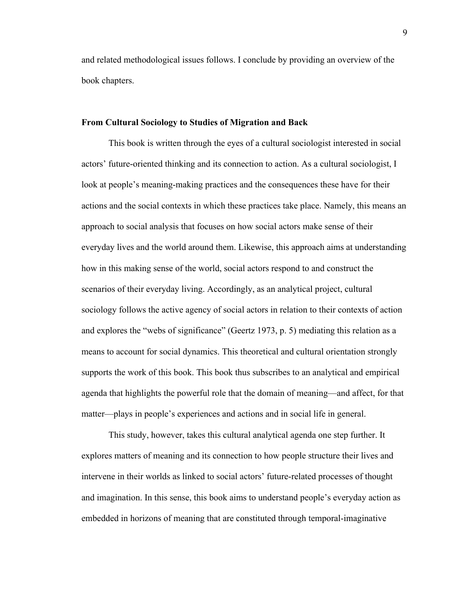and related methodological issues follows. I conclude by providing an overview of the book chapters.

#### **From Cultural Sociology to Studies of Migration and Back**

This book is written through the eyes of a cultural sociologist interested in social actors' future-oriented thinking and its connection to action. As a cultural sociologist, I look at people's meaning-making practices and the consequences these have for their actions and the social contexts in which these practices take place. Namely, this means an approach to social analysis that focuses on how social actors make sense of their everyday lives and the world around them. Likewise, this approach aims at understanding how in this making sense of the world, social actors respond to and construct the scenarios of their everyday living. Accordingly, as an analytical project, cultural sociology follows the active agency of social actors in relation to their contexts of action and explores the "webs of significance" (Geertz 1973, p. 5) mediating this relation as a means to account for social dynamics. This theoretical and cultural orientation strongly supports the work of this book. This book thus subscribes to an analytical and empirical agenda that highlights the powerful role that the domain of meaning—and affect, for that matter—plays in people's experiences and actions and in social life in general.

This study, however, takes this cultural analytical agenda one step further. It explores matters of meaning and its connection to how people structure their lives and intervene in their worlds as linked to social actors' future-related processes of thought and imagination. In this sense, this book aims to understand people's everyday action as embedded in horizons of meaning that are constituted through temporal-imaginative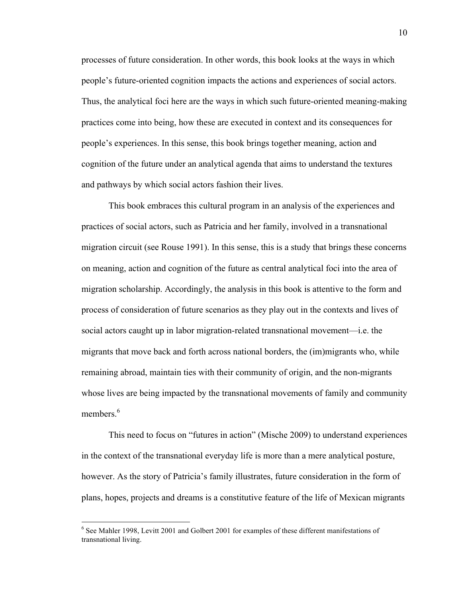processes of future consideration. In other words, this book looks at the ways in which people's future-oriented cognition impacts the actions and experiences of social actors. Thus, the analytical foci here are the ways in which such future-oriented meaning-making practices come into being, how these are executed in context and its consequences for people's experiences. In this sense, this book brings together meaning, action and cognition of the future under an analytical agenda that aims to understand the textures and pathways by which social actors fashion their lives.

This book embraces this cultural program in an analysis of the experiences and practices of social actors, such as Patricia and her family, involved in a transnational migration circuit (see Rouse 1991). In this sense, this is a study that brings these concerns on meaning, action and cognition of the future as central analytical foci into the area of migration scholarship. Accordingly, the analysis in this book is attentive to the form and process of consideration of future scenarios as they play out in the contexts and lives of social actors caught up in labor migration-related transnational movement—i.e. the migrants that move back and forth across national borders, the (im)migrants who, while remaining abroad, maintain ties with their community of origin, and the non-migrants whose lives are being impacted by the transnational movements of family and community members $6$ 

This need to focus on "futures in action" (Mische 2009) to understand experiences in the context of the transnational everyday life is more than a mere analytical posture, however. As the story of Patricia's family illustrates, future consideration in the form of plans, hopes, projects and dreams is a constitutive feature of the life of Mexican migrants

 <sup>6</sup> See Mahler 1998, Levitt 2001 and Golbert 2001 for examples of these different manifestations of transnational living.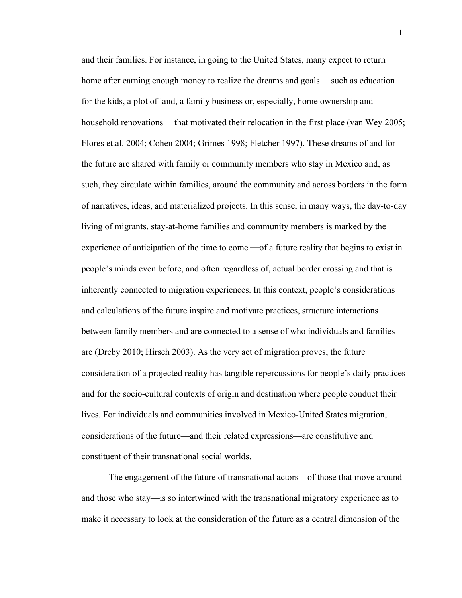and their families. For instance, in going to the United States, many expect to return home after earning enough money to realize the dreams and goals —such as education for the kids, a plot of land, a family business or, especially, home ownership and household renovations— that motivated their relocation in the first place (van Wey 2005; Flores et.al. 2004; Cohen 2004; Grimes 1998; Fletcher 1997). These dreams of and for the future are shared with family or community members who stay in Mexico and, as such, they circulate within families, around the community and across borders in the form of narratives, ideas, and materialized projects. In this sense, in many ways, the day-to-day living of migrants, stay-at-home families and community members is marked by the experience of anticipation of the time to come  $\sim$  of a future reality that begins to exist in people's minds even before, and often regardless of, actual border crossing and that is inherently connected to migration experiences. In this context, people's considerations and calculations of the future inspire and motivate practices, structure interactions between family members and are connected to a sense of who individuals and families are (Dreby 2010; Hirsch 2003). As the very act of migration proves, the future consideration of a projected reality has tangible repercussions for people's daily practices and for the socio-cultural contexts of origin and destination where people conduct their lives. For individuals and communities involved in Mexico-United States migration, considerations of the future—and their related expressions—are constitutive and constituent of their transnational social worlds.

The engagement of the future of transnational actors—of those that move around and those who stay—is so intertwined with the transnational migratory experience as to make it necessary to look at the consideration of the future as a central dimension of the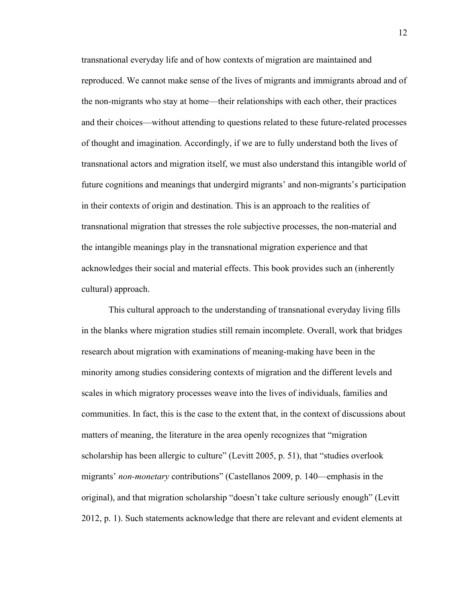transnational everyday life and of how contexts of migration are maintained and reproduced. We cannot make sense of the lives of migrants and immigrants abroad and of the non-migrants who stay at home—their relationships with each other, their practices and their choices—without attending to questions related to these future-related processes of thought and imagination. Accordingly, if we are to fully understand both the lives of transnational actors and migration itself, we must also understand this intangible world of future cognitions and meanings that undergird migrants' and non-migrants's participation in their contexts of origin and destination. This is an approach to the realities of transnational migration that stresses the role subjective processes, the non-material and the intangible meanings play in the transnational migration experience and that acknowledges their social and material effects. This book provides such an (inherently cultural) approach.

This cultural approach to the understanding of transnational everyday living fills in the blanks where migration studies still remain incomplete. Overall, work that bridges research about migration with examinations of meaning-making have been in the minority among studies considering contexts of migration and the different levels and scales in which migratory processes weave into the lives of individuals, families and communities. In fact, this is the case to the extent that, in the context of discussions about matters of meaning, the literature in the area openly recognizes that "migration scholarship has been allergic to culture" (Levitt 2005, p. 51), that "studies overlook migrants' *non-monetary* contributions" (Castellanos 2009, p. 140—emphasis in the original), and that migration scholarship "doesn't take culture seriously enough" (Levitt 2012, p. 1). Such statements acknowledge that there are relevant and evident elements at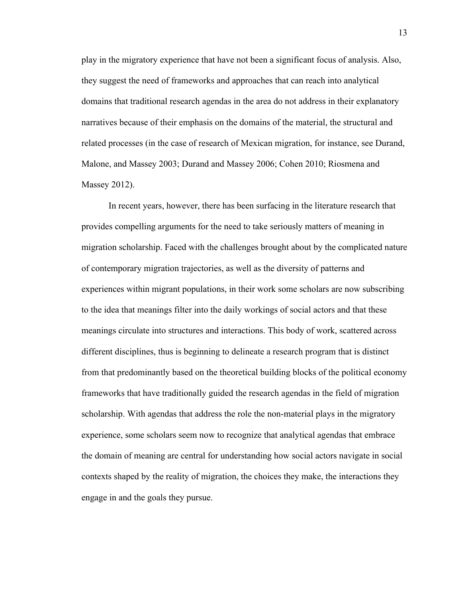play in the migratory experience that have not been a significant focus of analysis. Also, they suggest the need of frameworks and approaches that can reach into analytical domains that traditional research agendas in the area do not address in their explanatory narratives because of their emphasis on the domains of the material, the structural and related processes (in the case of research of Mexican migration, for instance, see Durand, Malone, and Massey 2003; Durand and Massey 2006; Cohen 2010; Riosmena and Massey 2012).

In recent years, however, there has been surfacing in the literature research that provides compelling arguments for the need to take seriously matters of meaning in migration scholarship. Faced with the challenges brought about by the complicated nature of contemporary migration trajectories, as well as the diversity of patterns and experiences within migrant populations, in their work some scholars are now subscribing to the idea that meanings filter into the daily workings of social actors and that these meanings circulate into structures and interactions. This body of work, scattered across different disciplines, thus is beginning to delineate a research program that is distinct from that predominantly based on the theoretical building blocks of the political economy frameworks that have traditionally guided the research agendas in the field of migration scholarship. With agendas that address the role the non-material plays in the migratory experience, some scholars seem now to recognize that analytical agendas that embrace the domain of meaning are central for understanding how social actors navigate in social contexts shaped by the reality of migration, the choices they make, the interactions they engage in and the goals they pursue.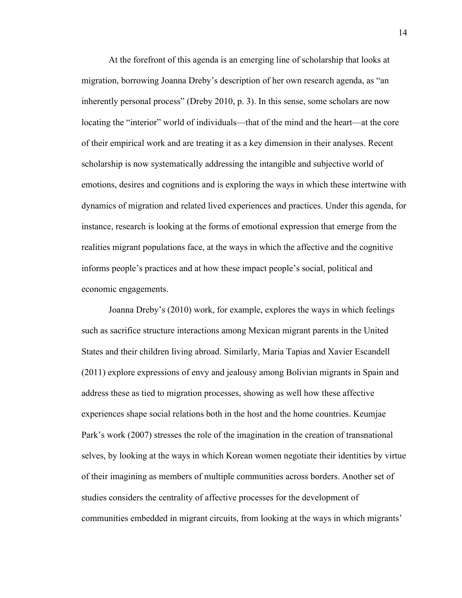At the forefront of this agenda is an emerging line of scholarship that looks at migration, borrowing Joanna Dreby's description of her own research agenda, as "an inherently personal process" (Dreby 2010, p. 3). In this sense, some scholars are now locating the "interior" world of individuals—that of the mind and the heart—at the core of their empirical work and are treating it as a key dimension in their analyses. Recent scholarship is now systematically addressing the intangible and subjective world of emotions, desires and cognitions and is exploring the ways in which these intertwine with dynamics of migration and related lived experiences and practices. Under this agenda, for instance, research is looking at the forms of emotional expression that emerge from the realities migrant populations face, at the ways in which the affective and the cognitive informs people's practices and at how these impact people's social, political and economic engagements.

Joanna Dreby's (2010) work, for example, explores the ways in which feelings such as sacrifice structure interactions among Mexican migrant parents in the United States and their children living abroad. Similarly, Maria Tapias and Xavier Escandell (2011) explore expressions of envy and jealousy among Bolivian migrants in Spain and address these as tied to migration processes, showing as well how these affective experiences shape social relations both in the host and the home countries. Keumjae Park's work (2007) stresses the role of the imagination in the creation of transnational selves, by looking at the ways in which Korean women negotiate their identities by virtue of their imagining as members of multiple communities across borders. Another set of studies considers the centrality of affective processes for the development of communities embedded in migrant circuits, from looking at the ways in which migrants'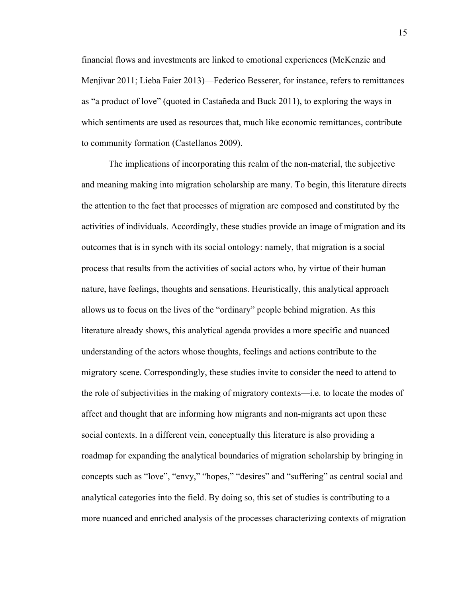financial flows and investments are linked to emotional experiences (McKenzie and Menjivar 2011; Lieba Faier 2013)—Federico Besserer, for instance, refers to remittances as "a product of love" (quoted in Castañeda and Buck 2011), to exploring the ways in which sentiments are used as resources that, much like economic remittances, contribute to community formation (Castellanos 2009).

The implications of incorporating this realm of the non-material, the subjective and meaning making into migration scholarship are many. To begin, this literature directs the attention to the fact that processes of migration are composed and constituted by the activities of individuals. Accordingly, these studies provide an image of migration and its outcomes that is in synch with its social ontology: namely, that migration is a social process that results from the activities of social actors who, by virtue of their human nature, have feelings, thoughts and sensations. Heuristically, this analytical approach allows us to focus on the lives of the "ordinary" people behind migration. As this literature already shows, this analytical agenda provides a more specific and nuanced understanding of the actors whose thoughts, feelings and actions contribute to the migratory scene. Correspondingly, these studies invite to consider the need to attend to the role of subjectivities in the making of migratory contexts—i.e. to locate the modes of affect and thought that are informing how migrants and non-migrants act upon these social contexts. In a different vein, conceptually this literature is also providing a roadmap for expanding the analytical boundaries of migration scholarship by bringing in concepts such as "love", "envy," "hopes," "desires" and "suffering" as central social and analytical categories into the field. By doing so, this set of studies is contributing to a more nuanced and enriched analysis of the processes characterizing contexts of migration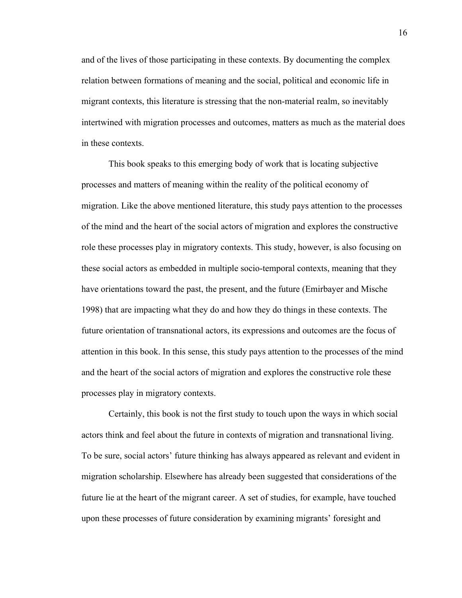and of the lives of those participating in these contexts. By documenting the complex relation between formations of meaning and the social, political and economic life in migrant contexts, this literature is stressing that the non-material realm, so inevitably intertwined with migration processes and outcomes, matters as much as the material does in these contexts.

This book speaks to this emerging body of work that is locating subjective processes and matters of meaning within the reality of the political economy of migration. Like the above mentioned literature, this study pays attention to the processes of the mind and the heart of the social actors of migration and explores the constructive role these processes play in migratory contexts. This study, however, is also focusing on these social actors as embedded in multiple socio-temporal contexts, meaning that they have orientations toward the past, the present, and the future (Emirbayer and Mische 1998) that are impacting what they do and how they do things in these contexts. The future orientation of transnational actors, its expressions and outcomes are the focus of attention in this book. In this sense, this study pays attention to the processes of the mind and the heart of the social actors of migration and explores the constructive role these processes play in migratory contexts.

Certainly, this book is not the first study to touch upon the ways in which social actors think and feel about the future in contexts of migration and transnational living. To be sure, social actors' future thinking has always appeared as relevant and evident in migration scholarship. Elsewhere has already been suggested that considerations of the future lie at the heart of the migrant career. A set of studies, for example, have touched upon these processes of future consideration by examining migrants' foresight and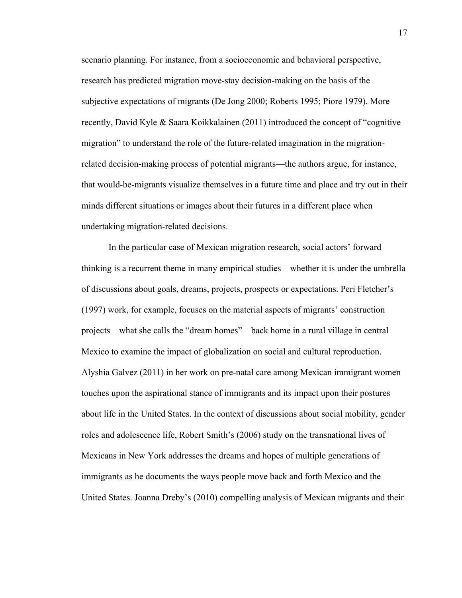scenario planning. For instance, from a socioeconomic and behavioral perspective, research has predicted migration move-stay decision-making on the basis of the subjective expectations of migrants (De Jong 2000; Roberts 1995; Piore 1979). More recently, David Kyle & Saara Koikkalainen (2011) introduced the concept of "cognitive migration" to understand the role of the future-related imagination in the migrationrelated decision-making process of potential migrants—the authors argue, for instance, that would-be-migrants visualize themselves in a future time and place and try out in their minds different situations or images about their futures in a different place when undertaking migration-related decisions.

In the particular case of Mexican migration research, social actors' forward thinking is a recurrent theme in many empirical studies—whether it is under the umbrella of discussions about goals, dreams, projects, prospects or expectations. Peri Fletcher's (1997) work, for example, focuses on the material aspects of migrants' construction projects—what she calls the "dream homes"—back home in a rural village in central Mexico to examine the impact of globalization on social and cultural reproduction. Alyshia Galvez (2011) in her work on pre-natal care among Mexican immigrant women touches upon the aspirational stance of immigrants and its impact upon their postures about life in the United States. In the context of discussions about social mobility, gender roles and adolescence life, Robert Smith's (2006) study on the transnational lives of Mexicans in New York addresses the dreams and hopes of multiple generations of immigrants as he documents the ways people move back and forth Mexico and the United States. Joanna Dreby's (2010) compelling analysis of Mexican migrants and their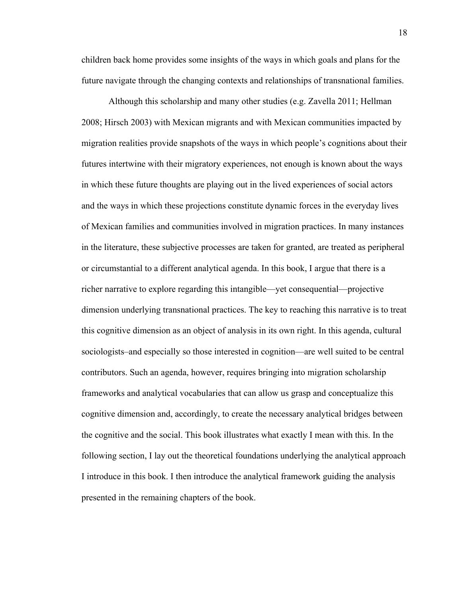children back home provides some insights of the ways in which goals and plans for the future navigate through the changing contexts and relationships of transnational families.

Although this scholarship and many other studies (e.g. Zavella 2011; Hellman 2008; Hirsch 2003) with Mexican migrants and with Mexican communities impacted by migration realities provide snapshots of the ways in which people's cognitions about their futures intertwine with their migratory experiences, not enough is known about the ways in which these future thoughts are playing out in the lived experiences of social actors and the ways in which these projections constitute dynamic forces in the everyday lives of Mexican families and communities involved in migration practices. In many instances in the literature, these subjective processes are taken for granted, are treated as peripheral or circumstantial to a different analytical agenda. In this book, I argue that there is a richer narrative to explore regarding this intangible—yet consequential—projective dimension underlying transnational practices. The key to reaching this narrative is to treat this cognitive dimension as an object of analysis in its own right. In this agenda, cultural sociologists–and especially so those interested in cognition—are well suited to be central contributors. Such an agenda, however, requires bringing into migration scholarship frameworks and analytical vocabularies that can allow us grasp and conceptualize this cognitive dimension and, accordingly, to create the necessary analytical bridges between the cognitive and the social. This book illustrates what exactly I mean with this. In the following section, I lay out the theoretical foundations underlying the analytical approach I introduce in this book. I then introduce the analytical framework guiding the analysis presented in the remaining chapters of the book.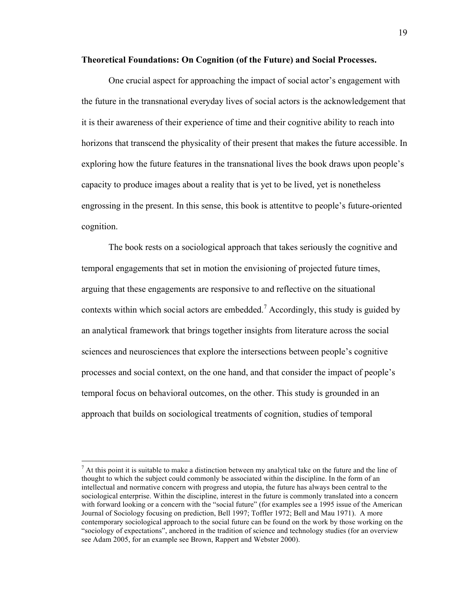#### **Theoretical Foundations: On Cognition (of the Future) and Social Processes.**

One crucial aspect for approaching the impact of social actor's engagement with the future in the transnational everyday lives of social actors is the acknowledgement that it is their awareness of their experience of time and their cognitive ability to reach into horizons that transcend the physicality of their present that makes the future accessible. In exploring how the future features in the transnational lives the book draws upon people's capacity to produce images about a reality that is yet to be lived, yet is nonetheless engrossing in the present. In this sense, this book is attentitve to people's future-oriented cognition.

The book rests on a sociological approach that takes seriously the cognitive and temporal engagements that set in motion the envisioning of projected future times, arguing that these engagements are responsive to and reflective on the situational contexts within which social actors are embedded.<sup>7</sup> Accordingly, this study is guided by an analytical framework that brings together insights from literature across the social sciences and neurosciences that explore the intersections between people's cognitive processes and social context, on the one hand, and that consider the impact of people's temporal focus on behavioral outcomes, on the other. This study is grounded in an approach that builds on sociological treatments of cognition, studies of temporal

<sup>-&</sup>lt;br>7  $<sup>7</sup>$  At this point it is suitable to make a distinction between my analytical take on the future and the line of</sup> thought to which the subject could commonly be associated within the discipline. In the form of an intellectual and normative concern with progress and utopia, the future has always been central to the sociological enterprise. Within the discipline, interest in the future is commonly translated into a concern with forward looking or a concern with the "social future" (for examples see a 1995 issue of the American Journal of Sociology focusing on prediction, Bell 1997; Toffler 1972; Bell and Mau 1971). A more contemporary sociological approach to the social future can be found on the work by those working on the "sociology of expectations", anchored in the tradition of science and technology studies (for an overview see Adam 2005, for an example see Brown, Rappert and Webster 2000).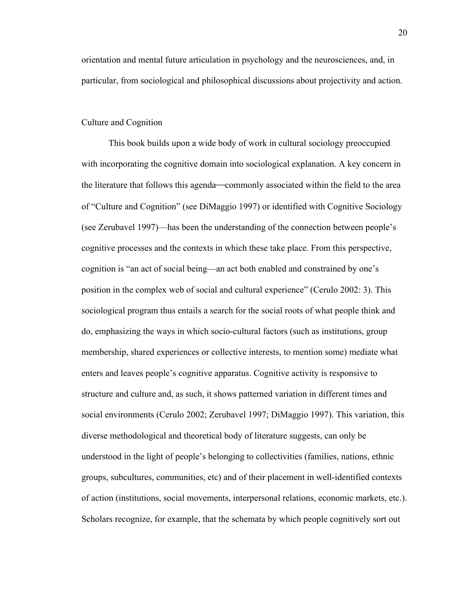orientation and mental future articulation in psychology and the neurosciences, and, in particular, from sociological and philosophical discussions about projectivity and action.

#### Culture and Cognition

This book builds upon a wide body of work in cultural sociology preoccupied with incorporating the cognitive domain into sociological explanation. A key concern in the literature that follows this agenda—commonly associated within the field to the area of "Culture and Cognition" (see DiMaggio 1997) or identified with Cognitive Sociology (see Zerubavel 1997)—has been the understanding of the connection between people's cognitive processes and the contexts in which these take place. From this perspective, cognition is "an act of social being—an act both enabled and constrained by one's position in the complex web of social and cultural experience" (Cerulo 2002: 3). This sociological program thus entails a search for the social roots of what people think and do, emphasizing the ways in which socio-cultural factors (such as institutions, group membership, shared experiences or collective interests, to mention some) mediate what enters and leaves people's cognitive apparatus. Cognitive activity is responsive to structure and culture and, as such, it shows patterned variation in different times and social environments (Cerulo 2002; Zerubavel 1997; DiMaggio 1997). This variation, this diverse methodological and theoretical body of literature suggests, can only be understood in the light of people's belonging to collectivities (families, nations, ethnic groups, subcultures, communities, etc) and of their placement in well-identified contexts of action (institutions, social movements, interpersonal relations, economic markets, etc.). Scholars recognize, for example, that the schemata by which people cognitively sort out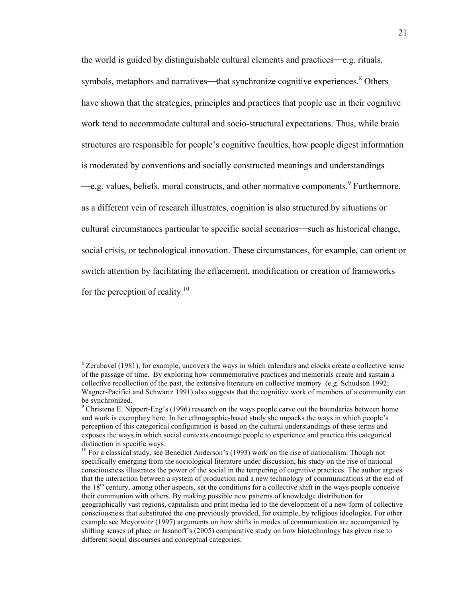the world is guided by distinguishable cultural elements and practices—e.g. rituals, symbols, metaphors and narratives—that synchronize cognitive experiences.<sup>8</sup> Others have shown that the strategies, principles and practices that people use in their cognitive work tend to accommodate cultural and socio-structural expectations. Thus, while brain structures are responsible for people's cognitive faculties, how people digest information is moderated by conventions and socially constructed meanings and understandings -e.g. values, beliefs, moral constructs, and other normative components.<sup>9</sup> Furthermore, as a different vein of research illustrates, cognition is also structured by situations or cultural circumstances particular to specific social scenarios—such as historical change, social crisis, or technological innovation. These circumstances, for example, can orient or switch attention by facilitating the effacement, modification or creation of frameworks for the perception of reality. $10$ 

 <sup>8</sup>  $8$  Zerubavel (1981), for example, uncovers the ways in which calendars and clocks create a collective sense of the passage of time. By exploring how commemorative practices and memorials create and sustain a collective recollection of the past, the extensive literature on collective memory (e.g. Schudson 1992; Wagner-Pacifici and Schwartz 1991) also suggests that the cognitive work of members of a community can be synchronized.

 $9^9$  Christena E. Nippert-Eng's (1996) research on the ways people carve out the boundaries between home and work is exemplary here. In her ethnographic-based study she unpacks the ways in which people's perception of this categorical configuration is based on the cultural understandings of these terms and exposes the ways in which social contexts encourage people to experience and practice this categorical distinction in specific ways.

<sup>&</sup>lt;sup>10</sup> For a classical study, see Benedict Anderson's (1993) work on the rise of nationalism. Though not specifically emerging from the sociological literature under discussion, his study on the rise of national consciousness illustrates the power of the social in the tempering of cognitive practices. The author argues that the interaction between a system of production and a new technology of communications at the end of the  $18<sup>th</sup>$  century, among other aspects, set the conditions for a collective shift in the ways people conceive their communion with others. By making possible new patterns of knowledge distribution for geographically vast regions, capitalism and print media led to the development of a new form of collective consciousness that substituted the one previously provided, for example, by religious ideologies. For other example see Meyorwitz (1997) arguments on how shifts in modes of communication are accompanied by shifting senses of place or Jasanoff's (2005) comparative study on how biotechnology has given rise to different social discourses and conceptual categories.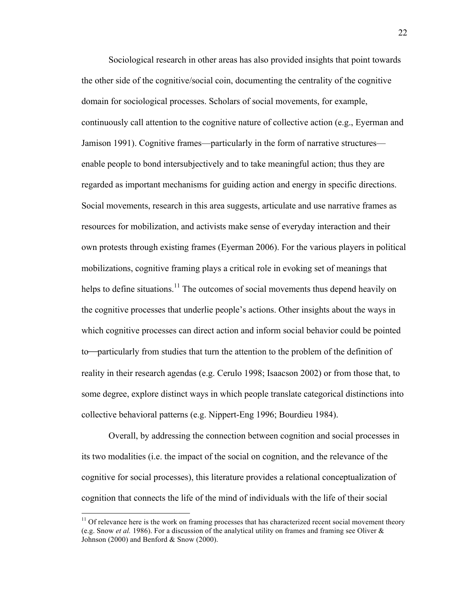Sociological research in other areas has also provided insights that point towards the other side of the cognitive/social coin, documenting the centrality of the cognitive domain for sociological processes. Scholars of social movements, for example, continuously call attention to the cognitive nature of collective action (e.g., Eyerman and Jamison 1991). Cognitive frames—particularly in the form of narrative structures enable people to bond intersubjectively and to take meaningful action; thus they are regarded as important mechanisms for guiding action and energy in specific directions. Social movements, research in this area suggests, articulate and use narrative frames as resources for mobilization, and activists make sense of everyday interaction and their own protests through existing frames (Eyerman 2006). For the various players in political mobilizations, cognitive framing plays a critical role in evoking set of meanings that helps to define situations.<sup>11</sup> The outcomes of social movements thus depend heavily on the cognitive processes that underlie people's actions. Other insights about the ways in which cognitive processes can direct action and inform social behavior could be pointed to—particularly from studies that turn the attention to the problem of the definition of reality in their research agendas (e.g. Cerulo 1998; Isaacson 2002) or from those that, to some degree, explore distinct ways in which people translate categorical distinctions into collective behavioral patterns (e.g. Nippert-Eng 1996; Bourdieu 1984).

Overall, by addressing the connection between cognition and social processes in its two modalities (i.e. the impact of the social on cognition, and the relevance of the cognitive for social processes), this literature provides a relational conceptualization of cognition that connects the life of the mind of individuals with the life of their social

 $11$  Of relevance here is the work on framing processes that has characterized recent social movement theory (e.g. Snow *et al.* 1986). For a discussion of the analytical utility on frames and framing see Oliver & Johnson (2000) and Benford  $&$  Snow (2000).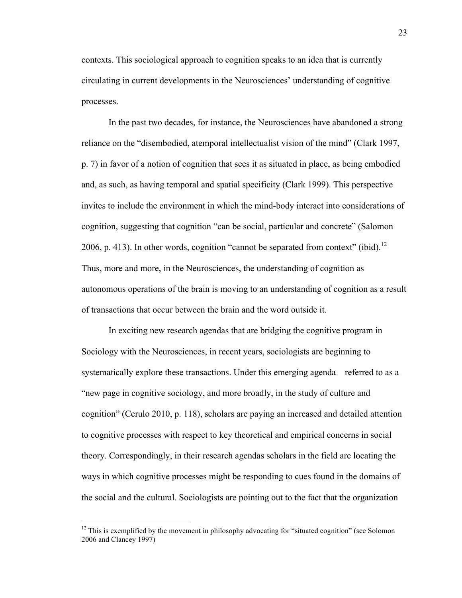contexts. This sociological approach to cognition speaks to an idea that is currently circulating in current developments in the Neurosciences' understanding of cognitive processes.

In the past two decades, for instance, the Neurosciences have abandoned a strong reliance on the "disembodied, atemporal intellectualist vision of the mind" (Clark 1997, p. 7) in favor of a notion of cognition that sees it as situated in place, as being embodied and, as such, as having temporal and spatial specificity (Clark 1999). This perspective invites to include the environment in which the mind-body interact into considerations of cognition, suggesting that cognition "can be social, particular and concrete" (Salomon 2006, p. 413). In other words, cognition "cannot be separated from context" (ibid).<sup>12</sup> Thus, more and more, in the Neurosciences, the understanding of cognition as autonomous operations of the brain is moving to an understanding of cognition as a result of transactions that occur between the brain and the word outside it.

In exciting new research agendas that are bridging the cognitive program in Sociology with the Neurosciences, in recent years, sociologists are beginning to systematically explore these transactions. Under this emerging agenda—referred to as a "new page in cognitive sociology, and more broadly, in the study of culture and cognition" (Cerulo 2010, p. 118), scholars are paying an increased and detailed attention to cognitive processes with respect to key theoretical and empirical concerns in social theory. Correspondingly, in their research agendas scholars in the field are locating the ways in which cognitive processes might be responding to cues found in the domains of the social and the cultural. Sociologists are pointing out to the fact that the organization

 $12$  This is exemplified by the movement in philosophy advocating for "situated cognition" (see Solomon 2006 and Clancey 1997)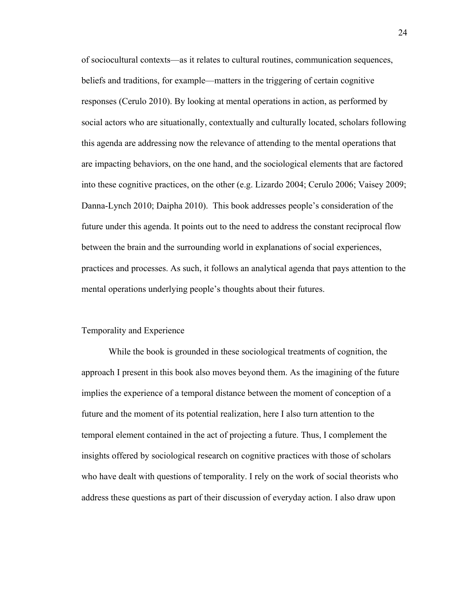of sociocultural contexts—as it relates to cultural routines, communication sequences, beliefs and traditions, for example—matters in the triggering of certain cognitive responses (Cerulo 2010). By looking at mental operations in action, as performed by social actors who are situationally, contextually and culturally located, scholars following this agenda are addressing now the relevance of attending to the mental operations that are impacting behaviors, on the one hand, and the sociological elements that are factored into these cognitive practices, on the other (e.g. Lizardo 2004; Cerulo 2006; Vaisey 2009; Danna-Lynch 2010; Daipha 2010). This book addresses people's consideration of the future under this agenda. It points out to the need to address the constant reciprocal flow between the brain and the surrounding world in explanations of social experiences, practices and processes. As such, it follows an analytical agenda that pays attention to the mental operations underlying people's thoughts about their futures.

### Temporality and Experience

While the book is grounded in these sociological treatments of cognition, the approach I present in this book also moves beyond them. As the imagining of the future implies the experience of a temporal distance between the moment of conception of a future and the moment of its potential realization, here I also turn attention to the temporal element contained in the act of projecting a future. Thus, I complement the insights offered by sociological research on cognitive practices with those of scholars who have dealt with questions of temporality. I rely on the work of social theorists who address these questions as part of their discussion of everyday action. I also draw upon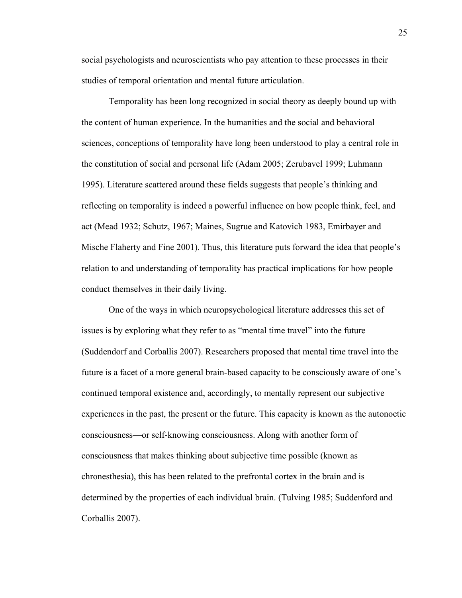social psychologists and neuroscientists who pay attention to these processes in their studies of temporal orientation and mental future articulation.

Temporality has been long recognized in social theory as deeply bound up with the content of human experience. In the humanities and the social and behavioral sciences, conceptions of temporality have long been understood to play a central role in the constitution of social and personal life (Adam 2005; Zerubavel 1999; Luhmann 1995). Literature scattered around these fields suggests that people's thinking and reflecting on temporality is indeed a powerful influence on how people think, feel, and act (Mead 1932; Schutz, 1967; Maines, Sugrue and Katovich 1983, Emirbayer and Mische Flaherty and Fine 2001). Thus, this literature puts forward the idea that people's relation to and understanding of temporality has practical implications for how people conduct themselves in their daily living.

One of the ways in which neuropsychological literature addresses this set of issues is by exploring what they refer to as "mental time travel" into the future (Suddendorf and Corballis 2007). Researchers proposed that mental time travel into the future is a facet of a more general brain-based capacity to be consciously aware of one's continued temporal existence and, accordingly, to mentally represent our subjective experiences in the past, the present or the future. This capacity is known as the autonoetic consciousness—or self-knowing consciousness. Along with another form of consciousness that makes thinking about subjective time possible (known as chronesthesia), this has been related to the prefrontal cortex in the brain and is determined by the properties of each individual brain. (Tulving 1985; Suddenford and Corballis 2007).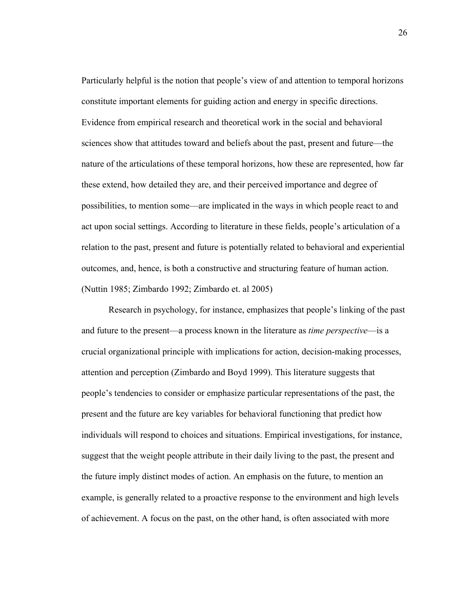Particularly helpful is the notion that people's view of and attention to temporal horizons constitute important elements for guiding action and energy in specific directions. Evidence from empirical research and theoretical work in the social and behavioral sciences show that attitudes toward and beliefs about the past, present and future—the nature of the articulations of these temporal horizons, how these are represented, how far these extend, how detailed they are, and their perceived importance and degree of possibilities, to mention some—are implicated in the ways in which people react to and act upon social settings. According to literature in these fields, people's articulation of a relation to the past, present and future is potentially related to behavioral and experiential outcomes, and, hence, is both a constructive and structuring feature of human action. (Nuttin 1985; Zimbardo 1992; Zimbardo et. al 2005)

Research in psychology, for instance, emphasizes that people's linking of the past and future to the present—a process known in the literature as *time perspective*—is a crucial organizational principle with implications for action, decision-making processes, attention and perception (Zimbardo and Boyd 1999). This literature suggests that people's tendencies to consider or emphasize particular representations of the past, the present and the future are key variables for behavioral functioning that predict how individuals will respond to choices and situations. Empirical investigations, for instance, suggest that the weight people attribute in their daily living to the past, the present and the future imply distinct modes of action. An emphasis on the future, to mention an example, is generally related to a proactive response to the environment and high levels of achievement. A focus on the past, on the other hand, is often associated with more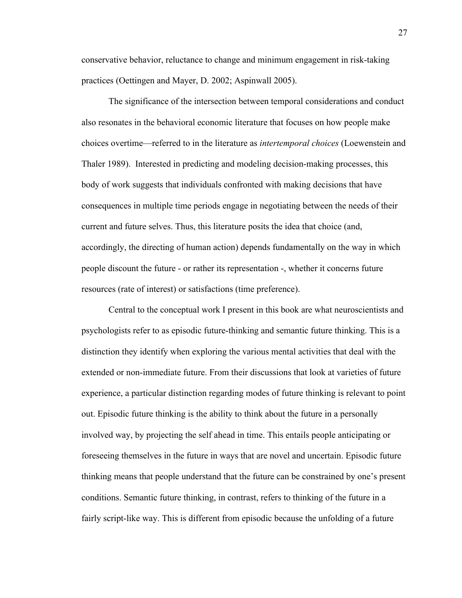conservative behavior, reluctance to change and minimum engagement in risk-taking practices (Oettingen and Mayer, D. 2002; Aspinwall 2005).

The significance of the intersection between temporal considerations and conduct also resonates in the behavioral economic literature that focuses on how people make choices overtime—referred to in the literature as *intertemporal choices* (Loewenstein and Thaler 1989). Interested in predicting and modeling decision-making processes, this body of work suggests that individuals confronted with making decisions that have consequences in multiple time periods engage in negotiating between the needs of their current and future selves. Thus, this literature posits the idea that choice (and, accordingly, the directing of human action) depends fundamentally on the way in which people discount the future - or rather its representation -, whether it concerns future resources (rate of interest) or satisfactions (time preference).

Central to the conceptual work I present in this book are what neuroscientists and psychologists refer to as episodic future-thinking and semantic future thinking. This is a distinction they identify when exploring the various mental activities that deal with the extended or non-immediate future. From their discussions that look at varieties of future experience, a particular distinction regarding modes of future thinking is relevant to point out. Episodic future thinking is the ability to think about the future in a personally involved way, by projecting the self ahead in time. This entails people anticipating or foreseeing themselves in the future in ways that are novel and uncertain. Episodic future thinking means that people understand that the future can be constrained by one's present conditions. Semantic future thinking, in contrast, refers to thinking of the future in a fairly script-like way. This is different from episodic because the unfolding of a future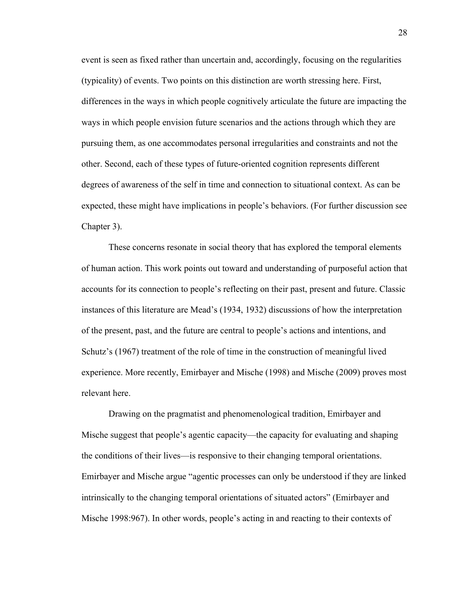event is seen as fixed rather than uncertain and, accordingly, focusing on the regularities (typicality) of events. Two points on this distinction are worth stressing here. First, differences in the ways in which people cognitively articulate the future are impacting the ways in which people envision future scenarios and the actions through which they are pursuing them, as one accommodates personal irregularities and constraints and not the other. Second, each of these types of future-oriented cognition represents different degrees of awareness of the self in time and connection to situational context. As can be expected, these might have implications in people's behaviors. (For further discussion see Chapter 3).

These concerns resonate in social theory that has explored the temporal elements of human action. This work points out toward and understanding of purposeful action that accounts for its connection to people's reflecting on their past, present and future. Classic instances of this literature are Mead's (1934, 1932) discussions of how the interpretation of the present, past, and the future are central to people's actions and intentions, and Schutz's (1967) treatment of the role of time in the construction of meaningful lived experience. More recently, Emirbayer and Mische (1998) and Mische (2009) proves most relevant here.

Drawing on the pragmatist and phenomenological tradition, Emirbayer and Mische suggest that people's agentic capacity—the capacity for evaluating and shaping the conditions of their lives—is responsive to their changing temporal orientations. Emirbayer and Mische argue "agentic processes can only be understood if they are linked intrinsically to the changing temporal orientations of situated actors" (Emirbayer and Mische 1998:967). In other words, people's acting in and reacting to their contexts of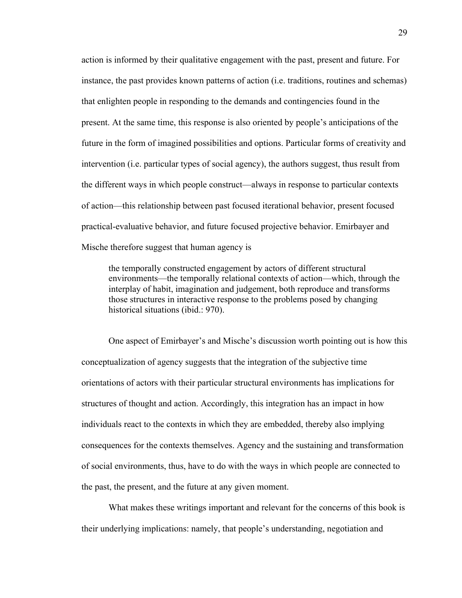action is informed by their qualitative engagement with the past, present and future. For instance, the past provides known patterns of action (i.e. traditions, routines and schemas) that enlighten people in responding to the demands and contingencies found in the present. At the same time, this response is also oriented by people's anticipations of the future in the form of imagined possibilities and options. Particular forms of creativity and intervention (i.e. particular types of social agency), the authors suggest, thus result from the different ways in which people construct—always in response to particular contexts of action—this relationship between past focused iterational behavior, present focused practical-evaluative behavior, and future focused projective behavior. Emirbayer and Mische therefore suggest that human agency is

the temporally constructed engagement by actors of different structural environments—the temporally relational contexts of action—which, through the interplay of habit, imagination and judgement, both reproduce and transforms those structures in interactive response to the problems posed by changing historical situations (ibid.: 970).

One aspect of Emirbayer's and Mische's discussion worth pointing out is how this conceptualization of agency suggests that the integration of the subjective time orientations of actors with their particular structural environments has implications for structures of thought and action. Accordingly, this integration has an impact in how individuals react to the contexts in which they are embedded, thereby also implying consequences for the contexts themselves. Agency and the sustaining and transformation of social environments, thus, have to do with the ways in which people are connected to the past, the present, and the future at any given moment.

What makes these writings important and relevant for the concerns of this book is their underlying implications: namely, that people's understanding, negotiation and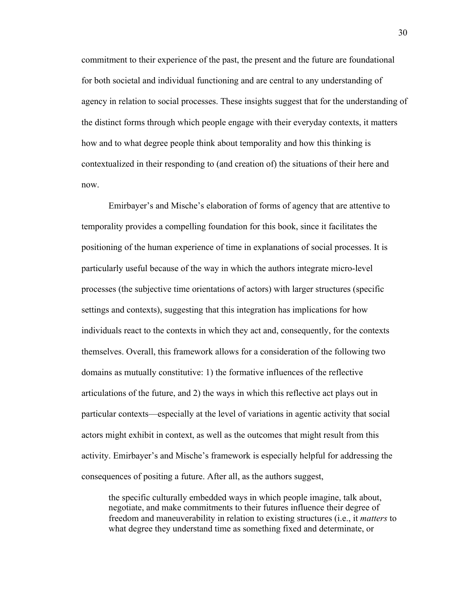commitment to their experience of the past, the present and the future are foundational for both societal and individual functioning and are central to any understanding of agency in relation to social processes. These insights suggest that for the understanding of the distinct forms through which people engage with their everyday contexts, it matters how and to what degree people think about temporality and how this thinking is contextualized in their responding to (and creation of) the situations of their here and now.

Emirbayer's and Mische's elaboration of forms of agency that are attentive to temporality provides a compelling foundation for this book, since it facilitates the positioning of the human experience of time in explanations of social processes. It is particularly useful because of the way in which the authors integrate micro-level processes (the subjective time orientations of actors) with larger structures (specific settings and contexts), suggesting that this integration has implications for how individuals react to the contexts in which they act and, consequently, for the contexts themselves. Overall, this framework allows for a consideration of the following two domains as mutually constitutive: 1) the formative influences of the reflective articulations of the future, and 2) the ways in which this reflective act plays out in particular contexts—especially at the level of variations in agentic activity that social actors might exhibit in context, as well as the outcomes that might result from this activity. Emirbayer's and Mische's framework is especially helpful for addressing the consequences of positing a future. After all, as the authors suggest,

the specific culturally embedded ways in which people imagine, talk about, negotiate, and make commitments to their futures influence their degree of freedom and maneuverability in relation to existing structures (i.e., it *matters* to what degree they understand time as something fixed and determinate, or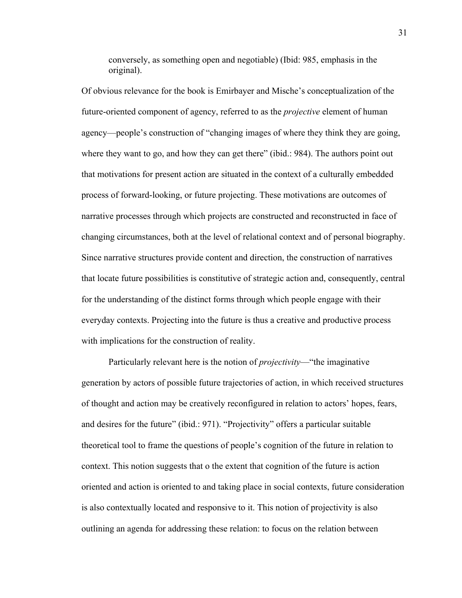conversely, as something open and negotiable) (Ibid: 985, emphasis in the original).

Of obvious relevance for the book is Emirbayer and Mische's conceptualization of the future-oriented component of agency, referred to as the *projective* element of human agency—people's construction of "changing images of where they think they are going, where they want to go, and how they can get there" (ibid.: 984). The authors point out that motivations for present action are situated in the context of a culturally embedded process of forward-looking, or future projecting. These motivations are outcomes of narrative processes through which projects are constructed and reconstructed in face of changing circumstances, both at the level of relational context and of personal biography. Since narrative structures provide content and direction, the construction of narratives that locate future possibilities is constitutive of strategic action and, consequently, central for the understanding of the distinct forms through which people engage with their everyday contexts. Projecting into the future is thus a creative and productive process with implications for the construction of reality.

Particularly relevant here is the notion of *projectivity*—"the imaginative generation by actors of possible future trajectories of action, in which received structures of thought and action may be creatively reconfigured in relation to actors' hopes, fears, and desires for the future" (ibid.: 971). "Projectivity" offers a particular suitable theoretical tool to frame the questions of people's cognition of the future in relation to context. This notion suggests that o the extent that cognition of the future is action oriented and action is oriented to and taking place in social contexts, future consideration is also contextually located and responsive to it. This notion of projectivity is also outlining an agenda for addressing these relation: to focus on the relation between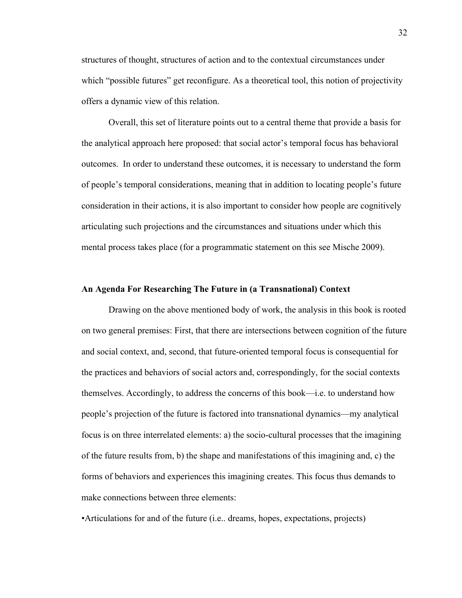structures of thought, structures of action and to the contextual circumstances under which "possible futures" get reconfigure. As a theoretical tool, this notion of projectivity offers a dynamic view of this relation.

Overall, this set of literature points out to a central theme that provide a basis for the analytical approach here proposed: that social actor's temporal focus has behavioral outcomes. In order to understand these outcomes, it is necessary to understand the form of people's temporal considerations, meaning that in addition to locating people's future consideration in their actions, it is also important to consider how people are cognitively articulating such projections and the circumstances and situations under which this mental process takes place (for a programmatic statement on this see Mische 2009).

# **An Agenda For Researching The Future in (a Transnational) Context**

Drawing on the above mentioned body of work, the analysis in this book is rooted on two general premises: First, that there are intersections between cognition of the future and social context, and, second, that future-oriented temporal focus is consequential for the practices and behaviors of social actors and, correspondingly, for the social contexts themselves. Accordingly, to address the concerns of this book—i.e. to understand how people's projection of the future is factored into transnational dynamics—my analytical focus is on three interrelated elements: a) the socio-cultural processes that the imagining of the future results from, b) the shape and manifestations of this imagining and, c) the forms of behaviors and experiences this imagining creates. This focus thus demands to make connections between three elements:

•Articulations for and of the future (i.e.. dreams, hopes, expectations, projects)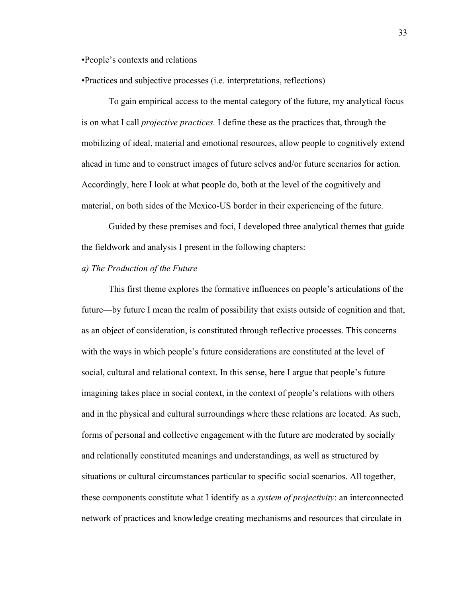•People's contexts and relations

•Practices and subjective processes (i.e. interpretations, reflections)

To gain empirical access to the mental category of the future, my analytical focus is on what I call *projective practices.* I define these as the practices that, through the mobilizing of ideal, material and emotional resources, allow people to cognitively extend ahead in time and to construct images of future selves and/or future scenarios for action. Accordingly, here I look at what people do, both at the level of the cognitively and material, on both sides of the Mexico-US border in their experiencing of the future.

Guided by these premises and foci, I developed three analytical themes that guide the fieldwork and analysis I present in the following chapters:

## *a) The Production of the Future*

This first theme explores the formative influences on people's articulations of the future—by future I mean the realm of possibility that exists outside of cognition and that, as an object of consideration, is constituted through reflective processes. This concerns with the ways in which people's future considerations are constituted at the level of social, cultural and relational context. In this sense, here I argue that people's future imagining takes place in social context, in the context of people's relations with others and in the physical and cultural surroundings where these relations are located. As such, forms of personal and collective engagement with the future are moderated by socially and relationally constituted meanings and understandings, as well as structured by situations or cultural circumstances particular to specific social scenarios. All together, these components constitute what I identify as a *system of projectivity*: an interconnected network of practices and knowledge creating mechanisms and resources that circulate in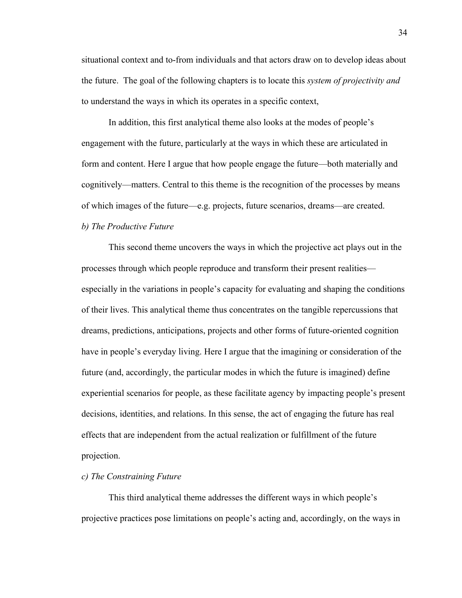situational context and to-from individuals and that actors draw on to develop ideas about the future. The goal of the following chapters is to locate this *system of projectivity and*  to understand the ways in which its operates in a specific context,

In addition, this first analytical theme also looks at the modes of people's engagement with the future, particularly at the ways in which these are articulated in form and content. Here I argue that how people engage the future—both materially and cognitively—matters. Central to this theme is the recognition of the processes by means of which images of the future—e.g. projects, future scenarios, dreams—are created.

*b) The Productive Future* 

This second theme uncovers the ways in which the projective act plays out in the processes through which people reproduce and transform their present realities especially in the variations in people's capacity for evaluating and shaping the conditions of their lives. This analytical theme thus concentrates on the tangible repercussions that dreams, predictions, anticipations, projects and other forms of future-oriented cognition have in people's everyday living. Here I argue that the imagining or consideration of the future (and, accordingly, the particular modes in which the future is imagined) define experiential scenarios for people, as these facilitate agency by impacting people's present decisions, identities, and relations. In this sense, the act of engaging the future has real effects that are independent from the actual realization or fulfillment of the future projection.

## *c) The Constraining Future*

This third analytical theme addresses the different ways in which people's projective practices pose limitations on people's acting and, accordingly, on the ways in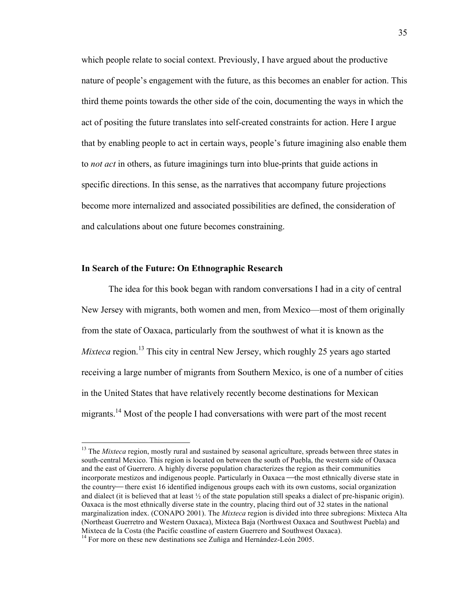which people relate to social context. Previously, I have argued about the productive nature of people's engagement with the future, as this becomes an enabler for action. This third theme points towards the other side of the coin, documenting the ways in which the act of positing the future translates into self-created constraints for action. Here I argue that by enabling people to act in certain ways, people's future imagining also enable them to *not act* in others, as future imaginings turn into blue-prints that guide actions in specific directions. In this sense, as the narratives that accompany future projections become more internalized and associated possibilities are defined, the consideration of and calculations about one future becomes constraining.

## **In Search of the Future: On Ethnographic Research**

The idea for this book began with random conversations I had in a city of central New Jersey with migrants, both women and men, from Mexico—most of them originally from the state of Oaxaca, particularly from the southwest of what it is known as the *Mixteca* region.<sup>13</sup> This city in central New Jersey, which roughly 25 years ago started receiving a large number of migrants from Southern Mexico, is one of a number of cities in the United States that have relatively recently become destinations for Mexican migrants.<sup>14</sup> Most of the people I had conversations with were part of the most recent

<sup>&</sup>lt;sup>13</sup> The *Mixteca* region, mostly rural and sustained by seasonal agriculture, spreads between three states in south-central Mexico. This region is located on between the south of Puebla, the western side of Oaxaca and the east of Guerrero. A highly diverse population characterizes the region as their communities incorporate mestizos and indigenous people. Particularly in Oaxaca—the most ethnically diverse state in the country— there exist 16 identified indigenous groups each with its own customs, social organization and dialect (it is believed that at least  $\frac{1}{2}$  of the state population still speaks a dialect of pre-hispanic origin). Oaxaca is the most ethnically diverse state in the country, placing third out of 32 states in the national marginalization index. (CONAPO 2001). The *Mixteca* region is divided into three subregions: Mixteca Alta (Northeast Guerretro and Western Oaxaca), Mixteca Baja (Northwest Oaxaca and Southwest Puebla) and Mixteca de la Costa (the Pacific coastline of eastern Guerrero and Southwest Oaxaca).

 $14$  For more on these new destinations see Zuñiga and Hernández-León 2005.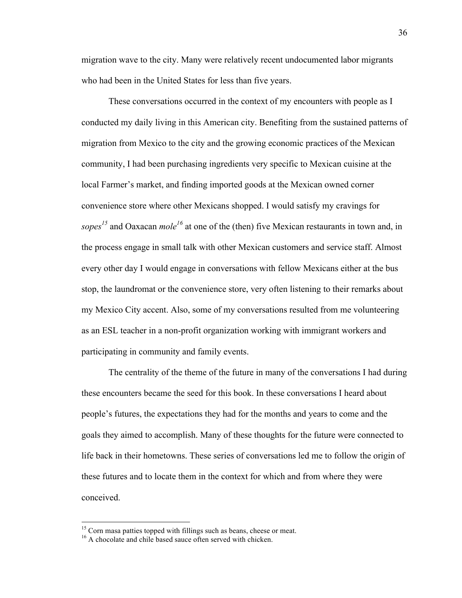migration wave to the city. Many were relatively recent undocumented labor migrants who had been in the United States for less than five years.

These conversations occurred in the context of my encounters with people as I conducted my daily living in this American city. Benefiting from the sustained patterns of migration from Mexico to the city and the growing economic practices of the Mexican community, I had been purchasing ingredients very specific to Mexican cuisine at the local Farmer's market, and finding imported goods at the Mexican owned corner convenience store where other Mexicans shopped. I would satisfy my cravings for sopes<sup>15</sup> and Oaxacan *mole*<sup>16</sup> at one of the (then) five Mexican restaurants in town and, in the process engage in small talk with other Mexican customers and service staff. Almost every other day I would engage in conversations with fellow Mexicans either at the bus stop, the laundromat or the convenience store, very often listening to their remarks about my Mexico City accent. Also, some of my conversations resulted from me volunteering as an ESL teacher in a non-profit organization working with immigrant workers and participating in community and family events.

The centrality of the theme of the future in many of the conversations I had during these encounters became the seed for this book. In these conversations I heard about people's futures, the expectations they had for the months and years to come and the goals they aimed to accomplish. Many of these thoughts for the future were connected to life back in their hometowns. These series of conversations led me to follow the origin of these futures and to locate them in the context for which and from where they were conceived.

 $15$  Corn masa patties topped with fillings such as beans, cheese or meat.  $16$  A chocolate and chile based sauce often served with chicken.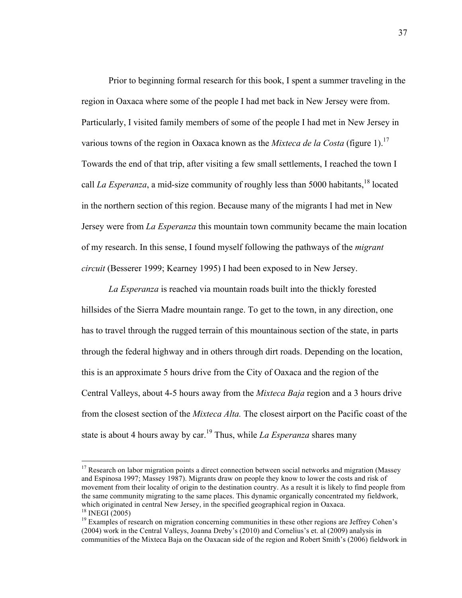Prior to beginning formal research for this book, I spent a summer traveling in the region in Oaxaca where some of the people I had met back in New Jersey were from. Particularly, I visited family members of some of the people I had met in New Jersey in various towns of the region in Oaxaca known as the *Mixteca de la Costa* (figure 1).<sup>17</sup> Towards the end of that trip, after visiting a few small settlements, I reached the town I call *La Esperanza*, a mid-size community of roughly less than 5000 habitants,<sup>18</sup> located in the northern section of this region. Because many of the migrants I had met in New Jersey were from *La Esperanza* this mountain town community became the main location of my research. In this sense, I found myself following the pathways of the *migrant circuit* (Besserer 1999; Kearney 1995) I had been exposed to in New Jersey.

*La Esperanza* is reached via mountain roads built into the thickly forested hillsides of the Sierra Madre mountain range. To get to the town, in any direction, one has to travel through the rugged terrain of this mountainous section of the state, in parts through the federal highway and in others through dirt roads. Depending on the location, this is an approximate 5 hours drive from the City of Oaxaca and the region of the Central Valleys, about 4-5 hours away from the *Mixteca Baja* region and a 3 hours drive from the closest section of the *Mixteca Alta.* The closest airport on the Pacific coast of the state is about 4 hours away by car.<sup>19</sup> Thus, while *La Esperanza* shares many

 $17$  Research on labor migration points a direct connection between social networks and migration (Massey and Espinosa 1997; Massey 1987). Migrants draw on people they know to lower the costs and risk of movement from their locality of origin to the destination country. As a result it is likely to find people from the same community migrating to the same places. This dynamic organically concentrated my fieldwork, which originated in central New Jersey, in the specified geographical region in Oaxaca.<br><sup>18</sup> INEGI (2005)

<sup>&</sup>lt;sup>19</sup> Examples of research on migration concerning communities in these other regions are Jeffrey Cohen's (2004) work in the Central Valleys, Joanna Dreby's (2010) and Cornelius's et. al (2009) analysis in communities of the Mixteca Baja on the Oaxacan side of the region and Robert Smith's (2006) fieldwork in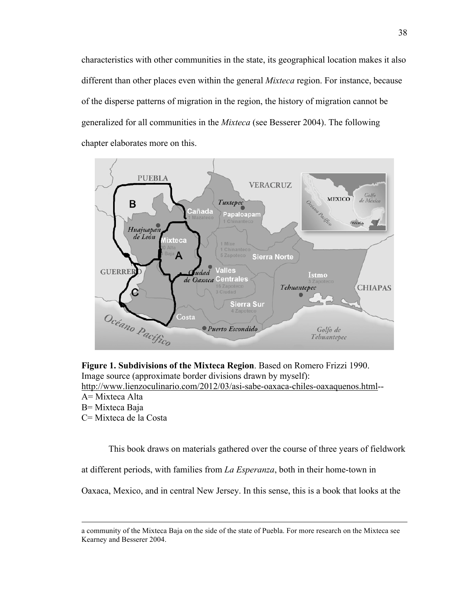characteristics with other communities in the state, its geographical location makes it also different than other places even within the general *Mixteca* region. For instance, because of the disperse patterns of migration in the region, the history of migration cannot be generalized for all communities in the *Mixteca* (see Besserer 2004). The following chapter elaborates more on this.



**Figure 1. Subdivisions of the Mixteca Region**. Based on Romero Frizzi 1990. Image source (approximate border divisions drawn by myself): http://www.lienzoculinario.com/2012/03/asi-sabe-oaxaca-chiles-oaxaquenos.html-- A= Mixteca Alta B= Mixteca Baja

C= Mixteca de la Costa

This book draws on materials gathered over the course of three years of fieldwork

at different periods, with families from *La Esperanza*, both in their home-town in

Oaxaca, Mexico, and in central New Jersey. In this sense, this is a book that looks at the

a community of the Mixteca Baja on the side of the state of Puebla. For more research on the Mixteca see Kearney and Besserer 2004.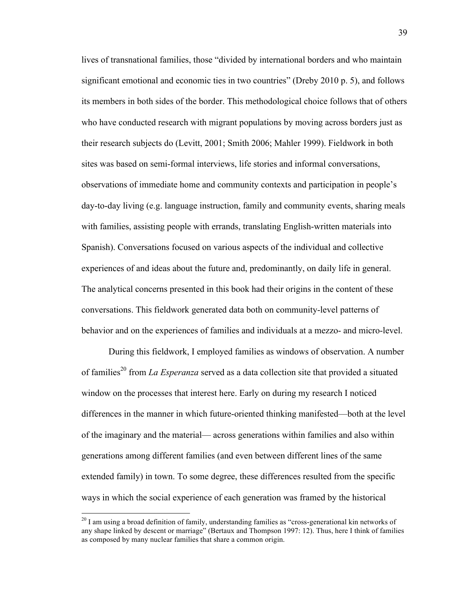lives of transnational families, those "divided by international borders and who maintain significant emotional and economic ties in two countries" (Dreby 2010 p. 5), and follows its members in both sides of the border. This methodological choice follows that of others who have conducted research with migrant populations by moving across borders just as their research subjects do (Levitt, 2001; Smith 2006; Mahler 1999). Fieldwork in both sites was based on semi-formal interviews, life stories and informal conversations, observations of immediate home and community contexts and participation in people's day-to-day living (e.g. language instruction, family and community events, sharing meals with families, assisting people with errands, translating English-written materials into Spanish). Conversations focused on various aspects of the individual and collective experiences of and ideas about the future and, predominantly, on daily life in general. The analytical concerns presented in this book had their origins in the content of these conversations. This fieldwork generated data both on community-level patterns of behavior and on the experiences of families and individuals at a mezzo- and micro-level.

During this fieldwork, I employed families as windows of observation. A number of families<sup>20</sup> from *La Esperanza* served as a data collection site that provided a situated window on the processes that interest here. Early on during my research I noticed differences in the manner in which future-oriented thinking manifested—both at the level of the imaginary and the material— across generations within families and also within generations among different families (and even between different lines of the same extended family) in town. To some degree, these differences resulted from the specific ways in which the social experience of each generation was framed by the historical

 $^{20}$  I am using a broad definition of family, understanding families as "cross-generational kin networks of any shape linked by descent or marriage" (Bertaux and Thompson 1997: 12). Thus, here I think of families as composed by many nuclear families that share a common origin.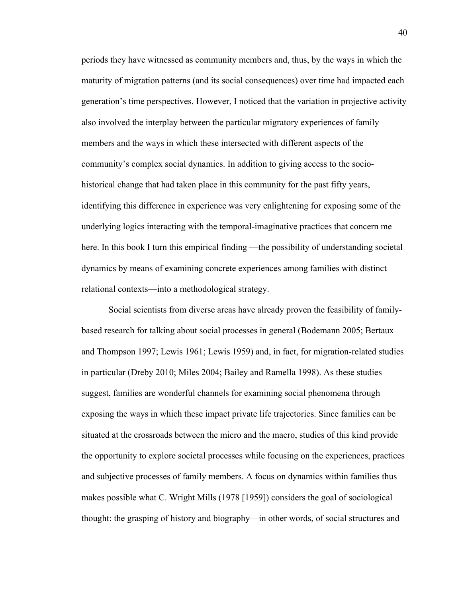periods they have witnessed as community members and, thus, by the ways in which the maturity of migration patterns (and its social consequences) over time had impacted each generation's time perspectives. However, I noticed that the variation in projective activity also involved the interplay between the particular migratory experiences of family members and the ways in which these intersected with different aspects of the community's complex social dynamics. In addition to giving access to the sociohistorical change that had taken place in this community for the past fifty years, identifying this difference in experience was very enlightening for exposing some of the underlying logics interacting with the temporal-imaginative practices that concern me here. In this book I turn this empirical finding —the possibility of understanding societal dynamics by means of examining concrete experiences among families with distinct relational contexts—into a methodological strategy.

Social scientists from diverse areas have already proven the feasibility of familybased research for talking about social processes in general (Bodemann 2005; Bertaux and Thompson 1997; Lewis 1961; Lewis 1959) and, in fact, for migration-related studies in particular (Dreby 2010; Miles 2004; Bailey and Ramella 1998). As these studies suggest, families are wonderful channels for examining social phenomena through exposing the ways in which these impact private life trajectories. Since families can be situated at the crossroads between the micro and the macro, studies of this kind provide the opportunity to explore societal processes while focusing on the experiences, practices and subjective processes of family members. A focus on dynamics within families thus makes possible what C. Wright Mills (1978 [1959]) considers the goal of sociological thought: the grasping of history and biography—in other words, of social structures and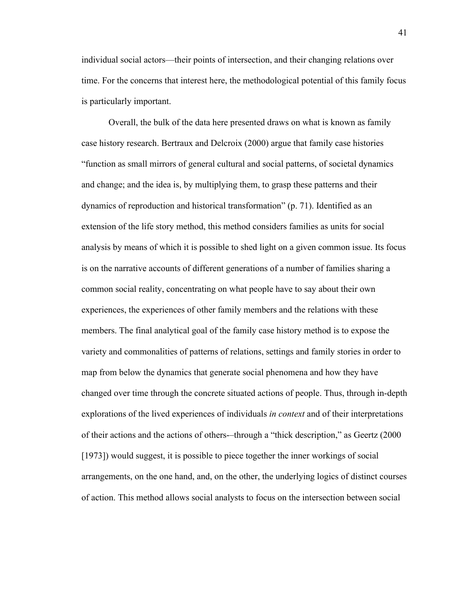individual social actors—their points of intersection, and their changing relations over time. For the concerns that interest here, the methodological potential of this family focus is particularly important.

Overall, the bulk of the data here presented draws on what is known as family case history research. Bertraux and Delcroix (2000) argue that family case histories "function as small mirrors of general cultural and social patterns, of societal dynamics and change; and the idea is, by multiplying them, to grasp these patterns and their dynamics of reproduction and historical transformation" (p. 71). Identified as an extension of the life story method, this method considers families as units for social analysis by means of which it is possible to shed light on a given common issue. Its focus is on the narrative accounts of different generations of a number of families sharing a common social reality, concentrating on what people have to say about their own experiences, the experiences of other family members and the relations with these members. The final analytical goal of the family case history method is to expose the variety and commonalities of patterns of relations, settings and family stories in order to map from below the dynamics that generate social phenomena and how they have changed over time through the concrete situated actions of people. Thus, through in-depth explorations of the lived experiences of individuals *in context* and of their interpretations of their actions and the actions of others-–through a "thick description," as Geertz (2000 [1973]) would suggest, it is possible to piece together the inner workings of social arrangements, on the one hand, and, on the other, the underlying logics of distinct courses of action. This method allows social analysts to focus on the intersection between social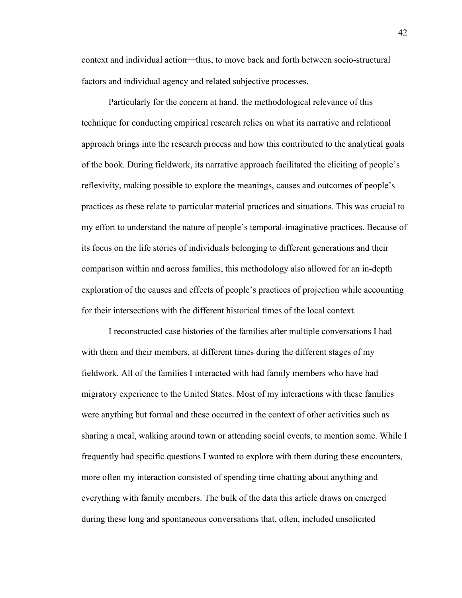context and individual action—thus, to move back and forth between socio-structural factors and individual agency and related subjective processes.

Particularly for the concern at hand, the methodological relevance of this technique for conducting empirical research relies on what its narrative and relational approach brings into the research process and how this contributed to the analytical goals of the book. During fieldwork, its narrative approach facilitated the eliciting of people's reflexivity, making possible to explore the meanings, causes and outcomes of people's practices as these relate to particular material practices and situations. This was crucial to my effort to understand the nature of people's temporal-imaginative practices. Because of its focus on the life stories of individuals belonging to different generations and their comparison within and across families, this methodology also allowed for an in-depth exploration of the causes and effects of people's practices of projection while accounting for their intersections with the different historical times of the local context.

I reconstructed case histories of the families after multiple conversations I had with them and their members, at different times during the different stages of my fieldwork. All of the families I interacted with had family members who have had migratory experience to the United States. Most of my interactions with these families were anything but formal and these occurred in the context of other activities such as sharing a meal, walking around town or attending social events, to mention some. While I frequently had specific questions I wanted to explore with them during these encounters, more often my interaction consisted of spending time chatting about anything and everything with family members. The bulk of the data this article draws on emerged during these long and spontaneous conversations that, often, included unsolicited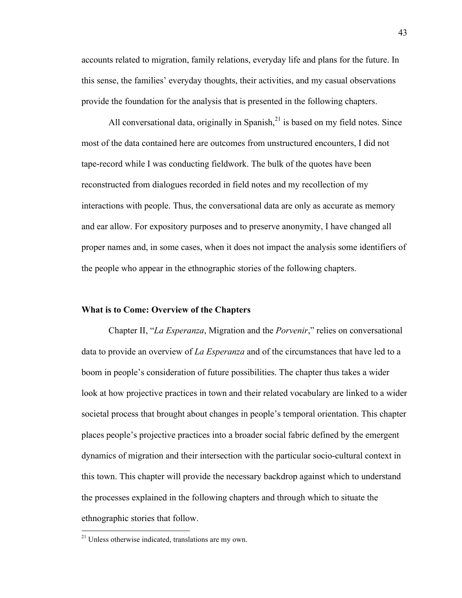accounts related to migration, family relations, everyday life and plans for the future. In this sense, the families' everyday thoughts, their activities, and my casual observations provide the foundation for the analysis that is presented in the following chapters.

All conversational data, originally in Spanish, $^{21}$  is based on my field notes. Since most of the data contained here are outcomes from unstructured encounters, I did not tape-record while I was conducting fieldwork. The bulk of the quotes have been reconstructed from dialogues recorded in field notes and my recollection of my interactions with people. Thus, the conversational data are only as accurate as memory and ear allow. For expository purposes and to preserve anonymity, I have changed all proper names and, in some cases, when it does not impact the analysis some identifiers of the people who appear in the ethnographic stories of the following chapters.

# **What is to Come: Overview of the Chapters**

Chapter II, "*La Esperanza*, Migration and the *Porvenir*," relies on conversational data to provide an overview of *La Esperanza* and of the circumstances that have led to a boom in people's consideration of future possibilities. The chapter thus takes a wider look at how projective practices in town and their related vocabulary are linked to a wider societal process that brought about changes in people's temporal orientation. This chapter places people's projective practices into a broader social fabric defined by the emergent dynamics of migration and their intersection with the particular socio-cultural context in this town. This chapter will provide the necessary backdrop against which to understand the processes explained in the following chapters and through which to situate the ethnographic stories that follow.

 $21$  Unless otherwise indicated, translations are my own.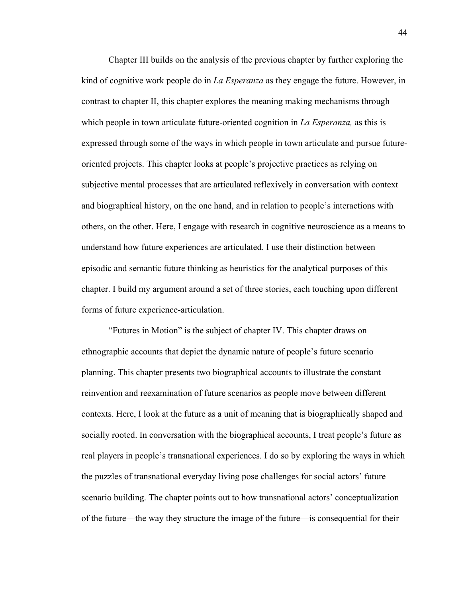Chapter III builds on the analysis of the previous chapter by further exploring the kind of cognitive work people do in *La Esperanza* as they engage the future. However, in contrast to chapter II, this chapter explores the meaning making mechanisms through which people in town articulate future-oriented cognition in *La Esperanza,* as this is expressed through some of the ways in which people in town articulate and pursue futureoriented projects. This chapter looks at people's projective practices as relying on subjective mental processes that are articulated reflexively in conversation with context and biographical history, on the one hand, and in relation to people's interactions with others, on the other. Here, I engage with research in cognitive neuroscience as a means to understand how future experiences are articulated. I use their distinction between episodic and semantic future thinking as heuristics for the analytical purposes of this chapter. I build my argument around a set of three stories, each touching upon different forms of future experience-articulation.

"Futures in Motion" is the subject of chapter IV. This chapter draws on ethnographic accounts that depict the dynamic nature of people's future scenario planning. This chapter presents two biographical accounts to illustrate the constant reinvention and reexamination of future scenarios as people move between different contexts. Here, I look at the future as a unit of meaning that is biographically shaped and socially rooted. In conversation with the biographical accounts, I treat people's future as real players in people's transnational experiences. I do so by exploring the ways in which the puzzles of transnational everyday living pose challenges for social actors' future scenario building. The chapter points out to how transnational actors' conceptualization of the future—the way they structure the image of the future—is consequential for their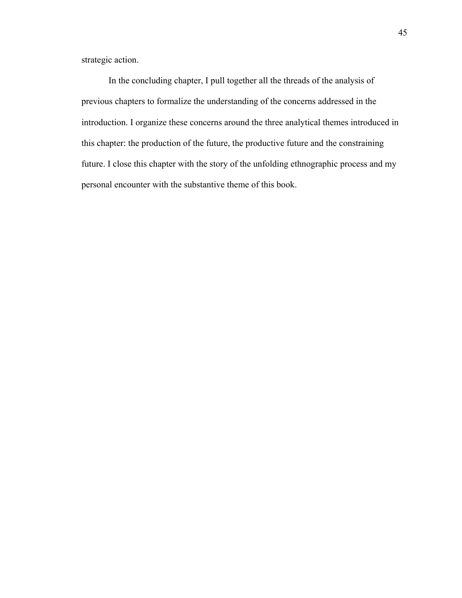strategic action.

In the concluding chapter, I pull together all the threads of the analysis of previous chapters to formalize the understanding of the concerns addressed in the introduction. I organize these concerns around the three analytical themes introduced in this chapter: the production of the future, the productive future and the constraining future. I close this chapter with the story of the unfolding ethnographic process and my personal encounter with the substantive theme of this book.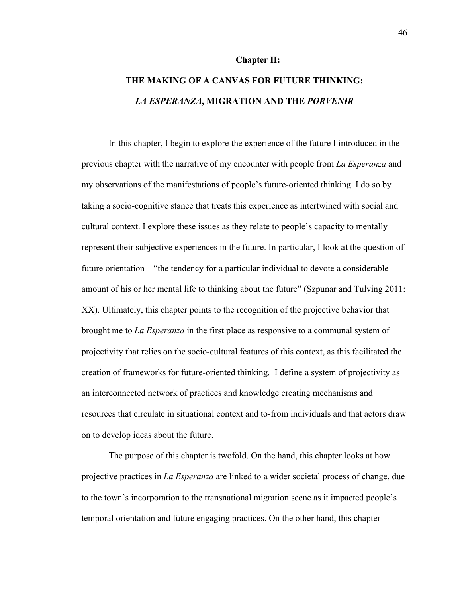#### **Chapter II:**

# **THE MAKING OF A CANVAS FOR FUTURE THINKING:** *LA ESPERANZA***, MIGRATION AND THE** *PORVENIR*

In this chapter, I begin to explore the experience of the future I introduced in the previous chapter with the narrative of my encounter with people from *La Esperanza* and my observations of the manifestations of people's future-oriented thinking. I do so by taking a socio-cognitive stance that treats this experience as intertwined with social and cultural context. I explore these issues as they relate to people's capacity to mentally represent their subjective experiences in the future. In particular, I look at the question of future orientation—"the tendency for a particular individual to devote a considerable amount of his or her mental life to thinking about the future" (Szpunar and Tulving 2011: XX). Ultimately, this chapter points to the recognition of the projective behavior that brought me to *La Esperanza* in the first place as responsive to a communal system of projectivity that relies on the socio-cultural features of this context, as this facilitated the creation of frameworks for future-oriented thinking. I define a system of projectivity as an interconnected network of practices and knowledge creating mechanisms and resources that circulate in situational context and to-from individuals and that actors draw on to develop ideas about the future.

The purpose of this chapter is twofold. On the hand, this chapter looks at how projective practices in *La Esperanza* are linked to a wider societal process of change, due to the town's incorporation to the transnational migration scene as it impacted people's temporal orientation and future engaging practices. On the other hand, this chapter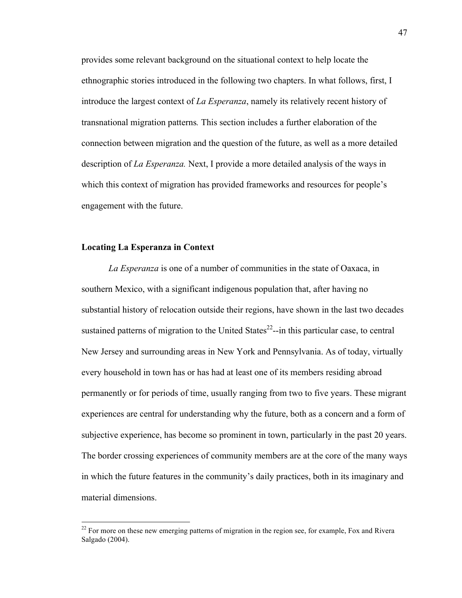provides some relevant background on the situational context to help locate the ethnographic stories introduced in the following two chapters. In what follows, first, I introduce the largest context of *La Esperanza*, namely its relatively recent history of transnational migration patterns*.* This section includes a further elaboration of the connection between migration and the question of the future, as well as a more detailed description of *La Esperanza.* Next, I provide a more detailed analysis of the ways in which this context of migration has provided frameworks and resources for people's engagement with the future.

# **Locating La Esperanza in Context**

*La Esperanza* is one of a number of communities in the state of Oaxaca, in southern Mexico, with a significant indigenous population that, after having no substantial history of relocation outside their regions, have shown in the last two decades sustained patterns of migration to the United States $^{22}$ -in this particular case, to central New Jersey and surrounding areas in New York and Pennsylvania. As of today, virtually every household in town has or has had at least one of its members residing abroad permanently or for periods of time, usually ranging from two to five years. These migrant experiences are central for understanding why the future, both as a concern and a form of subjective experience, has become so prominent in town, particularly in the past 20 years. The border crossing experiences of community members are at the core of the many ways in which the future features in the community's daily practices, both in its imaginary and material dimensions.

 $^{22}$  For more on these new emerging patterns of migration in the region see, for example, Fox and Rivera Salgado (2004).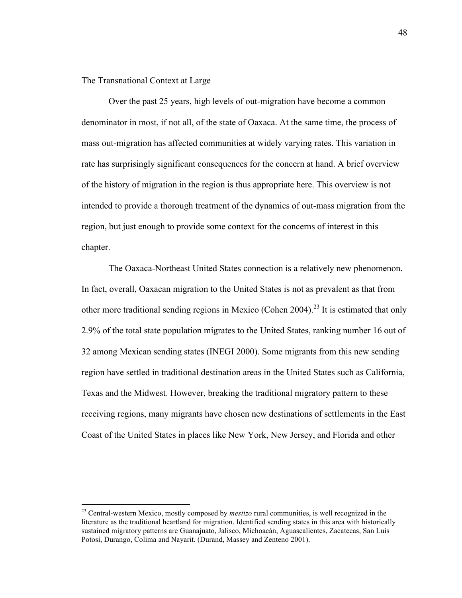The Transnational Context at Large

Over the past 25 years, high levels of out-migration have become a common denominator in most, if not all, of the state of Oaxaca. At the same time, the process of mass out-migration has affected communities at widely varying rates. This variation in rate has surprisingly significant consequences for the concern at hand. A brief overview of the history of migration in the region is thus appropriate here. This overview is not intended to provide a thorough treatment of the dynamics of out-mass migration from the region, but just enough to provide some context for the concerns of interest in this chapter.

The Oaxaca-Northeast United States connection is a relatively new phenomenon. In fact, overall, Oaxacan migration to the United States is not as prevalent as that from other more traditional sending regions in Mexico (Cohen 2004).<sup>23</sup> It is estimated that only 2.9% of the total state population migrates to the United States, ranking number 16 out of 32 among Mexican sending states (INEGI 2000). Some migrants from this new sending region have settled in traditional destination areas in the United States such as California, Texas and the Midwest. However, breaking the traditional migratory pattern to these receiving regions, many migrants have chosen new destinations of settlements in the East Coast of the United States in places like New York, New Jersey, and Florida and other

<sup>&</sup>lt;sup>23</sup> Central-western Mexico, mostly composed by *mestizo* rural communities, is well recognized in the literature as the traditional heartland for migration. Identified sending states in this area with historically sustained migratory patterns are Guanajuato, Jalisco, Michoacán, Aguascalientes, Zacatecas, San Luis Potosí, Durango, Colima and Nayarit. (Durand, Massey and Zenteno 2001).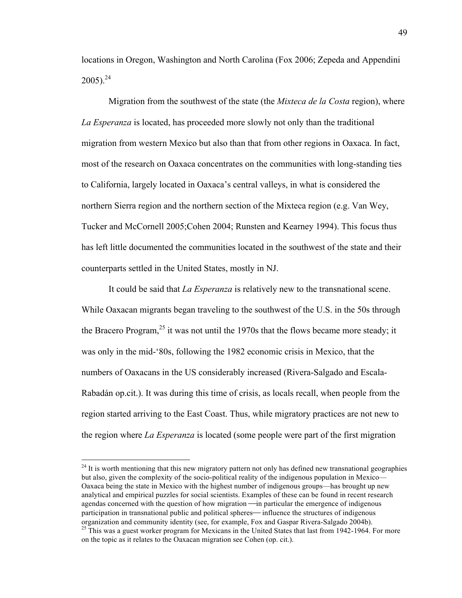locations in Oregon, Washington and North Carolina (Fox 2006; Zepeda and Appendini  $2005$ ).<sup>24</sup>

Migration from the southwest of the state (the *Mixteca de la Costa* region), where *La Esperanza* is located, has proceeded more slowly not only than the traditional migration from western Mexico but also than that from other regions in Oaxaca. In fact, most of the research on Oaxaca concentrates on the communities with long-standing ties to California, largely located in Oaxaca's central valleys, in what is considered the northern Sierra region and the northern section of the Mixteca region (e.g. Van Wey, Tucker and McCornell 2005;Cohen 2004; Runsten and Kearney 1994). This focus thus has left little documented the communities located in the southwest of the state and their counterparts settled in the United States, mostly in NJ.

It could be said that *La Esperanza* is relatively new to the transnational scene. While Oaxacan migrants began traveling to the southwest of the U.S. in the 50s through the Bracero Program,  $^{25}$  it was not until the 1970s that the flows became more steady; it was only in the mid-'80s, following the 1982 economic crisis in Mexico, that the numbers of Oaxacans in the US considerably increased (Rivera-Salgado and Escala-Rabadán op.cit.). It was during this time of crisis, as locals recall, when people from the region started arriving to the East Coast. Thus, while migratory practices are not new to the region where *La Esperanza* is located (some people were part of the first migration

 $^{24}$  It is worth mentioning that this new migratory pattern not only has defined new transnational geographies but also, given the complexity of the socio-political reality of the indigenous population in Mexico— Oaxaca being the state in Mexico with the highest number of indigenous groups—has brought up new analytical and empirical puzzles for social scientists. Examples of these can be found in recent research agendas concerned with the question of how migration — in particular the emergence of indigenous participation in transnational public and political spheres— influence the structures of indigenous organization and community identity (see, for example, Fox and Gaspar Rivera-Salgado 2004b).

<sup>&</sup>lt;sup>25</sup> This was a guest worker program for Mexicans in the United States that last from 1942-1964. For more on the topic as it relates to the Oaxacan migration see Cohen (op. cit.).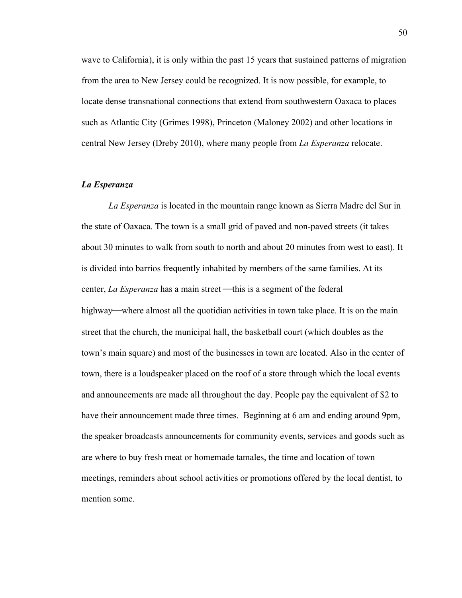wave to California), it is only within the past 15 years that sustained patterns of migration from the area to New Jersey could be recognized. It is now possible, for example, to locate dense transnational connections that extend from southwestern Oaxaca to places such as Atlantic City (Grimes 1998), Princeton (Maloney 2002) and other locations in central New Jersey (Dreby 2010), where many people from *La Esperanza* relocate.

## *La Esperanza*

*La Esperanza* is located in the mountain range known as Sierra Madre del Sur in the state of Oaxaca. The town is a small grid of paved and non-paved streets (it takes about 30 minutes to walk from south to north and about 20 minutes from west to east). It is divided into barrios frequently inhabited by members of the same families. At its center, *La Esperanza* has a main street—this is a segment of the federal highway—where almost all the quotidian activities in town take place. It is on the main street that the church, the municipal hall, the basketball court (which doubles as the town's main square) and most of the businesses in town are located. Also in the center of town, there is a loudspeaker placed on the roof of a store through which the local events and announcements are made all throughout the day. People pay the equivalent of \$2 to have their announcement made three times. Beginning at 6 am and ending around 9pm, the speaker broadcasts announcements for community events, services and goods such as are where to buy fresh meat or homemade tamales, the time and location of town meetings, reminders about school activities or promotions offered by the local dentist, to mention some.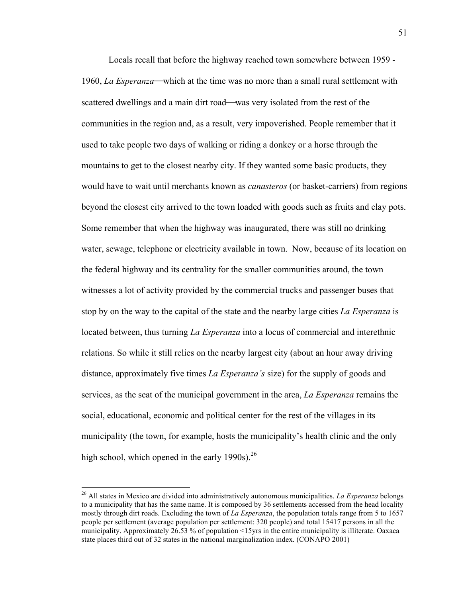Locals recall that before the highway reached town somewhere between 1959 - 1960, *La Esperanza*—which at the time was no more than a small rural settlement with scattered dwellings and a main dirt road—was very isolated from the rest of the communities in the region and, as a result, very impoverished. People remember that it used to take people two days of walking or riding a donkey or a horse through the mountains to get to the closest nearby city. If they wanted some basic products, they would have to wait until merchants known as *canasteros* (or basket-carriers) from regions beyond the closest city arrived to the town loaded with goods such as fruits and clay pots. Some remember that when the highway was inaugurated, there was still no drinking water, sewage, telephone or electricity available in town. Now, because of its location on the federal highway and its centrality for the smaller communities around, the town witnesses a lot of activity provided by the commercial trucks and passenger buses that stop by on the way to the capital of the state and the nearby large cities *La Esperanza* is located between, thus turning *La Esperanza* into a locus of commercial and interethnic relations. So while it still relies on the nearby largest city (about an hour away driving distance, approximately five times *La Esperanza's* size) for the supply of goods and services, as the seat of the municipal government in the area, *La Esperanza* remains the social, educational, economic and political center for the rest of the villages in its municipality (the town, for example, hosts the municipality's health clinic and the only high school, which opened in the early 1990s). $^{26}$ 

 <sup>26</sup> All states in Mexico are divided into administratively autonomous municipalities. *La Esperanza* belongs to a municipality that has the same name. It is composed by 36 settlements accessed from the head locality mostly through dirt roads. Excluding the town of *La Esperanza*, the population totals range from 5 to 1657 people per settlement (average population per settlement: 320 people) and total 15417 persons in all the municipality. Approximately 26.53 % of population <15yrs in the entire municipality is illiterate. Oaxaca state places third out of 32 states in the national marginalization index. (CONAPO 2001)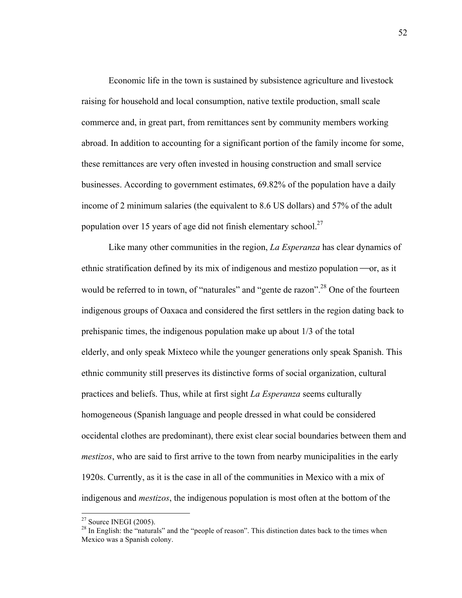Economic life in the town is sustained by subsistence agriculture and livestock raising for household and local consumption, native textile production, small scale commerce and, in great part, from remittances sent by community members working abroad. In addition to accounting for a significant portion of the family income for some, these remittances are very often invested in housing construction and small service businesses. According to government estimates, 69.82% of the population have a daily income of 2 minimum salaries (the equivalent to 8.6 US dollars) and 57% of the adult population over 15 years of age did not finish elementary school.<sup>27</sup>

Like many other communities in the region, *La Esperanza* has clear dynamics of ethnic stratification defined by its mix of indigenous and mestizo population  $\sim$ or, as it would be referred to in town, of "naturales" and "gente de razon".<sup>28</sup> One of the fourteen indigenous groups of Oaxaca and considered the first settlers in the region dating back to prehispanic times, the indigenous population make up about 1/3 of the total elderly, and only speak Mixteco while the younger generations only speak Spanish. This ethnic community still preserves its distinctive forms of social organization, cultural practices and beliefs. Thus, while at first sight *La Esperanza* seems culturally homogeneous (Spanish language and people dressed in what could be considered occidental clothes are predominant), there exist clear social boundaries between them and *mestizos*, who are said to first arrive to the town from nearby municipalities in the early 1920s. Currently, as it is the case in all of the communities in Mexico with a mix of indigenous and *mestizos*, the indigenous population is most often at the bottom of the

 $27$  Source INEGI (2005).

 $^{28}$  In English: the "naturals" and the "people of reason". This distinction dates back to the times when Mexico was a Spanish colony.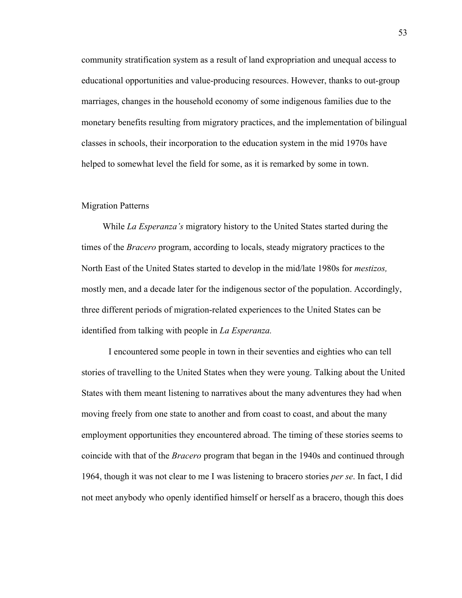community stratification system as a result of land expropriation and unequal access to educational opportunities and value-producing resources. However, thanks to out-group marriages, changes in the household economy of some indigenous families due to the monetary benefits resulting from migratory practices, and the implementation of bilingual classes in schools, their incorporation to the education system in the mid 1970s have helped to somewhat level the field for some, as it is remarked by some in town.

# Migration Patterns

While *La Esperanza's* migratory history to the United States started during the times of the *Bracero* program, according to locals, steady migratory practices to the North East of the United States started to develop in the mid/late 1980s for *mestizos,*  mostly men, and a decade later for the indigenous sector of the population. Accordingly, three different periods of migration-related experiences to the United States can be identified from talking with people in *La Esperanza.*

I encountered some people in town in their seventies and eighties who can tell stories of travelling to the United States when they were young. Talking about the United States with them meant listening to narratives about the many adventures they had when moving freely from one state to another and from coast to coast, and about the many employment opportunities they encountered abroad. The timing of these stories seems to coincide with that of the *Bracero* program that began in the 1940s and continued through 1964, though it was not clear to me I was listening to bracero stories *per se*. In fact, I did not meet anybody who openly identified himself or herself as a bracero, though this does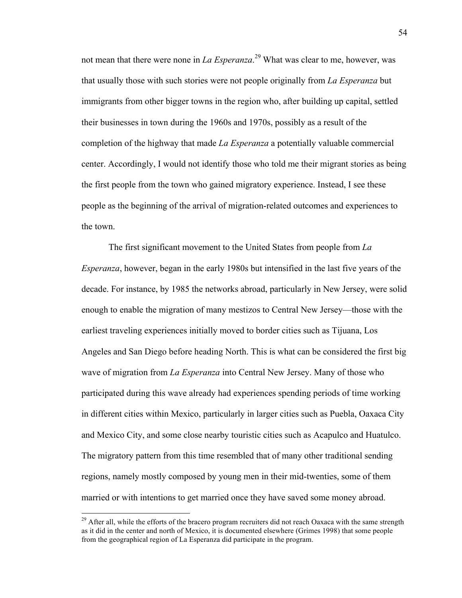not mean that there were none in *La Esperanza*. 29 What was clear to me, however, was that usually those with such stories were not people originally from *La Esperanza* but immigrants from other bigger towns in the region who, after building up capital, settled their businesses in town during the 1960s and 1970s, possibly as a result of the completion of the highway that made *La Esperanza* a potentially valuable commercial center. Accordingly, I would not identify those who told me their migrant stories as being the first people from the town who gained migratory experience. Instead, I see these people as the beginning of the arrival of migration-related outcomes and experiences to the town.

The first significant movement to the United States from people from *La Esperanza*, however, began in the early 1980s but intensified in the last five years of the decade. For instance, by 1985 the networks abroad, particularly in New Jersey, were solid enough to enable the migration of many mestizos to Central New Jersey—those with the earliest traveling experiences initially moved to border cities such as Tijuana, Los Angeles and San Diego before heading North. This is what can be considered the first big wave of migration from *La Esperanza* into Central New Jersey. Many of those who participated during this wave already had experiences spending periods of time working in different cities within Mexico, particularly in larger cities such as Puebla, Oaxaca City and Mexico City, and some close nearby touristic cities such as Acapulco and Huatulco. The migratory pattern from this time resembled that of many other traditional sending regions, namely mostly composed by young men in their mid-twenties, some of them married or with intentions to get married once they have saved some money abroad.

<sup>&</sup>lt;sup>29</sup> After all, while the efforts of the bracero program recruiters did not reach Oaxaca with the same strength as it did in the center and north of Mexico, it is documented elsewhere (Grimes 1998) that some people from the geographical region of La Esperanza did participate in the program.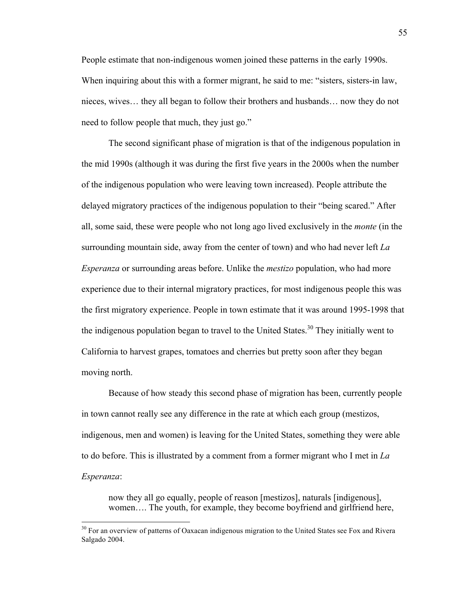People estimate that non-indigenous women joined these patterns in the early 1990s. When inquiring about this with a former migrant, he said to me: "sisters, sisters-in law, nieces, wives… they all began to follow their brothers and husbands… now they do not need to follow people that much, they just go."

The second significant phase of migration is that of the indigenous population in the mid 1990s (although it was during the first five years in the 2000s when the number of the indigenous population who were leaving town increased). People attribute the delayed migratory practices of the indigenous population to their "being scared." After all, some said, these were people who not long ago lived exclusively in the *monte* (in the surrounding mountain side, away from the center of town) and who had never left *La Esperanza* or surrounding areas before. Unlike the *mestizo* population, who had more experience due to their internal migratory practices, for most indigenous people this was the first migratory experience. People in town estimate that it was around 1995-1998 that the indigenous population began to travel to the United States.<sup>30</sup> They initially went to California to harvest grapes, tomatoes and cherries but pretty soon after they began moving north.

Because of how steady this second phase of migration has been, currently people in town cannot really see any difference in the rate at which each group (mestizos, indigenous, men and women) is leaving for the United States, something they were able to do before. This is illustrated by a comment from a former migrant who I met in *La Esperanza*:

now they all go equally, people of reason [mestizos], naturals [indigenous], women…. The youth, for example, they become boyfriend and girlfriend here,

<sup>&</sup>lt;sup>30</sup> For an overview of patterns of Oaxacan indigenous migration to the United States see Fox and Rivera Salgado 2004.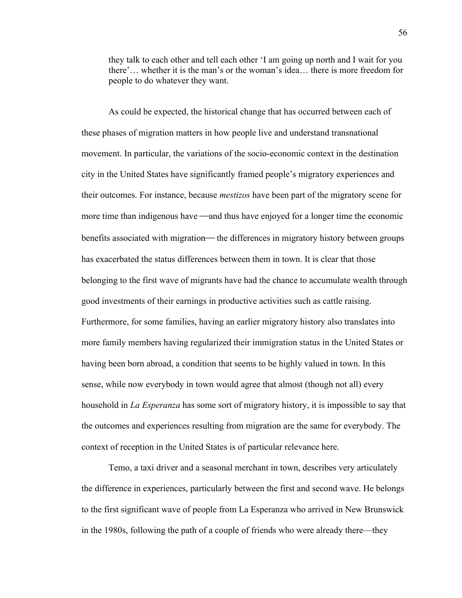they talk to each other and tell each other 'I am going up north and I wait for you there'… whether it is the man's or the woman's idea… there is more freedom for people to do whatever they want.

As could be expected, the historical change that has occurred between each of these phases of migration matters in how people live and understand transnational movement. In particular, the variations of the socio-economic context in the destination city in the United States have significantly framed people's migratory experiences and their outcomes. For instance, because *mestizos* have been part of the migratory scene for more time than indigenous have —and thus have enjoyed for a longer time the economic benefits associated with migration— the differences in migratory history between groups has exacerbated the status differences between them in town. It is clear that those belonging to the first wave of migrants have had the chance to accumulate wealth through good investments of their earnings in productive activities such as cattle raising. Furthermore, for some families, having an earlier migratory history also translates into more family members having regularized their immigration status in the United States or having been born abroad, a condition that seems to be highly valued in town. In this sense, while now everybody in town would agree that almost (though not all) every household in *La Esperanza* has some sort of migratory history, it is impossible to say that the outcomes and experiences resulting from migration are the same for everybody. The context of reception in the United States is of particular relevance here.

Temo, a taxi driver and a seasonal merchant in town, describes very articulately the difference in experiences, particularly between the first and second wave. He belongs to the first significant wave of people from La Esperanza who arrived in New Brunswick in the 1980s, following the path of a couple of friends who were already there—they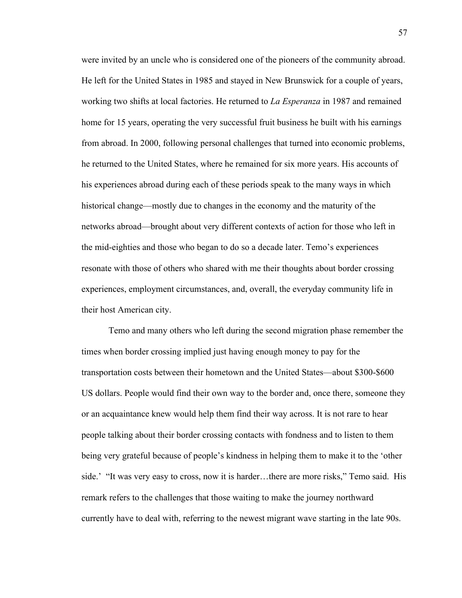were invited by an uncle who is considered one of the pioneers of the community abroad. He left for the United States in 1985 and stayed in New Brunswick for a couple of years, working two shifts at local factories. He returned to *La Esperanza* in 1987 and remained home for 15 years, operating the very successful fruit business he built with his earnings from abroad. In 2000, following personal challenges that turned into economic problems, he returned to the United States, where he remained for six more years. His accounts of his experiences abroad during each of these periods speak to the many ways in which historical change—mostly due to changes in the economy and the maturity of the networks abroad—brought about very different contexts of action for those who left in the mid-eighties and those who began to do so a decade later. Temo's experiences resonate with those of others who shared with me their thoughts about border crossing experiences, employment circumstances, and, overall, the everyday community life in their host American city.

Temo and many others who left during the second migration phase remember the times when border crossing implied just having enough money to pay for the transportation costs between their hometown and the United States—about \$300-\$600 US dollars. People would find their own way to the border and, once there, someone they or an acquaintance knew would help them find their way across. It is not rare to hear people talking about their border crossing contacts with fondness and to listen to them being very grateful because of people's kindness in helping them to make it to the 'other side.' "It was very easy to cross, now it is harder…there are more risks," Temo said. His remark refers to the challenges that those waiting to make the journey northward currently have to deal with, referring to the newest migrant wave starting in the late 90s.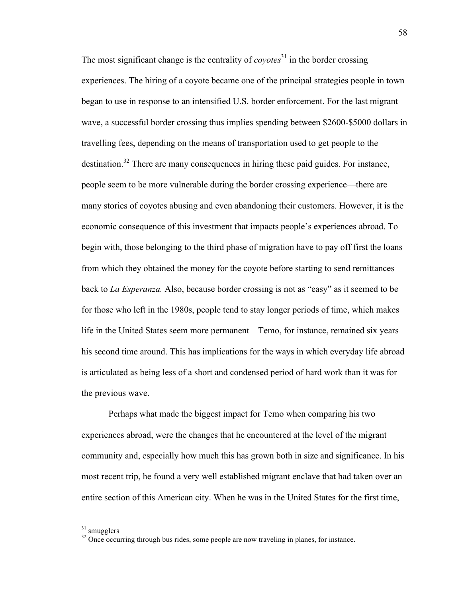The most significant change is the centrality of *coyotes*<sup>31</sup> in the border crossing experiences. The hiring of a coyote became one of the principal strategies people in town began to use in response to an intensified U.S. border enforcement. For the last migrant wave, a successful border crossing thus implies spending between \$2600-\$5000 dollars in travelling fees, depending on the means of transportation used to get people to the destination.<sup>32</sup> There are many consequences in hiring these paid guides. For instance, people seem to be more vulnerable during the border crossing experience—there are many stories of coyotes abusing and even abandoning their customers. However, it is the economic consequence of this investment that impacts people's experiences abroad. To begin with, those belonging to the third phase of migration have to pay off first the loans from which they obtained the money for the coyote before starting to send remittances back to *La Esperanza.* Also, because border crossing is not as "easy" as it seemed to be for those who left in the 1980s, people tend to stay longer periods of time, which makes life in the United States seem more permanent—Temo, for instance, remained six years his second time around. This has implications for the ways in which everyday life abroad is articulated as being less of a short and condensed period of hard work than it was for the previous wave.

Perhaps what made the biggest impact for Temo when comparing his two experiences abroad, were the changes that he encountered at the level of the migrant community and, especially how much this has grown both in size and significance. In his most recent trip, he found a very well established migrant enclave that had taken over an entire section of this American city. When he was in the United States for the first time,

 $31$  smugglers

<sup>&</sup>lt;sup>32</sup> Once occurring through bus rides, some people are now traveling in planes, for instance.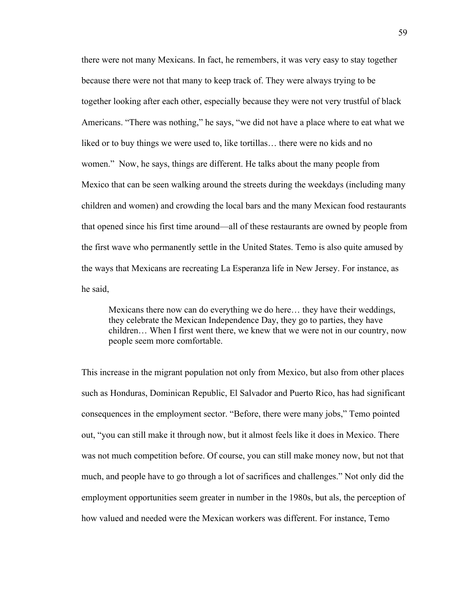there were not many Mexicans. In fact, he remembers, it was very easy to stay together because there were not that many to keep track of. They were always trying to be together looking after each other, especially because they were not very trustful of black Americans. "There was nothing," he says, "we did not have a place where to eat what we liked or to buy things we were used to, like tortillas… there were no kids and no women." Now, he says, things are different. He talks about the many people from Mexico that can be seen walking around the streets during the weekdays (including many children and women) and crowding the local bars and the many Mexican food restaurants that opened since his first time around—all of these restaurants are owned by people from the first wave who permanently settle in the United States. Temo is also quite amused by the ways that Mexicans are recreating La Esperanza life in New Jersey. For instance, as he said,

Mexicans there now can do everything we do here… they have their weddings, they celebrate the Mexican Independence Day, they go to parties, they have children… When I first went there, we knew that we were not in our country, now people seem more comfortable.

This increase in the migrant population not only from Mexico, but also from other places such as Honduras, Dominican Republic, El Salvador and Puerto Rico, has had significant consequences in the employment sector. "Before, there were many jobs," Temo pointed out, "you can still make it through now, but it almost feels like it does in Mexico. There was not much competition before. Of course, you can still make money now, but not that much, and people have to go through a lot of sacrifices and challenges." Not only did the employment opportunities seem greater in number in the 1980s, but als, the perception of how valued and needed were the Mexican workers was different. For instance, Temo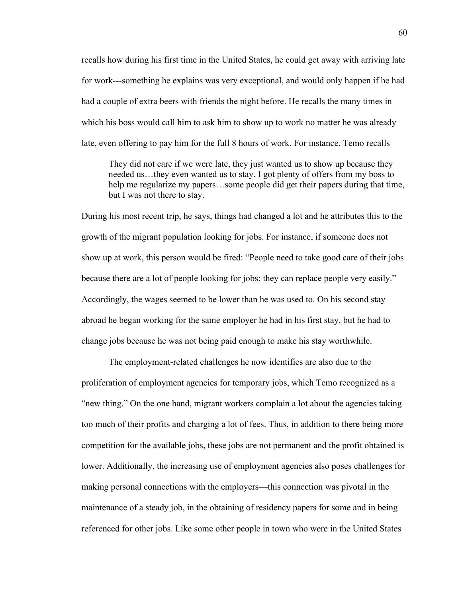recalls how during his first time in the United States, he could get away with arriving late for work---something he explains was very exceptional, and would only happen if he had had a couple of extra beers with friends the night before. He recalls the many times in which his boss would call him to ask him to show up to work no matter he was already late, even offering to pay him for the full 8 hours of work. For instance, Temo recalls

They did not care if we were late, they just wanted us to show up because they needed us…they even wanted us to stay. I got plenty of offers from my boss to help me regularize my papers…some people did get their papers during that time, but I was not there to stay.

During his most recent trip, he says, things had changed a lot and he attributes this to the growth of the migrant population looking for jobs. For instance, if someone does not show up at work, this person would be fired: "People need to take good care of their jobs because there are a lot of people looking for jobs; they can replace people very easily." Accordingly, the wages seemed to be lower than he was used to. On his second stay abroad he began working for the same employer he had in his first stay, but he had to change jobs because he was not being paid enough to make his stay worthwhile.

The employment-related challenges he now identifies are also due to the proliferation of employment agencies for temporary jobs, which Temo recognized as a "new thing." On the one hand, migrant workers complain a lot about the agencies taking too much of their profits and charging a lot of fees. Thus, in addition to there being more competition for the available jobs, these jobs are not permanent and the profit obtained is lower. Additionally, the increasing use of employment agencies also poses challenges for making personal connections with the employers—this connection was pivotal in the maintenance of a steady job, in the obtaining of residency papers for some and in being referenced for other jobs. Like some other people in town who were in the United States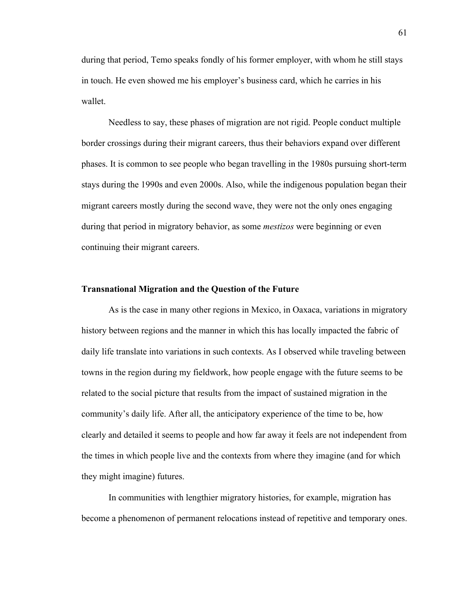during that period, Temo speaks fondly of his former employer, with whom he still stays in touch. He even showed me his employer's business card, which he carries in his wallet.

Needless to say, these phases of migration are not rigid. People conduct multiple border crossings during their migrant careers, thus their behaviors expand over different phases. It is common to see people who began travelling in the 1980s pursuing short-term stays during the 1990s and even 2000s. Also, while the indigenous population began their migrant careers mostly during the second wave, they were not the only ones engaging during that period in migratory behavior, as some *mestizos* were beginning or even continuing their migrant careers.

## **Transnational Migration and the Question of the Future**

As is the case in many other regions in Mexico, in Oaxaca, variations in migratory history between regions and the manner in which this has locally impacted the fabric of daily life translate into variations in such contexts. As I observed while traveling between towns in the region during my fieldwork, how people engage with the future seems to be related to the social picture that results from the impact of sustained migration in the community's daily life. After all, the anticipatory experience of the time to be, how clearly and detailed it seems to people and how far away it feels are not independent from the times in which people live and the contexts from where they imagine (and for which they might imagine) futures.

In communities with lengthier migratory histories, for example, migration has become a phenomenon of permanent relocations instead of repetitive and temporary ones.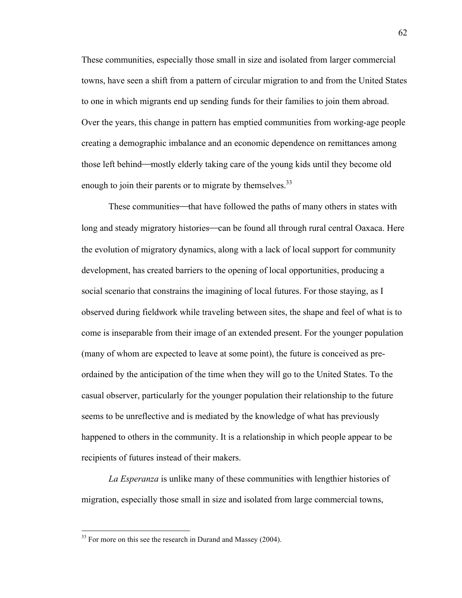These communities, especially those small in size and isolated from larger commercial towns, have seen a shift from a pattern of circular migration to and from the United States to one in which migrants end up sending funds for their families to join them abroad. Over the years, this change in pattern has emptied communities from working-age people creating a demographic imbalance and an economic dependence on remittances among those left behind—mostly elderly taking care of the young kids until they become old enough to join their parents or to migrate by themselves.<sup>33</sup>

These communities—that have followed the paths of many others in states with long and steady migratory histories—can be found all through rural central Oaxaca. Here the evolution of migratory dynamics, along with a lack of local support for community development, has created barriers to the opening of local opportunities, producing a social scenario that constrains the imagining of local futures. For those staying, as I observed during fieldwork while traveling between sites, the shape and feel of what is to come is inseparable from their image of an extended present. For the younger population (many of whom are expected to leave at some point), the future is conceived as preordained by the anticipation of the time when they will go to the United States. To the casual observer, particularly for the younger population their relationship to the future seems to be unreflective and is mediated by the knowledge of what has previously happened to others in the community. It is a relationship in which people appear to be recipients of futures instead of their makers.

*La Esperanza* is unlike many of these communities with lengthier histories of migration, especially those small in size and isolated from large commercial towns,

 $33$  For more on this see the research in Durand and Massey (2004).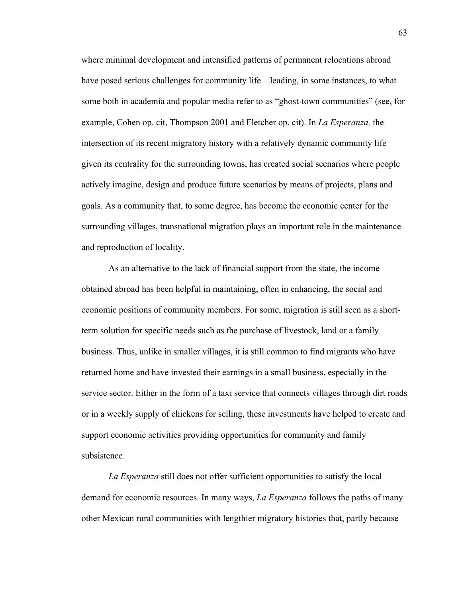where minimal development and intensified patterns of permanent relocations abroad have posed serious challenges for community life—leading, in some instances, to what some both in academia and popular media refer to as "ghost-town communities" (see, for example, Cohen op. cit, Thompson 2001 and Fletcher op. cit). In *La Esperanza,* the intersection of its recent migratory history with a relatively dynamic community life given its centrality for the surrounding towns, has created social scenarios where people actively imagine, design and produce future scenarios by means of projects, plans and goals. As a community that, to some degree, has become the economic center for the surrounding villages, transnational migration plays an important role in the maintenance and reproduction of locality.

As an alternative to the lack of financial support from the state, the income obtained abroad has been helpful in maintaining, often in enhancing, the social and economic positions of community members. For some, migration is still seen as a shortterm solution for specific needs such as the purchase of livestock, land or a family business. Thus, unlike in smaller villages, it is still common to find migrants who have returned home and have invested their earnings in a small business, especially in the service sector. Either in the form of a taxi service that connects villages through dirt roads or in a weekly supply of chickens for selling, these investments have helped to create and support economic activities providing opportunities for community and family subsistence.

*La Esperanza* still does not offer sufficient opportunities to satisfy the local demand for economic resources. In many ways, *La Esperanza* follows the paths of many other Mexican rural communities with lengthier migratory histories that, partly because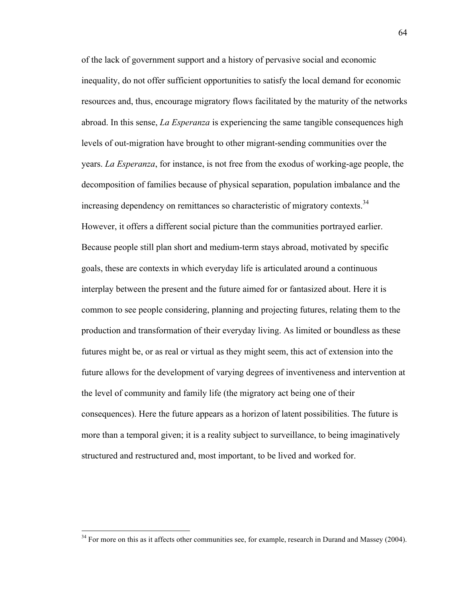of the lack of government support and a history of pervasive social and economic inequality, do not offer sufficient opportunities to satisfy the local demand for economic resources and, thus, encourage migratory flows facilitated by the maturity of the networks abroad. In this sense, *La Esperanza* is experiencing the same tangible consequences high levels of out-migration have brought to other migrant-sending communities over the years. *La Esperanza*, for instance, is not free from the exodus of working-age people, the decomposition of families because of physical separation, population imbalance and the increasing dependency on remittances so characteristic of migratory contexts.<sup>34</sup> However, it offers a different social picture than the communities portrayed earlier. Because people still plan short and medium-term stays abroad, motivated by specific goals, these are contexts in which everyday life is articulated around a continuous interplay between the present and the future aimed for or fantasized about. Here it is common to see people considering, planning and projecting futures, relating them to the production and transformation of their everyday living. As limited or boundless as these futures might be, or as real or virtual as they might seem, this act of extension into the future allows for the development of varying degrees of inventiveness and intervention at the level of community and family life (the migratory act being one of their consequences). Here the future appears as a horizon of latent possibilities. The future is more than a temporal given; it is a reality subject to surveillance, to being imaginatively structured and restructured and, most important, to be lived and worked for.

 $34$  For more on this as it affects other communities see, for example, research in Durand and Massey (2004).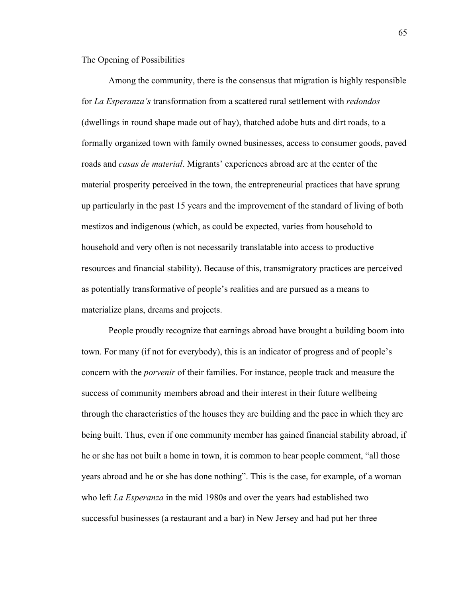The Opening of Possibilities

Among the community, there is the consensus that migration is highly responsible for *La Esperanza's* transformation from a scattered rural settlement with *redondos*  (dwellings in round shape made out of hay), thatched adobe huts and dirt roads, to a formally organized town with family owned businesses, access to consumer goods, paved roads and *casas de material*. Migrants' experiences abroad are at the center of the material prosperity perceived in the town, the entrepreneurial practices that have sprung up particularly in the past 15 years and the improvement of the standard of living of both mestizos and indigenous (which, as could be expected, varies from household to household and very often is not necessarily translatable into access to productive resources and financial stability). Because of this, transmigratory practices are perceived as potentially transformative of people's realities and are pursued as a means to materialize plans, dreams and projects.

People proudly recognize that earnings abroad have brought a building boom into town. For many (if not for everybody), this is an indicator of progress and of people's concern with the *porvenir* of their families. For instance, people track and measure the success of community members abroad and their interest in their future wellbeing through the characteristics of the houses they are building and the pace in which they are being built. Thus, even if one community member has gained financial stability abroad, if he or she has not built a home in town, it is common to hear people comment, "all those years abroad and he or she has done nothing". This is the case, for example, of a woman who left *La Esperanza* in the mid 1980s and over the years had established two successful businesses (a restaurant and a bar) in New Jersey and had put her three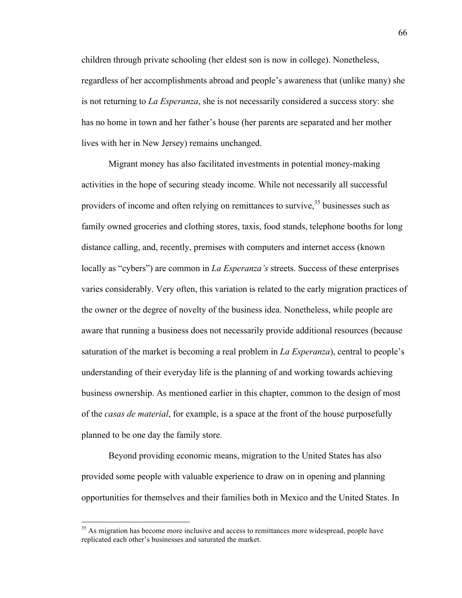children through private schooling (her eldest son is now in college). Nonetheless, regardless of her accomplishments abroad and people's awareness that (unlike many) she is not returning to *La Esperanza*, she is not necessarily considered a success story: she has no home in town and her father's house (her parents are separated and her mother lives with her in New Jersey) remains unchanged.

Migrant money has also facilitated investments in potential money-making activities in the hope of securing steady income. While not necessarily all successful providers of income and often relying on remittances to survive,  $35$  businesses such as family owned groceries and clothing stores, taxis, food stands, telephone booths for long distance calling, and, recently, premises with computers and internet access (known locally as "cybers") are common in *La Esperanza's* streets. Success of these enterprises varies considerably. Very often, this variation is related to the early migration practices of the owner or the degree of novelty of the business idea. Nonetheless, while people are aware that running a business does not necessarily provide additional resources (because saturation of the market is becoming a real problem in *La Esperanza*), central to people's understanding of their everyday life is the planning of and working towards achieving business ownership. As mentioned earlier in this chapter, common to the design of most of the *casas de material*, for example, is a space at the front of the house purposefully planned to be one day the family store.

Beyond providing economic means, migration to the United States has also provided some people with valuable experience to draw on in opening and planning opportunities for themselves and their families both in Mexico and the United States. In

<sup>&</sup>lt;sup>35</sup> As migration has become more inclusive and access to remittances more widespread, people have replicated each other's businesses and saturated the market.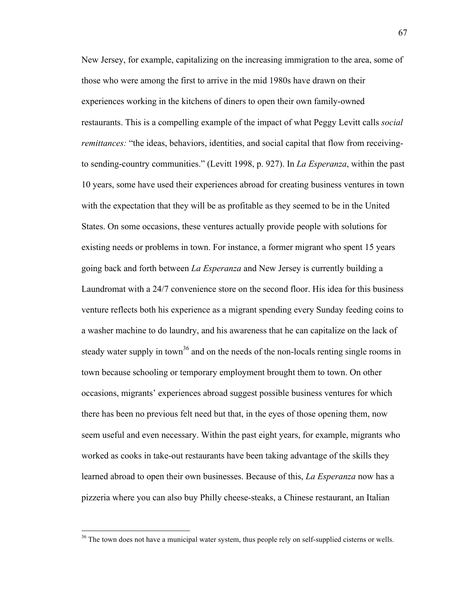New Jersey, for example, capitalizing on the increasing immigration to the area, some of those who were among the first to arrive in the mid 1980s have drawn on their experiences working in the kitchens of diners to open their own family-owned restaurants. This is a compelling example of the impact of what Peggy Levitt calls *social remittances:* "the ideas, behaviors, identities, and social capital that flow from receivingto sending-country communities." (Levitt 1998, p. 927). In *La Esperanza*, within the past 10 years, some have used their experiences abroad for creating business ventures in town with the expectation that they will be as profitable as they seemed to be in the United States. On some occasions, these ventures actually provide people with solutions for existing needs or problems in town. For instance, a former migrant who spent 15 years going back and forth between *La Esperanza* and New Jersey is currently building a Laundromat with a 24/7 convenience store on the second floor. His idea for this business venture reflects both his experience as a migrant spending every Sunday feeding coins to a washer machine to do laundry, and his awareness that he can capitalize on the lack of steady water supply in town<sup>36</sup> and on the needs of the non-locals renting single rooms in town because schooling or temporary employment brought them to town. On other occasions, migrants' experiences abroad suggest possible business ventures for which there has been no previous felt need but that, in the eyes of those opening them, now seem useful and even necessary. Within the past eight years, for example, migrants who worked as cooks in take-out restaurants have been taking advantage of the skills they learned abroad to open their own businesses. Because of this, *La Esperanza* now has a pizzeria where you can also buy Philly cheese-steaks, a Chinese restaurant, an Italian

<sup>&</sup>lt;sup>36</sup> The town does not have a municipal water system, thus people rely on self-supplied cisterns or wells.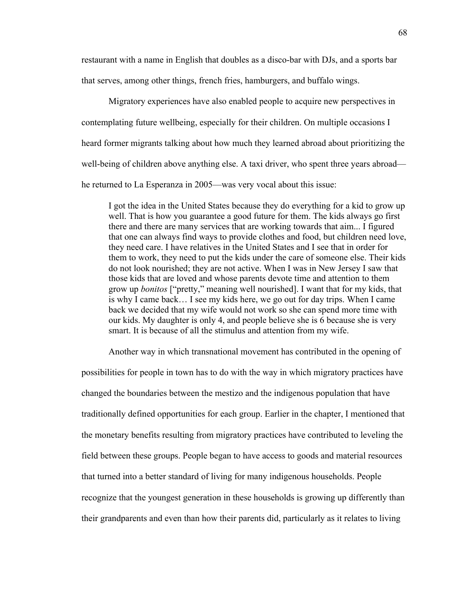restaurant with a name in English that doubles as a disco-bar with DJs, and a sports bar that serves, among other things, french fries, hamburgers, and buffalo wings.

Migratory experiences have also enabled people to acquire new perspectives in contemplating future wellbeing, especially for their children. On multiple occasions I heard former migrants talking about how much they learned abroad about prioritizing the well-being of children above anything else. A taxi driver, who spent three years abroad he returned to La Esperanza in 2005—was very vocal about this issue:

I got the idea in the United States because they do everything for a kid to grow up well. That is how you guarantee a good future for them. The kids always go first there and there are many services that are working towards that aim... I figured that one can always find ways to provide clothes and food, but children need love, they need care. I have relatives in the United States and I see that in order for them to work, they need to put the kids under the care of someone else. Their kids do not look nourished; they are not active. When I was in New Jersey I saw that those kids that are loved and whose parents devote time and attention to them grow up *bonitos* ["pretty," meaning well nourished]. I want that for my kids, that is why I came back… I see my kids here, we go out for day trips. When I came back we decided that my wife would not work so she can spend more time with our kids. My daughter is only 4, and people believe she is 6 because she is very smart. It is because of all the stimulus and attention from my wife.

Another way in which transnational movement has contributed in the opening of

possibilities for people in town has to do with the way in which migratory practices have changed the boundaries between the mestizo and the indigenous population that have traditionally defined opportunities for each group. Earlier in the chapter, I mentioned that the monetary benefits resulting from migratory practices have contributed to leveling the field between these groups. People began to have access to goods and material resources that turned into a better standard of living for many indigenous households. People recognize that the youngest generation in these households is growing up differently than their grandparents and even than how their parents did, particularly as it relates to living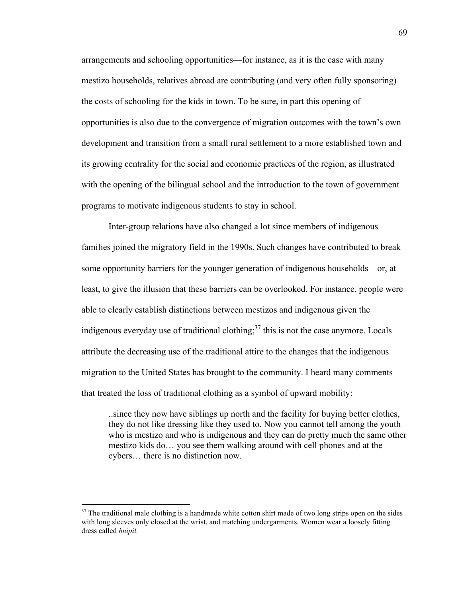arrangements and schooling opportunities—for instance, as it is the case with many mestizo households, relatives abroad are contributing (and very often fully sponsoring) the costs of schooling for the kids in town. To be sure, in part this opening of opportunities is also due to the convergence of migration outcomes with the town's own development and transition from a small rural settlement to a more established town and its growing centrality for the social and economic practices of the region, as illustrated with the opening of the bilingual school and the introduction to the town of government programs to motivate indigenous students to stay in school.

Inter-group relations have also changed a lot since members of indigenous families joined the migratory field in the 1990s. Such changes have contributed to break some opportunity barriers for the younger generation of indigenous households—or, at least, to give the illusion that these barriers can be overlooked. For instance, people were able to clearly establish distinctions between mestizos and indigenous given the indigenous everyday use of traditional clothing; $3^7$  this is not the case anymore. Locals attribute the decreasing use of the traditional attire to the changes that the indigenous migration to the United States has brought to the community. I heard many comments that treated the loss of traditional clothing as a symbol of upward mobility:

..since they now have siblings up north and the facility for buying better clothes, they do not like dressing like they used to. Now you cannot tell among the youth who is mestizo and who is indigenous and they can do pretty much the same other mestizo kids do… you see them walking around with cell phones and at the cybers… there is no distinction now.

 $37$  The traditional male clothing is a handmade white cotton shirt made of two long strips open on the sides with long sleeves only closed at the wrist, and matching undergarments. Women wear a loosely fitting dress called *huipil.*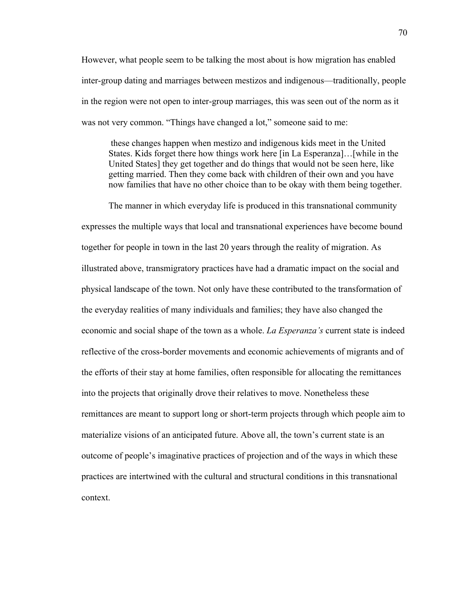However, what people seem to be talking the most about is how migration has enabled inter-group dating and marriages between mestizos and indigenous—traditionally, people in the region were not open to inter-group marriages, this was seen out of the norm as it was not very common. "Things have changed a lot," someone said to me:

 these changes happen when mestizo and indigenous kids meet in the United States. Kids forget there how things work here [in La Esperanza]…[while in the United States] they get together and do things that would not be seen here, like getting married. Then they come back with children of their own and you have now families that have no other choice than to be okay with them being together.

The manner in which everyday life is produced in this transnational community expresses the multiple ways that local and transnational experiences have become bound together for people in town in the last 20 years through the reality of migration. As illustrated above, transmigratory practices have had a dramatic impact on the social and physical landscape of the town. Not only have these contributed to the transformation of the everyday realities of many individuals and families; they have also changed the economic and social shape of the town as a whole. *La Esperanza's* current state is indeed reflective of the cross-border movements and economic achievements of migrants and of the efforts of their stay at home families, often responsible for allocating the remittances into the projects that originally drove their relatives to move. Nonetheless these remittances are meant to support long or short-term projects through which people aim to materialize visions of an anticipated future. Above all, the town's current state is an outcome of people's imaginative practices of projection and of the ways in which these practices are intertwined with the cultural and structural conditions in this transnational context.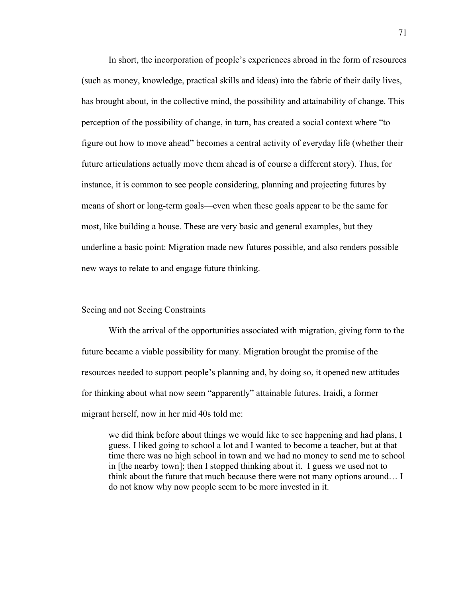In short, the incorporation of people's experiences abroad in the form of resources (such as money, knowledge, practical skills and ideas) into the fabric of their daily lives, has brought about, in the collective mind, the possibility and attainability of change. This perception of the possibility of change, in turn, has created a social context where "to figure out how to move ahead" becomes a central activity of everyday life (whether their future articulations actually move them ahead is of course a different story). Thus, for instance, it is common to see people considering, planning and projecting futures by means of short or long-term goals—even when these goals appear to be the same for most, like building a house. These are very basic and general examples, but they underline a basic point: Migration made new futures possible, and also renders possible new ways to relate to and engage future thinking.

### Seeing and not Seeing Constraints

With the arrival of the opportunities associated with migration, giving form to the future became a viable possibility for many. Migration brought the promise of the resources needed to support people's planning and, by doing so, it opened new attitudes for thinking about what now seem "apparently" attainable futures. Iraidi, a former migrant herself, now in her mid 40s told me:

we did think before about things we would like to see happening and had plans, I guess. I liked going to school a lot and I wanted to become a teacher, but at that time there was no high school in town and we had no money to send me to school in [the nearby town]; then I stopped thinking about it. I guess we used not to think about the future that much because there were not many options around… I do not know why now people seem to be more invested in it.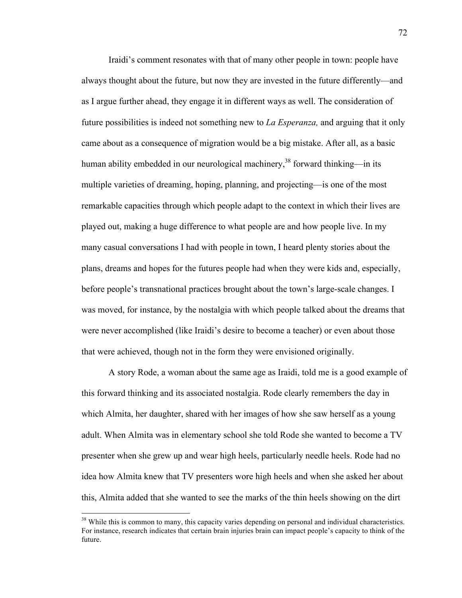Iraidi's comment resonates with that of many other people in town: people have always thought about the future, but now they are invested in the future differently—and as I argue further ahead, they engage it in different ways as well. The consideration of future possibilities is indeed not something new to *La Esperanza,* and arguing that it only came about as a consequence of migration would be a big mistake. After all, as a basic human ability embedded in our neurological machinery,<sup>38</sup> forward thinking—in its multiple varieties of dreaming, hoping, planning, and projecting—is one of the most remarkable capacities through which people adapt to the context in which their lives are played out, making a huge difference to what people are and how people live. In my many casual conversations I had with people in town, I heard plenty stories about the plans, dreams and hopes for the futures people had when they were kids and, especially, before people's transnational practices brought about the town's large-scale changes. I was moved, for instance, by the nostalgia with which people talked about the dreams that were never accomplished (like Iraidi's desire to become a teacher) or even about those that were achieved, though not in the form they were envisioned originally.

A story Rode, a woman about the same age as Iraidi, told me is a good example of this forward thinking and its associated nostalgia. Rode clearly remembers the day in which Almita, her daughter, shared with her images of how she saw herself as a young adult. When Almita was in elementary school she told Rode she wanted to become a TV presenter when she grew up and wear high heels, particularly needle heels. Rode had no idea how Almita knew that TV presenters wore high heels and when she asked her about this, Almita added that she wanted to see the marks of the thin heels showing on the dirt

<sup>&</sup>lt;sup>38</sup> While this is common to many, this capacity varies depending on personal and individual characteristics. For instance, research indicates that certain brain injuries brain can impact people's capacity to think of the future.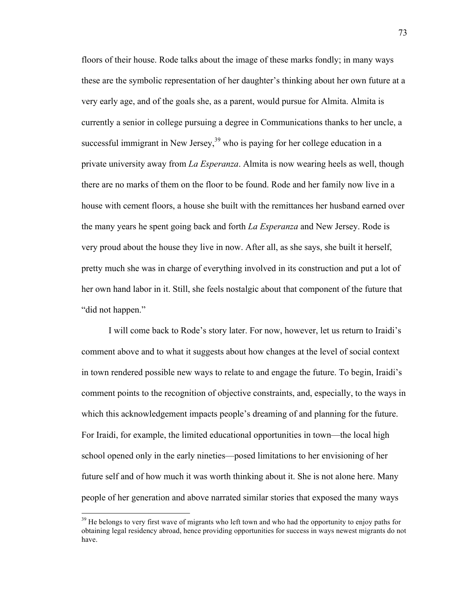floors of their house. Rode talks about the image of these marks fondly; in many ways these are the symbolic representation of her daughter's thinking about her own future at a very early age, and of the goals she, as a parent, would pursue for Almita. Almita is currently a senior in college pursuing a degree in Communications thanks to her uncle, a successful immigrant in New Jersey,  $39$  who is paying for her college education in a private university away from *La Esperanza*. Almita is now wearing heels as well, though there are no marks of them on the floor to be found. Rode and her family now live in a house with cement floors, a house she built with the remittances her husband earned over the many years he spent going back and forth *La Esperanza* and New Jersey. Rode is very proud about the house they live in now. After all, as she says, she built it herself, pretty much she was in charge of everything involved in its construction and put a lot of her own hand labor in it. Still, she feels nostalgic about that component of the future that "did not happen."

I will come back to Rode's story later. For now, however, let us return to Iraidi's comment above and to what it suggests about how changes at the level of social context in town rendered possible new ways to relate to and engage the future. To begin, Iraidi's comment points to the recognition of objective constraints, and, especially, to the ways in which this acknowledgement impacts people's dreaming of and planning for the future. For Iraidi, for example, the limited educational opportunities in town—the local high school opened only in the early nineties—posed limitations to her envisioning of her future self and of how much it was worth thinking about it. She is not alone here. Many people of her generation and above narrated similar stories that exposed the many ways

 $39$  He belongs to very first wave of migrants who left town and who had the opportunity to enjoy paths for obtaining legal residency abroad, hence providing opportunities for success in ways newest migrants do not have.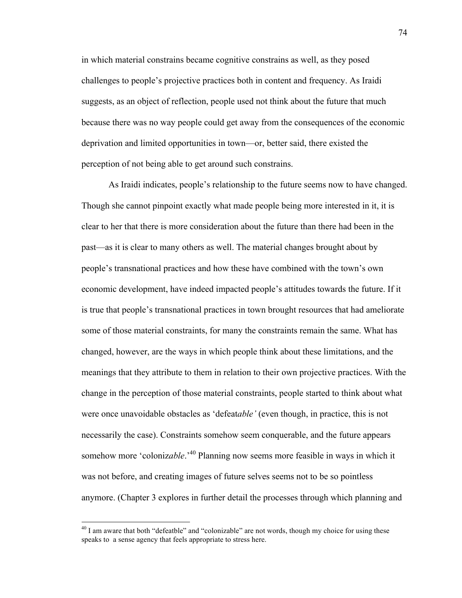in which material constrains became cognitive constrains as well, as they posed challenges to people's projective practices both in content and frequency. As Iraidi suggests, as an object of reflection, people used not think about the future that much because there was no way people could get away from the consequences of the economic deprivation and limited opportunities in town—or, better said, there existed the perception of not being able to get around such constrains.

As Iraidi indicates, people's relationship to the future seems now to have changed. Though she cannot pinpoint exactly what made people being more interested in it, it is clear to her that there is more consideration about the future than there had been in the past—as it is clear to many others as well. The material changes brought about by people's transnational practices and how these have combined with the town's own economic development, have indeed impacted people's attitudes towards the future. If it is true that people's transnational practices in town brought resources that had ameliorate some of those material constraints, for many the constraints remain the same. What has changed, however, are the ways in which people think about these limitations, and the meanings that they attribute to them in relation to their own projective practices. With the change in the perception of those material constraints, people started to think about what were once unavoidable obstacles as 'defeat*able'* (even though, in practice, this is not necessarily the case). Constraints somehow seem conquerable, and the future appears somehow more 'coloniz*able*.'40 Planning now seems more feasible in ways in which it was not before, and creating images of future selves seems not to be so pointless anymore. (Chapter 3 explores in further detail the processes through which planning and

 $40$  I am aware that both "defeatble" and "colonizable" are not words, though my choice for using these speaks to a sense agency that feels appropriate to stress here.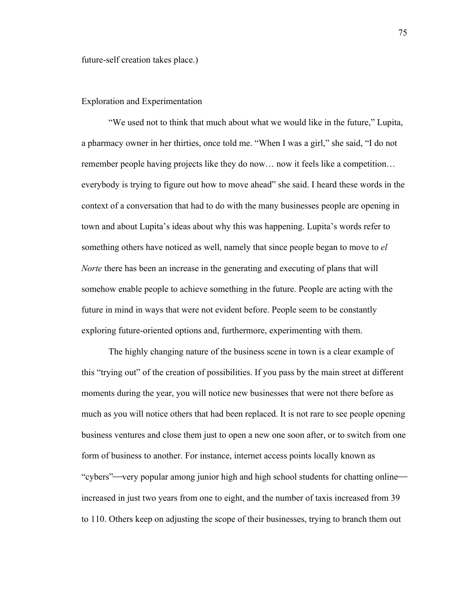## Exploration and Experimentation

"We used not to think that much about what we would like in the future," Lupita, a pharmacy owner in her thirties, once told me. "When I was a girl," she said, "I do not remember people having projects like they do now… now it feels like a competition… everybody is trying to figure out how to move ahead" she said. I heard these words in the context of a conversation that had to do with the many businesses people are opening in town and about Lupita's ideas about why this was happening. Lupita's words refer to something others have noticed as well, namely that since people began to move to *el Norte* there has been an increase in the generating and executing of plans that will somehow enable people to achieve something in the future. People are acting with the future in mind in ways that were not evident before. People seem to be constantly exploring future-oriented options and, furthermore, experimenting with them.

The highly changing nature of the business scene in town is a clear example of this "trying out" of the creation of possibilities. If you pass by the main street at different moments during the year, you will notice new businesses that were not there before as much as you will notice others that had been replaced. It is not rare to see people opening business ventures and close them just to open a new one soon after, or to switch from one form of business to another. For instance, internet access points locally known as "cybers"—very popular among junior high and high school students for chatting online increased in just two years from one to eight, and the number of taxis increased from 39 to 110. Others keep on adjusting the scope of their businesses, trying to branch them out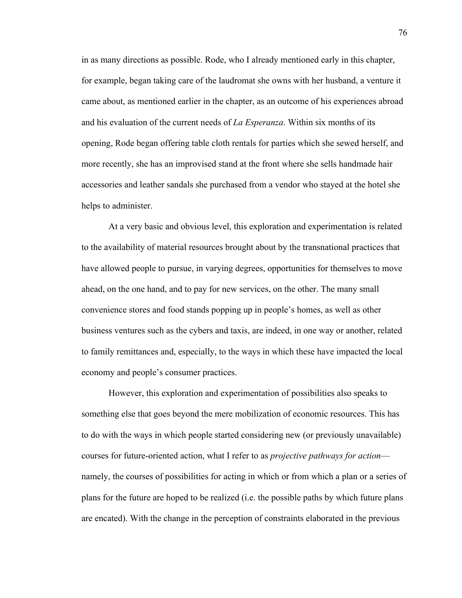in as many directions as possible. Rode, who I already mentioned early in this chapter, for example, began taking care of the laudromat she owns with her husband, a venture it came about, as mentioned earlier in the chapter, as an outcome of his experiences abroad and his evaluation of the current needs of *La Esperanza*. Within six months of its opening, Rode began offering table cloth rentals for parties which she sewed herself, and more recently, she has an improvised stand at the front where she sells handmade hair accessories and leather sandals she purchased from a vendor who stayed at the hotel she helps to administer.

At a very basic and obvious level, this exploration and experimentation is related to the availability of material resources brought about by the transnational practices that have allowed people to pursue, in varying degrees, opportunities for themselves to move ahead, on the one hand, and to pay for new services, on the other. The many small convenience stores and food stands popping up in people's homes, as well as other business ventures such as the cybers and taxis, are indeed, in one way or another, related to family remittances and, especially, to the ways in which these have impacted the local economy and people's consumer practices.

However, this exploration and experimentation of possibilities also speaks to something else that goes beyond the mere mobilization of economic resources. This has to do with the ways in which people started considering new (or previously unavailable) courses for future-oriented action, what I refer to as *projective pathways for action* namely, the courses of possibilities for acting in which or from which a plan or a series of plans for the future are hoped to be realized (i.e. the possible paths by which future plans are encated). With the change in the perception of constraints elaborated in the previous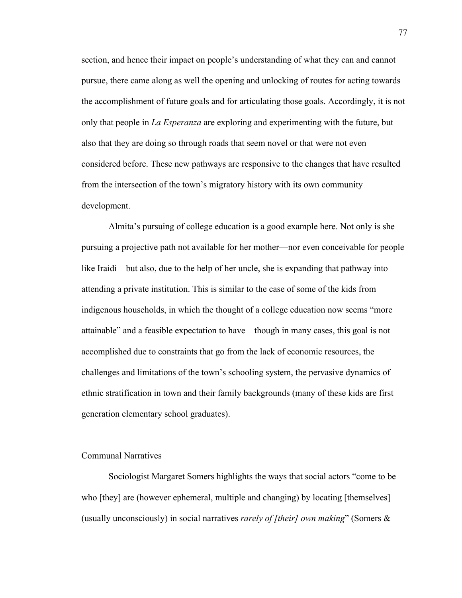section, and hence their impact on people's understanding of what they can and cannot pursue, there came along as well the opening and unlocking of routes for acting towards the accomplishment of future goals and for articulating those goals. Accordingly, it is not only that people in *La Esperanza* are exploring and experimenting with the future, but also that they are doing so through roads that seem novel or that were not even considered before. These new pathways are responsive to the changes that have resulted from the intersection of the town's migratory history with its own community development.

Almita's pursuing of college education is a good example here. Not only is she pursuing a projective path not available for her mother—nor even conceivable for people like Iraidi—but also, due to the help of her uncle, she is expanding that pathway into attending a private institution. This is similar to the case of some of the kids from indigenous households, in which the thought of a college education now seems "more attainable" and a feasible expectation to have—though in many cases, this goal is not accomplished due to constraints that go from the lack of economic resources, the challenges and limitations of the town's schooling system, the pervasive dynamics of ethnic stratification in town and their family backgrounds (many of these kids are first generation elementary school graduates).

### Communal Narratives

Sociologist Margaret Somers highlights the ways that social actors "come to be who [they] are (however ephemeral, multiple and changing) by locating [themselves] (usually unconsciously) in social narratives *rarely of [their] own making*" (Somers &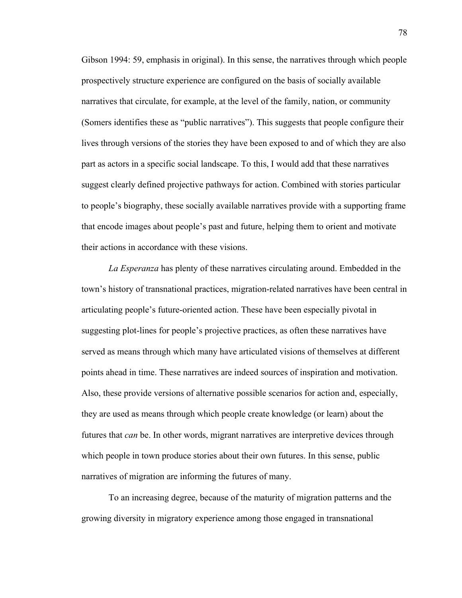Gibson 1994: 59, emphasis in original). In this sense, the narratives through which people prospectively structure experience are configured on the basis of socially available narratives that circulate, for example, at the level of the family, nation, or community (Somers identifies these as "public narratives"). This suggests that people configure their lives through versions of the stories they have been exposed to and of which they are also part as actors in a specific social landscape. To this, I would add that these narratives suggest clearly defined projective pathways for action. Combined with stories particular to people's biography, these socially available narratives provide with a supporting frame that encode images about people's past and future, helping them to orient and motivate their actions in accordance with these visions.

*La Esperanza* has plenty of these narratives circulating around. Embedded in the town's history of transnational practices, migration-related narratives have been central in articulating people's future-oriented action. These have been especially pivotal in suggesting plot-lines for people's projective practices, as often these narratives have served as means through which many have articulated visions of themselves at different points ahead in time. These narratives are indeed sources of inspiration and motivation. Also, these provide versions of alternative possible scenarios for action and, especially, they are used as means through which people create knowledge (or learn) about the futures that *can* be. In other words, migrant narratives are interpretive devices through which people in town produce stories about their own futures. In this sense, public narratives of migration are informing the futures of many.

To an increasing degree, because of the maturity of migration patterns and the growing diversity in migratory experience among those engaged in transnational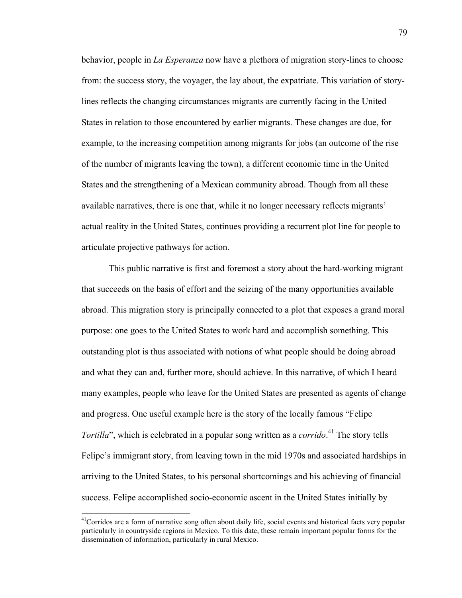behavior, people in *La Esperanza* now have a plethora of migration story-lines to choose from: the success story, the voyager, the lay about, the expatriate. This variation of storylines reflects the changing circumstances migrants are currently facing in the United States in relation to those encountered by earlier migrants. These changes are due, for example, to the increasing competition among migrants for jobs (an outcome of the rise of the number of migrants leaving the town), a different economic time in the United States and the strengthening of a Mexican community abroad. Though from all these available narratives, there is one that, while it no longer necessary reflects migrants' actual reality in the United States, continues providing a recurrent plot line for people to articulate projective pathways for action.

This public narrative is first and foremost a story about the hard-working migrant that succeeds on the basis of effort and the seizing of the many opportunities available abroad. This migration story is principally connected to a plot that exposes a grand moral purpose: one goes to the United States to work hard and accomplish something. This outstanding plot is thus associated with notions of what people should be doing abroad and what they can and, further more, should achieve. In this narrative, of which I heard many examples, people who leave for the United States are presented as agents of change and progress. One useful example here is the story of the locally famous "Felipe *Tortilla*", which is celebrated in a popular song written as a *corrido*. 41 The story tells Felipe's immigrant story, from leaving town in the mid 1970s and associated hardships in arriving to the United States, to his personal shortcomings and his achieving of financial success. Felipe accomplished socio-economic ascent in the United States initially by

 $<sup>41</sup>$ Corridos are a form of narrative song often about daily life, social events and historical facts very popular</sup> particularly in countryside regions in Mexico. To this date, these remain important popular forms for the dissemination of information, particularly in rural Mexico.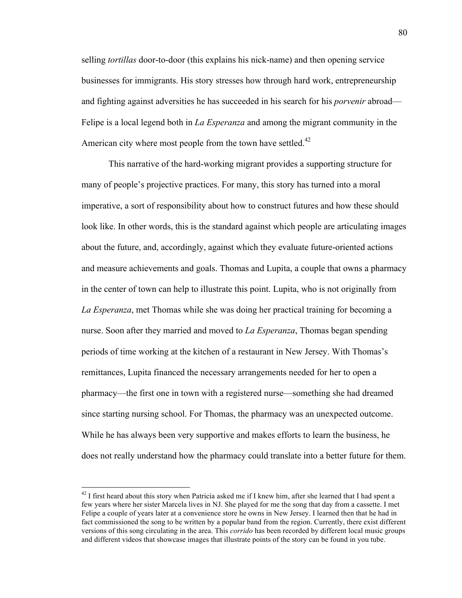selling *tortillas* door-to-door (this explains his nick-name) and then opening service businesses for immigrants. His story stresses how through hard work, entrepreneurship and fighting against adversities he has succeeded in his search for his *porvenir* abroad— Felipe is a local legend both in *La Esperanza* and among the migrant community in the American city where most people from the town have settled. $42$ 

This narrative of the hard-working migrant provides a supporting structure for many of people's projective practices. For many, this story has turned into a moral imperative, a sort of responsibility about how to construct futures and how these should look like. In other words, this is the standard against which people are articulating images about the future, and, accordingly, against which they evaluate future-oriented actions and measure achievements and goals. Thomas and Lupita, a couple that owns a pharmacy in the center of town can help to illustrate this point. Lupita, who is not originally from *La Esperanza*, met Thomas while she was doing her practical training for becoming a nurse. Soon after they married and moved to *La Esperanza*, Thomas began spending periods of time working at the kitchen of a restaurant in New Jersey. With Thomas's remittances, Lupita financed the necessary arrangements needed for her to open a pharmacy—the first one in town with a registered nurse—something she had dreamed since starting nursing school. For Thomas, the pharmacy was an unexpected outcome. While he has always been very supportive and makes efforts to learn the business, he does not really understand how the pharmacy could translate into a better future for them.

 $^{42}$  I first heard about this story when Patricia asked me if I knew him, after she learned that I had spent a few years where her sister Marcela lives in NJ. She played for me the song that day from a cassette. I met Felipe a couple of years later at a convenience store he owns in New Jersey. I learned then that he had in fact commissioned the song to be written by a popular band from the region. Currently, there exist different versions of this song circulating in the area. This *corrido* has been recorded by different local music groups and different videos that showcase images that illustrate points of the story can be found in you tube.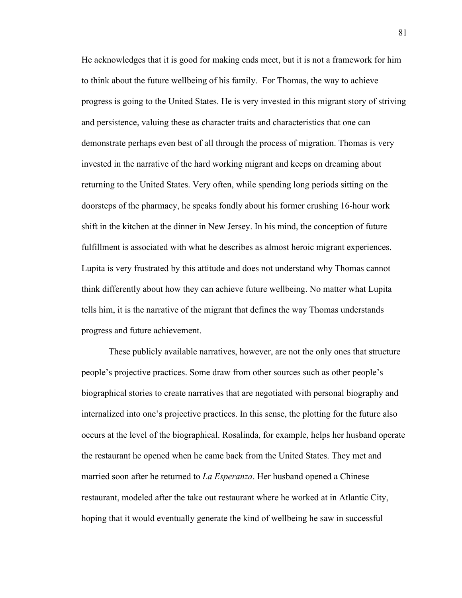He acknowledges that it is good for making ends meet, but it is not a framework for him to think about the future wellbeing of his family. For Thomas, the way to achieve progress is going to the United States. He is very invested in this migrant story of striving and persistence, valuing these as character traits and characteristics that one can demonstrate perhaps even best of all through the process of migration. Thomas is very invested in the narrative of the hard working migrant and keeps on dreaming about returning to the United States. Very often, while spending long periods sitting on the doorsteps of the pharmacy, he speaks fondly about his former crushing 16-hour work shift in the kitchen at the dinner in New Jersey. In his mind, the conception of future fulfillment is associated with what he describes as almost heroic migrant experiences. Lupita is very frustrated by this attitude and does not understand why Thomas cannot think differently about how they can achieve future wellbeing. No matter what Lupita tells him, it is the narrative of the migrant that defines the way Thomas understands progress and future achievement.

These publicly available narratives, however, are not the only ones that structure people's projective practices. Some draw from other sources such as other people's biographical stories to create narratives that are negotiated with personal biography and internalized into one's projective practices. In this sense, the plotting for the future also occurs at the level of the biographical. Rosalinda, for example, helps her husband operate the restaurant he opened when he came back from the United States. They met and married soon after he returned to *La Esperanza*. Her husband opened a Chinese restaurant, modeled after the take out restaurant where he worked at in Atlantic City, hoping that it would eventually generate the kind of wellbeing he saw in successful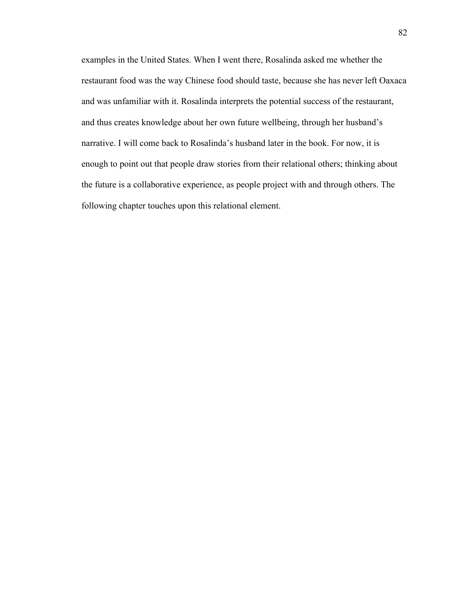examples in the United States. When I went there, Rosalinda asked me whether the restaurant food was the way Chinese food should taste, because she has never left Oaxaca and was unfamiliar with it. Rosalinda interprets the potential success of the restaurant, and thus creates knowledge about her own future wellbeing, through her husband's narrative. I will come back to Rosalinda's husband later in the book. For now, it is enough to point out that people draw stories from their relational others; thinking about the future is a collaborative experience, as people project with and through others. The following chapter touches upon this relational element.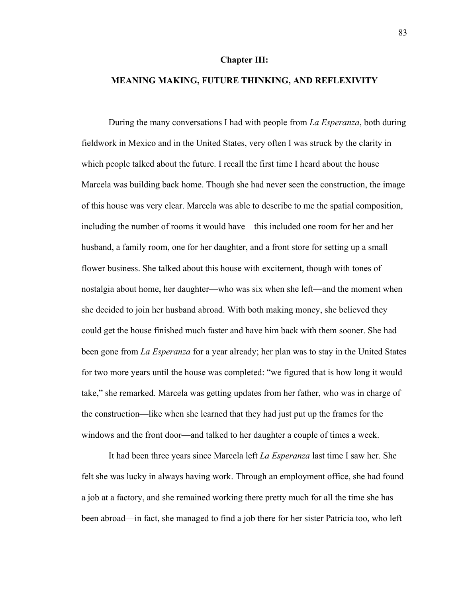#### **Chapter III:**

### **MEANING MAKING, FUTURE THINKING, AND REFLEXIVITY**

During the many conversations I had with people from *La Esperanza*, both during fieldwork in Mexico and in the United States, very often I was struck by the clarity in which people talked about the future. I recall the first time I heard about the house Marcela was building back home. Though she had never seen the construction, the image of this house was very clear. Marcela was able to describe to me the spatial composition, including the number of rooms it would have—this included one room for her and her husband, a family room, one for her daughter, and a front store for setting up a small flower business. She talked about this house with excitement, though with tones of nostalgia about home, her daughter—who was six when she left—and the moment when she decided to join her husband abroad. With both making money, she believed they could get the house finished much faster and have him back with them sooner. She had been gone from *La Esperanza* for a year already; her plan was to stay in the United States for two more years until the house was completed: "we figured that is how long it would take," she remarked. Marcela was getting updates from her father, who was in charge of the construction—like when she learned that they had just put up the frames for the windows and the front door—and talked to her daughter a couple of times a week.

It had been three years since Marcela left *La Esperanza* last time I saw her. She felt she was lucky in always having work. Through an employment office, she had found a job at a factory, and she remained working there pretty much for all the time she has been abroad—in fact, she managed to find a job there for her sister Patricia too, who left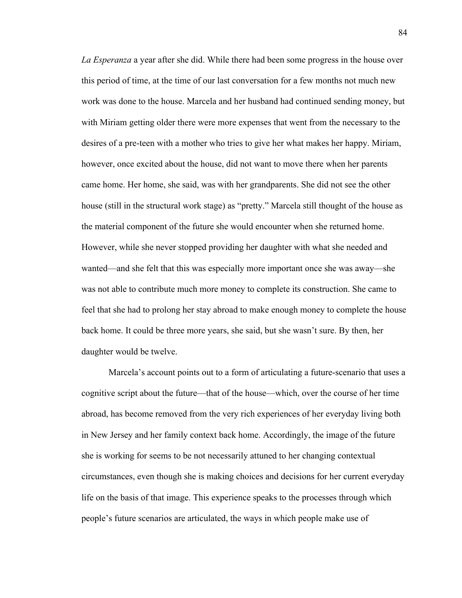*La Esperanza* a year after she did. While there had been some progress in the house over this period of time, at the time of our last conversation for a few months not much new work was done to the house. Marcela and her husband had continued sending money, but with Miriam getting older there were more expenses that went from the necessary to the desires of a pre-teen with a mother who tries to give her what makes her happy. Miriam, however, once excited about the house, did not want to move there when her parents came home. Her home, she said, was with her grandparents. She did not see the other house (still in the structural work stage) as "pretty." Marcela still thought of the house as the material component of the future she would encounter when she returned home. However, while she never stopped providing her daughter with what she needed and wanted—and she felt that this was especially more important once she was away—she was not able to contribute much more money to complete its construction. She came to feel that she had to prolong her stay abroad to make enough money to complete the house back home. It could be three more years, she said, but she wasn't sure. By then, her daughter would be twelve.

Marcela's account points out to a form of articulating a future-scenario that uses a cognitive script about the future—that of the house—which, over the course of her time abroad, has become removed from the very rich experiences of her everyday living both in New Jersey and her family context back home. Accordingly, the image of the future she is working for seems to be not necessarily attuned to her changing contextual circumstances, even though she is making choices and decisions for her current everyday life on the basis of that image. This experience speaks to the processes through which people's future scenarios are articulated, the ways in which people make use of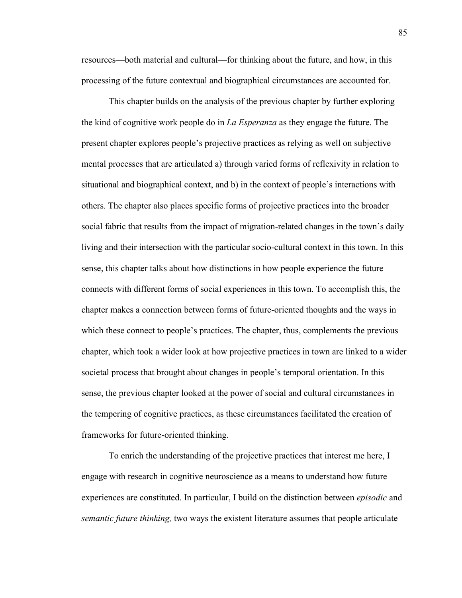resources—both material and cultural—for thinking about the future, and how, in this processing of the future contextual and biographical circumstances are accounted for.

This chapter builds on the analysis of the previous chapter by further exploring the kind of cognitive work people do in *La Esperanza* as they engage the future. The present chapter explores people's projective practices as relying as well on subjective mental processes that are articulated a) through varied forms of reflexivity in relation to situational and biographical context, and b) in the context of people's interactions with others. The chapter also places specific forms of projective practices into the broader social fabric that results from the impact of migration-related changes in the town's daily living and their intersection with the particular socio-cultural context in this town. In this sense, this chapter talks about how distinctions in how people experience the future connects with different forms of social experiences in this town. To accomplish this, the chapter makes a connection between forms of future-oriented thoughts and the ways in which these connect to people's practices. The chapter, thus, complements the previous chapter, which took a wider look at how projective practices in town are linked to a wider societal process that brought about changes in people's temporal orientation. In this sense, the previous chapter looked at the power of social and cultural circumstances in the tempering of cognitive practices, as these circumstances facilitated the creation of frameworks for future-oriented thinking.

To enrich the understanding of the projective practices that interest me here, I engage with research in cognitive neuroscience as a means to understand how future experiences are constituted. In particular, I build on the distinction between *episodic* and *semantic future thinking,* two ways the existent literature assumes that people articulate

85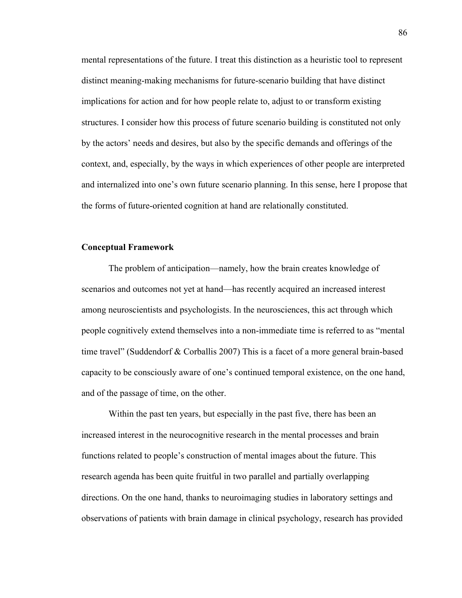mental representations of the future. I treat this distinction as a heuristic tool to represent distinct meaning-making mechanisms for future-scenario building that have distinct implications for action and for how people relate to, adjust to or transform existing structures. I consider how this process of future scenario building is constituted not only by the actors' needs and desires, but also by the specific demands and offerings of the context, and, especially, by the ways in which experiences of other people are interpreted and internalized into one's own future scenario planning. In this sense, here I propose that the forms of future-oriented cognition at hand are relationally constituted.

### **Conceptual Framework**

The problem of anticipation—namely, how the brain creates knowledge of scenarios and outcomes not yet at hand—has recently acquired an increased interest among neuroscientists and psychologists. In the neurosciences, this act through which people cognitively extend themselves into a non-immediate time is referred to as "mental time travel" (Suddendorf & Corballis 2007) This is a facet of a more general brain-based capacity to be consciously aware of one's continued temporal existence, on the one hand, and of the passage of time, on the other.

Within the past ten years, but especially in the past five, there has been an increased interest in the neurocognitive research in the mental processes and brain functions related to people's construction of mental images about the future. This research agenda has been quite fruitful in two parallel and partially overlapping directions. On the one hand, thanks to neuroimaging studies in laboratory settings and observations of patients with brain damage in clinical psychology, research has provided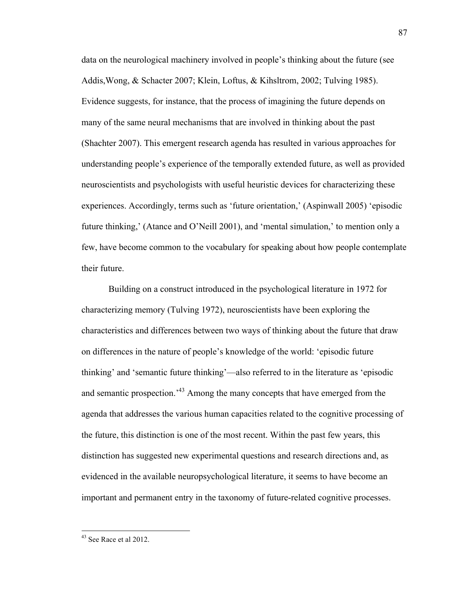data on the neurological machinery involved in people's thinking about the future (see Addis,Wong, & Schacter 2007; Klein, Loftus, & Kihsltrom, 2002; Tulving 1985). Evidence suggests, for instance, that the process of imagining the future depends on many of the same neural mechanisms that are involved in thinking about the past (Shachter 2007). This emergent research agenda has resulted in various approaches for understanding people's experience of the temporally extended future, as well as provided neuroscientists and psychologists with useful heuristic devices for characterizing these experiences. Accordingly, terms such as 'future orientation,' (Aspinwall 2005) 'episodic future thinking,' (Atance and O'Neill 2001), and 'mental simulation,' to mention only a few, have become common to the vocabulary for speaking about how people contemplate their future.

Building on a construct introduced in the psychological literature in 1972 for characterizing memory (Tulving 1972), neuroscientists have been exploring the characteristics and differences between two ways of thinking about the future that draw on differences in the nature of people's knowledge of the world: 'episodic future thinking' and 'semantic future thinking'—also referred to in the literature as 'episodic and semantic prospection.<sup>43</sup> Among the many concepts that have emerged from the agenda that addresses the various human capacities related to the cognitive processing of the future, this distinction is one of the most recent. Within the past few years, this distinction has suggested new experimental questions and research directions and, as evidenced in the available neuropsychological literature, it seems to have become an important and permanent entry in the taxonomy of future-related cognitive processes.

<sup>&</sup>lt;sup>43</sup> See Race et al 2012.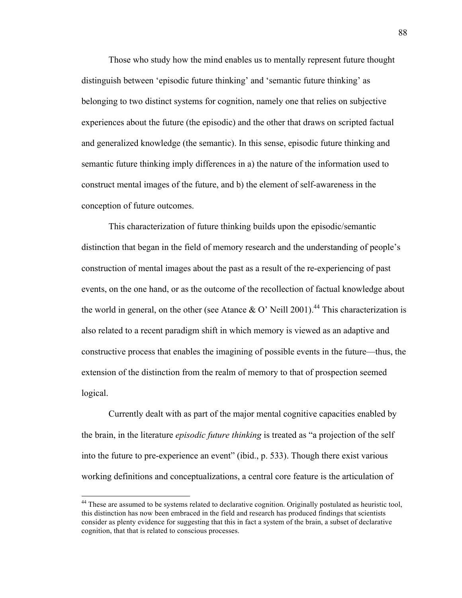Those who study how the mind enables us to mentally represent future thought distinguish between 'episodic future thinking' and 'semantic future thinking' as belonging to two distinct systems for cognition, namely one that relies on subjective experiences about the future (the episodic) and the other that draws on scripted factual and generalized knowledge (the semantic). In this sense, episodic future thinking and semantic future thinking imply differences in a) the nature of the information used to construct mental images of the future, and b) the element of self-awareness in the conception of future outcomes.

This characterization of future thinking builds upon the episodic/semantic distinction that began in the field of memory research and the understanding of people's construction of mental images about the past as a result of the re-experiencing of past events, on the one hand, or as the outcome of the recollection of factual knowledge about the world in general, on the other (see Atance & O' Neill 2001).<sup>44</sup> This characterization is also related to a recent paradigm shift in which memory is viewed as an adaptive and constructive process that enables the imagining of possible events in the future—thus, the extension of the distinction from the realm of memory to that of prospection seemed logical.

Currently dealt with as part of the major mental cognitive capacities enabled by the brain, in the literature *episodic future thinking* is treated as "a projection of the self into the future to pre-experience an event" (ibid., p. 533). Though there exist various working definitions and conceptualizations, a central core feature is the articulation of

88

<sup>&</sup>lt;sup>44</sup> These are assumed to be systems related to declarative cognition. Originally postulated as heuristic tool, this distinction has now been embraced in the field and research has produced findings that scientists consider as plenty evidence for suggesting that this in fact a system of the brain, a subset of declarative cognition, that that is related to conscious processes.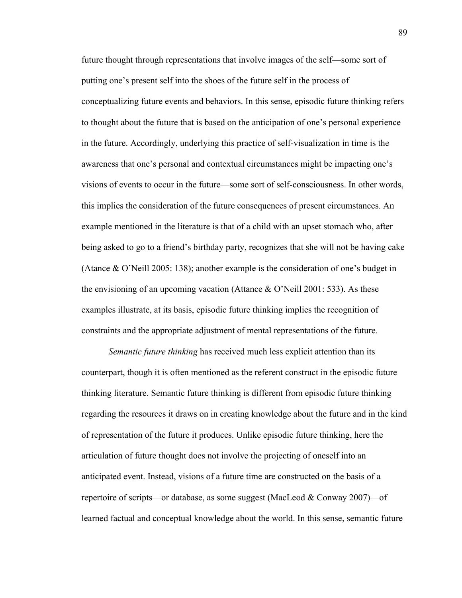future thought through representations that involve images of the self—some sort of putting one's present self into the shoes of the future self in the process of conceptualizing future events and behaviors. In this sense, episodic future thinking refers to thought about the future that is based on the anticipation of one's personal experience in the future. Accordingly, underlying this practice of self-visualization in time is the awareness that one's personal and contextual circumstances might be impacting one's visions of events to occur in the future—some sort of self-consciousness. In other words, this implies the consideration of the future consequences of present circumstances. An example mentioned in the literature is that of a child with an upset stomach who, after being asked to go to a friend's birthday party, recognizes that she will not be having cake (Atance & O'Neill 2005: 138); another example is the consideration of one's budget in the envisioning of an upcoming vacation (Attance  $\&$  O'Neill 2001: 533). As these examples illustrate, at its basis, episodic future thinking implies the recognition of constraints and the appropriate adjustment of mental representations of the future.

*Semantic future thinking* has received much less explicit attention than its counterpart, though it is often mentioned as the referent construct in the episodic future thinking literature. Semantic future thinking is different from episodic future thinking regarding the resources it draws on in creating knowledge about the future and in the kind of representation of the future it produces. Unlike episodic future thinking, here the articulation of future thought does not involve the projecting of oneself into an anticipated event. Instead, visions of a future time are constructed on the basis of a repertoire of scripts—or database, as some suggest (MacLeod & Conway 2007)—of learned factual and conceptual knowledge about the world. In this sense, semantic future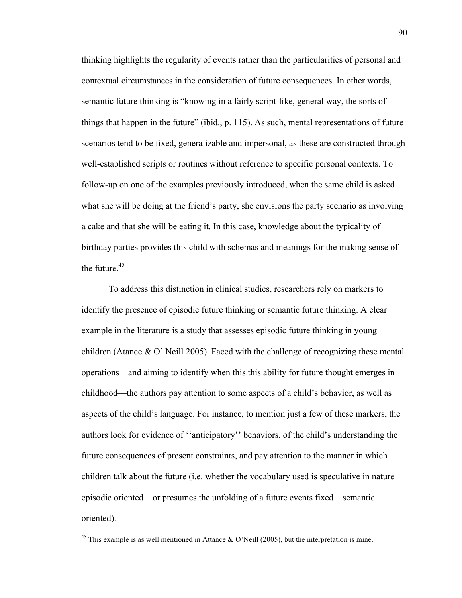thinking highlights the regularity of events rather than the particularities of personal and contextual circumstances in the consideration of future consequences. In other words, semantic future thinking is "knowing in a fairly script-like, general way, the sorts of things that happen in the future" (ibid., p. 115). As such, mental representations of future scenarios tend to be fixed, generalizable and impersonal, as these are constructed through well-established scripts or routines without reference to specific personal contexts. To follow-up on one of the examples previously introduced, when the same child is asked what she will be doing at the friend's party, she envisions the party scenario as involving a cake and that she will be eating it. In this case, knowledge about the typicality of birthday parties provides this child with schemas and meanings for the making sense of the future. $45$ 

To address this distinction in clinical studies, researchers rely on markers to identify the presence of episodic future thinking or semantic future thinking. A clear example in the literature is a study that assesses episodic future thinking in young children (Atance & O' Neill 2005). Faced with the challenge of recognizing these mental operations—and aiming to identify when this this ability for future thought emerges in childhood—the authors pay attention to some aspects of a child's behavior, as well as aspects of the child's language. For instance, to mention just a few of these markers, the authors look for evidence of ''anticipatory'' behaviors, of the child's understanding the future consequences of present constraints, and pay attention to the manner in which children talk about the future (i.e. whether the vocabulary used is speculative in nature episodic oriented—or presumes the unfolding of a future events fixed—semantic oriented).

<sup>&</sup>lt;sup>45</sup> This example is as well mentioned in Attance & O'Neill (2005), but the interpretation is mine.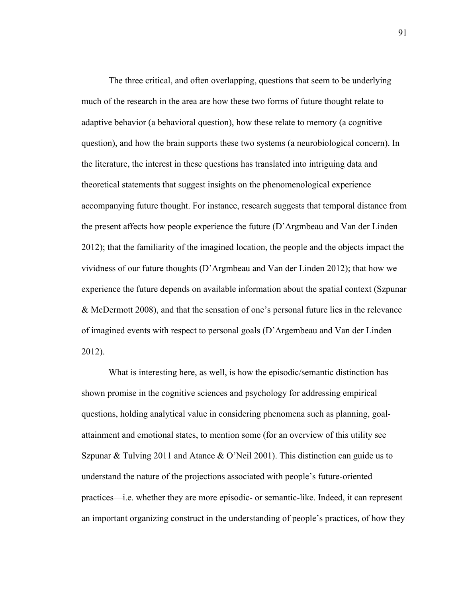The three critical, and often overlapping, questions that seem to be underlying much of the research in the area are how these two forms of future thought relate to adaptive behavior (a behavioral question), how these relate to memory (a cognitive question), and how the brain supports these two systems (a neurobiological concern). In the literature, the interest in these questions has translated into intriguing data and theoretical statements that suggest insights on the phenomenological experience accompanying future thought. For instance, research suggests that temporal distance from the present affects how people experience the future (D'Argmbeau and Van der Linden 2012); that the familiarity of the imagined location, the people and the objects impact the vividness of our future thoughts (D'Argmbeau and Van der Linden 2012); that how we experience the future depends on available information about the spatial context (Szpunar & McDermott 2008), and that the sensation of one's personal future lies in the relevance of imagined events with respect to personal goals (D'Argembeau and Van der Linden 2012).

What is interesting here, as well, is how the episodic/semantic distinction has shown promise in the cognitive sciences and psychology for addressing empirical questions, holding analytical value in considering phenomena such as planning, goalattainment and emotional states, to mention some (for an overview of this utility see Szpunar & Tulving 2011 and Atance & O'Neil 2001). This distinction can guide us to understand the nature of the projections associated with people's future-oriented practices—i.e. whether they are more episodic- or semantic-like. Indeed, it can represent an important organizing construct in the understanding of people's practices, of how they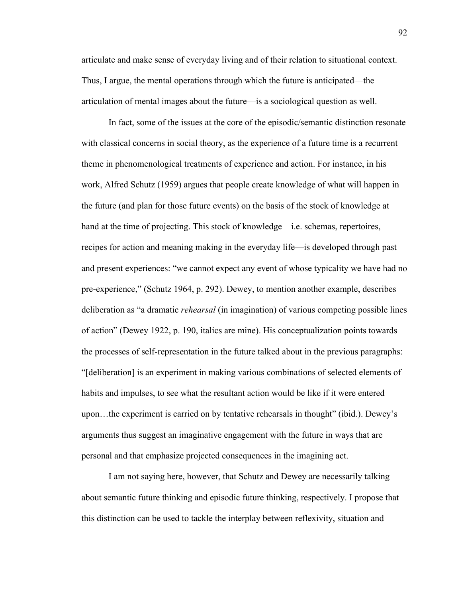articulate and make sense of everyday living and of their relation to situational context. Thus, I argue, the mental operations through which the future is anticipated—the articulation of mental images about the future—is a sociological question as well.

In fact, some of the issues at the core of the episodic/semantic distinction resonate with classical concerns in social theory, as the experience of a future time is a recurrent theme in phenomenological treatments of experience and action. For instance, in his work, Alfred Schutz (1959) argues that people create knowledge of what will happen in the future (and plan for those future events) on the basis of the stock of knowledge at hand at the time of projecting. This stock of knowledge—i.e. schemas, repertoires, recipes for action and meaning making in the everyday life—is developed through past and present experiences: "we cannot expect any event of whose typicality we have had no pre-experience," (Schutz 1964, p. 292). Dewey, to mention another example, describes deliberation as "a dramatic *rehearsal* (in imagination) of various competing possible lines of action" (Dewey 1922, p. 190, italics are mine). His conceptualization points towards the processes of self-representation in the future talked about in the previous paragraphs: "[deliberation] is an experiment in making various combinations of selected elements of habits and impulses, to see what the resultant action would be like if it were entered upon…the experiment is carried on by tentative rehearsals in thought" (ibid.). Dewey's arguments thus suggest an imaginative engagement with the future in ways that are personal and that emphasize projected consequences in the imagining act.

I am not saying here, however, that Schutz and Dewey are necessarily talking about semantic future thinking and episodic future thinking, respectively. I propose that this distinction can be used to tackle the interplay between reflexivity, situation and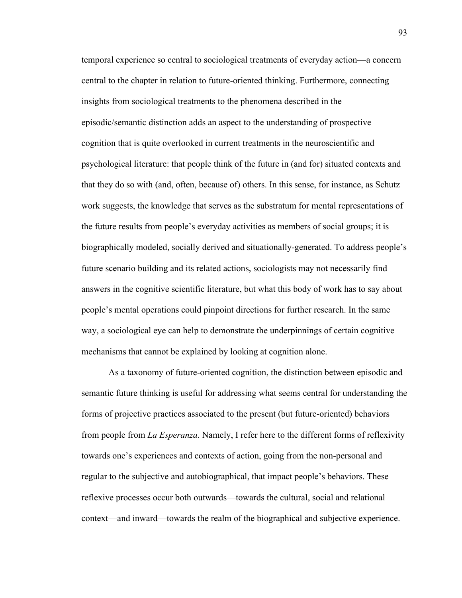temporal experience so central to sociological treatments of everyday action—a concern central to the chapter in relation to future-oriented thinking. Furthermore, connecting insights from sociological treatments to the phenomena described in the episodic/semantic distinction adds an aspect to the understanding of prospective cognition that is quite overlooked in current treatments in the neuroscientific and psychological literature: that people think of the future in (and for) situated contexts and that they do so with (and, often, because of) others. In this sense, for instance, as Schutz work suggests, the knowledge that serves as the substratum for mental representations of the future results from people's everyday activities as members of social groups; it is biographically modeled, socially derived and situationally-generated. To address people's future scenario building and its related actions, sociologists may not necessarily find answers in the cognitive scientific literature, but what this body of work has to say about people's mental operations could pinpoint directions for further research. In the same way, a sociological eye can help to demonstrate the underpinnings of certain cognitive mechanisms that cannot be explained by looking at cognition alone.

As a taxonomy of future-oriented cognition, the distinction between episodic and semantic future thinking is useful for addressing what seems central for understanding the forms of projective practices associated to the present (but future-oriented) behaviors from people from *La Esperanza*. Namely, I refer here to the different forms of reflexivity towards one's experiences and contexts of action, going from the non-personal and regular to the subjective and autobiographical, that impact people's behaviors. These reflexive processes occur both outwards—towards the cultural, social and relational context—and inward—towards the realm of the biographical and subjective experience.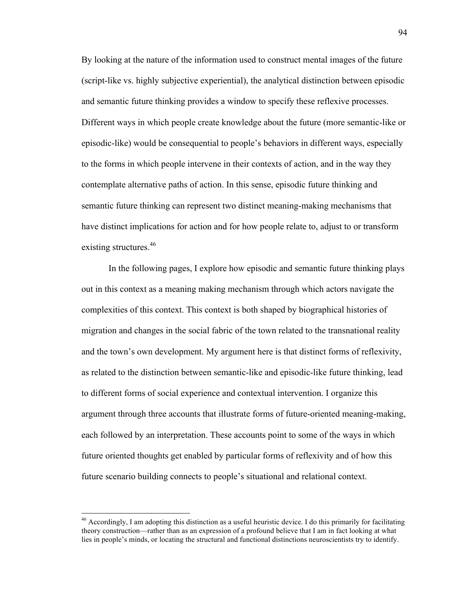By looking at the nature of the information used to construct mental images of the future (script-like vs. highly subjective experiential), the analytical distinction between episodic and semantic future thinking provides a window to specify these reflexive processes. Different ways in which people create knowledge about the future (more semantic-like or episodic-like) would be consequential to people's behaviors in different ways, especially to the forms in which people intervene in their contexts of action, and in the way they contemplate alternative paths of action. In this sense, episodic future thinking and semantic future thinking can represent two distinct meaning-making mechanisms that have distinct implications for action and for how people relate to, adjust to or transform existing structures.<sup>46</sup>

In the following pages, I explore how episodic and semantic future thinking plays out in this context as a meaning making mechanism through which actors navigate the complexities of this context. This context is both shaped by biographical histories of migration and changes in the social fabric of the town related to the transnational reality and the town's own development. My argument here is that distinct forms of reflexivity, as related to the distinction between semantic-like and episodic-like future thinking, lead to different forms of social experience and contextual intervention. I organize this argument through three accounts that illustrate forms of future-oriented meaning-making, each followed by an interpretation. These accounts point to some of the ways in which future oriented thoughts get enabled by particular forms of reflexivity and of how this future scenario building connects to people's situational and relational context.

<sup>&</sup>lt;sup>46</sup> Accordingly, I am adopting this distinction as a useful heuristic device. I do this primarily for facilitating theory construction—rather than as an expression of a profound believe that I am in fact looking at what lies in people's minds, or locating the structural and functional distinctions neuroscientists try to identify.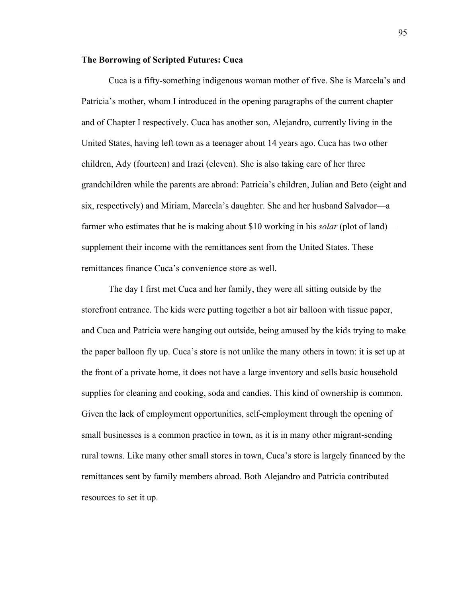# **The Borrowing of Scripted Futures: Cuca**

Cuca is a fifty-something indigenous woman mother of five. She is Marcela's and Patricia's mother, whom I introduced in the opening paragraphs of the current chapter and of Chapter I respectively. Cuca has another son, Alejandro, currently living in the United States, having left town as a teenager about 14 years ago. Cuca has two other children, Ady (fourteen) and Irazi (eleven). She is also taking care of her three grandchildren while the parents are abroad: Patricia's children, Julian and Beto (eight and six, respectively) and Miriam, Marcela's daughter. She and her husband Salvador—a farmer who estimates that he is making about \$10 working in his *solar* (plot of land) supplement their income with the remittances sent from the United States. These remittances finance Cuca's convenience store as well.

The day I first met Cuca and her family, they were all sitting outside by the storefront entrance. The kids were putting together a hot air balloon with tissue paper, and Cuca and Patricia were hanging out outside, being amused by the kids trying to make the paper balloon fly up. Cuca's store is not unlike the many others in town: it is set up at the front of a private home, it does not have a large inventory and sells basic household supplies for cleaning and cooking, soda and candies. This kind of ownership is common. Given the lack of employment opportunities, self-employment through the opening of small businesses is a common practice in town, as it is in many other migrant-sending rural towns. Like many other small stores in town, Cuca's store is largely financed by the remittances sent by family members abroad. Both Alejandro and Patricia contributed resources to set it up.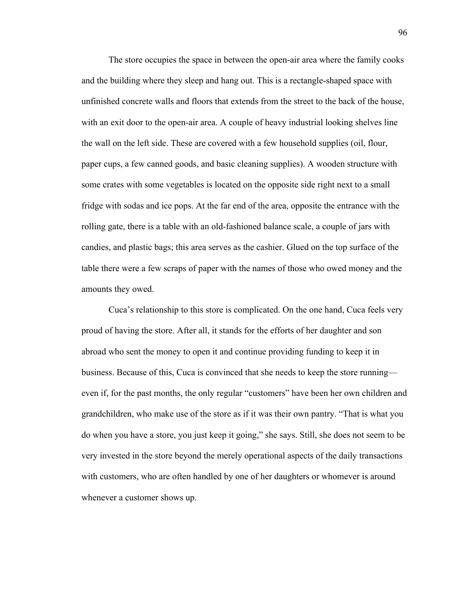The store occupies the space in between the open-air area where the family cooks and the building where they sleep and hang out. This is a rectangle-shaped space with unfinished concrete walls and floors that extends from the street to the back of the house, with an exit door to the open-air area. A couple of heavy industrial looking shelves line the wall on the left side. These are covered with a few household supplies (oil, flour, paper cups, a few canned goods, and basic cleaning supplies). A wooden structure with some crates with some vegetables is located on the opposite side right next to a small fridge with sodas and ice pops. At the far end of the area, opposite the entrance with the rolling gate, there is a table with an old-fashioned balance scale, a couple of jars with candies, and plastic bags; this area serves as the cashier. Glued on the top surface of the table there were a few scraps of paper with the names of those who owed money and the amounts they owed.

Cuca's relationship to this store is complicated. On the one hand, Cuca feels very proud of having the store. After all, it stands for the efforts of her daughter and son abroad who sent the money to open it and continue providing funding to keep it in business. Because of this, Cuca is convinced that she needs to keep the store running even if, for the past months, the only regular "customers" have been her own children and grandchildren, who make use of the store as if it was their own pantry. "That is what you do when you have a store, you just keep it going," she says. Still, she does not seem to be very invested in the store beyond the merely operational aspects of the daily transactions with customers, who are often handled by one of her daughters or whomever is around whenever a customer shows up.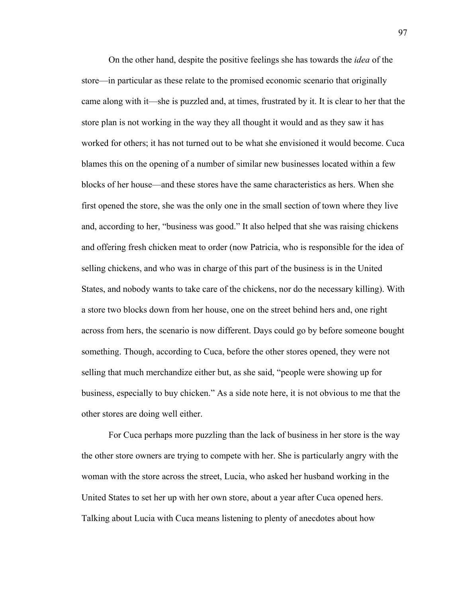On the other hand, despite the positive feelings she has towards the *idea* of the store—in particular as these relate to the promised economic scenario that originally came along with it—she is puzzled and, at times, frustrated by it. It is clear to her that the store plan is not working in the way they all thought it would and as they saw it has worked for others; it has not turned out to be what she envisioned it would become. Cuca blames this on the opening of a number of similar new businesses located within a few blocks of her house—and these stores have the same characteristics as hers. When she first opened the store, she was the only one in the small section of town where they live and, according to her, "business was good." It also helped that she was raising chickens and offering fresh chicken meat to order (now Patricia, who is responsible for the idea of selling chickens, and who was in charge of this part of the business is in the United States, and nobody wants to take care of the chickens, nor do the necessary killing). With a store two blocks down from her house, one on the street behind hers and, one right across from hers, the scenario is now different. Days could go by before someone bought something. Though, according to Cuca, before the other stores opened, they were not selling that much merchandize either but, as she said, "people were showing up for business, especially to buy chicken." As a side note here, it is not obvious to me that the other stores are doing well either.

For Cuca perhaps more puzzling than the lack of business in her store is the way the other store owners are trying to compete with her. She is particularly angry with the woman with the store across the street, Lucia, who asked her husband working in the United States to set her up with her own store, about a year after Cuca opened hers. Talking about Lucia with Cuca means listening to plenty of anecdotes about how

97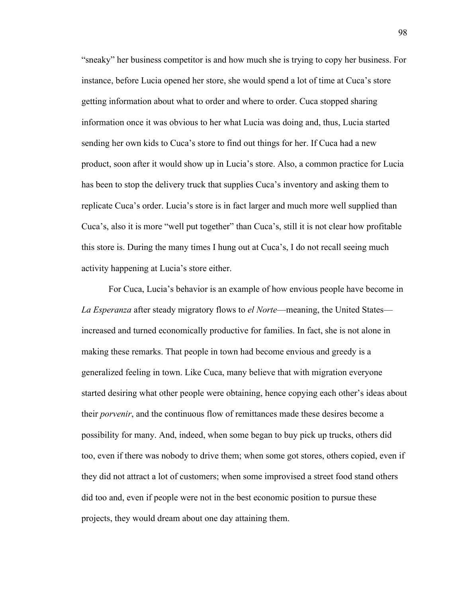"sneaky" her business competitor is and how much she is trying to copy her business. For instance, before Lucia opened her store, she would spend a lot of time at Cuca's store getting information about what to order and where to order. Cuca stopped sharing information once it was obvious to her what Lucia was doing and, thus, Lucia started sending her own kids to Cuca's store to find out things for her. If Cuca had a new product, soon after it would show up in Lucia's store. Also, a common practice for Lucia has been to stop the delivery truck that supplies Cuca's inventory and asking them to replicate Cuca's order. Lucia's store is in fact larger and much more well supplied than Cuca's, also it is more "well put together" than Cuca's, still it is not clear how profitable this store is. During the many times I hung out at Cuca's, I do not recall seeing much activity happening at Lucia's store either.

For Cuca, Lucia's behavior is an example of how envious people have become in *La Esperanza* after steady migratory flows to *el Norte*—meaning, the United States increased and turned economically productive for families. In fact, she is not alone in making these remarks. That people in town had become envious and greedy is a generalized feeling in town. Like Cuca, many believe that with migration everyone started desiring what other people were obtaining, hence copying each other's ideas about their *porvenir*, and the continuous flow of remittances made these desires become a possibility for many. And, indeed, when some began to buy pick up trucks, others did too, even if there was nobody to drive them; when some got stores, others copied, even if they did not attract a lot of customers; when some improvised a street food stand others did too and, even if people were not in the best economic position to pursue these projects, they would dream about one day attaining them.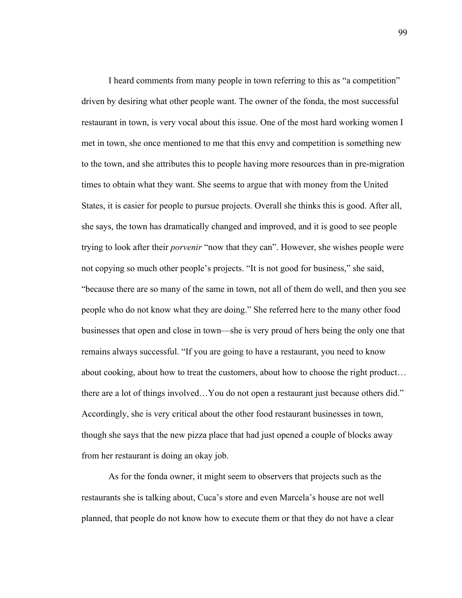I heard comments from many people in town referring to this as "a competition" driven by desiring what other people want. The owner of the fonda, the most successful restaurant in town, is very vocal about this issue. One of the most hard working women I met in town, she once mentioned to me that this envy and competition is something new to the town, and she attributes this to people having more resources than in pre-migration times to obtain what they want. She seems to argue that with money from the United States, it is easier for people to pursue projects. Overall she thinks this is good. After all, she says, the town has dramatically changed and improved, and it is good to see people trying to look after their *porvenir* "now that they can". However, she wishes people were not copying so much other people's projects. "It is not good for business," she said, "because there are so many of the same in town, not all of them do well, and then you see people who do not know what they are doing." She referred here to the many other food businesses that open and close in town—she is very proud of hers being the only one that remains always successful. "If you are going to have a restaurant, you need to know about cooking, about how to treat the customers, about how to choose the right product… there are a lot of things involved…You do not open a restaurant just because others did." Accordingly, she is very critical about the other food restaurant businesses in town, though she says that the new pizza place that had just opened a couple of blocks away from her restaurant is doing an okay job.

As for the fonda owner, it might seem to observers that projects such as the restaurants she is talking about, Cuca's store and even Marcela's house are not well planned, that people do not know how to execute them or that they do not have a clear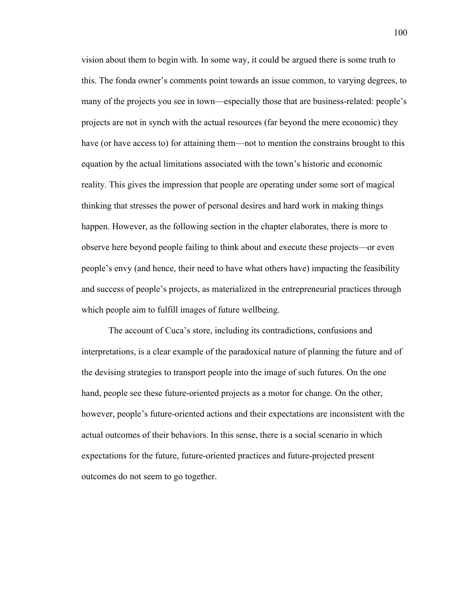vision about them to begin with. In some way, it could be argued there is some truth to this. The fonda owner's comments point towards an issue common, to varying degrees, to many of the projects you see in town—especially those that are business-related: people's projects are not in synch with the actual resources (far beyond the mere economic) they have (or have access to) for attaining them—not to mention the constrains brought to this equation by the actual limitations associated with the town's historic and economic reality. This gives the impression that people are operating under some sort of magical thinking that stresses the power of personal desires and hard work in making things happen. However, as the following section in the chapter elaborates, there is more to observe here beyond people failing to think about and execute these projects—or even people's envy (and hence, their need to have what others have) impacting the feasibility and success of people's projects, as materialized in the entrepreneurial practices through which people aim to fulfill images of future wellbeing.

The account of Cuca's store, including its contradictions, confusions and interpretations, is a clear example of the paradoxical nature of planning the future and of the devising strategies to transport people into the image of such futures. On the one hand, people see these future-oriented projects as a motor for change. On the other, however, people's future-oriented actions and their expectations are inconsistent with the actual outcomes of their behaviors. In this sense, there is a social scenario in which expectations for the future, future-oriented practices and future-projected present outcomes do not seem to go together.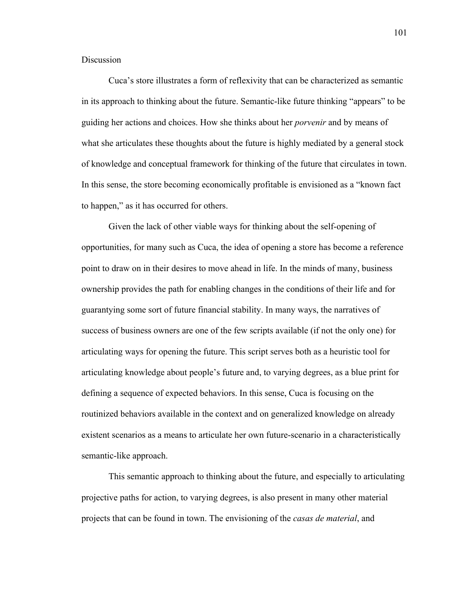**Discussion** 

Cuca's store illustrates a form of reflexivity that can be characterized as semantic in its approach to thinking about the future. Semantic-like future thinking "appears" to be guiding her actions and choices. How she thinks about her *porvenir* and by means of what she articulates these thoughts about the future is highly mediated by a general stock of knowledge and conceptual framework for thinking of the future that circulates in town. In this sense, the store becoming economically profitable is envisioned as a "known fact to happen," as it has occurred for others.

Given the lack of other viable ways for thinking about the self-opening of opportunities, for many such as Cuca, the idea of opening a store has become a reference point to draw on in their desires to move ahead in life. In the minds of many, business ownership provides the path for enabling changes in the conditions of their life and for guarantying some sort of future financial stability. In many ways, the narratives of success of business owners are one of the few scripts available (if not the only one) for articulating ways for opening the future. This script serves both as a heuristic tool for articulating knowledge about people's future and, to varying degrees, as a blue print for defining a sequence of expected behaviors. In this sense, Cuca is focusing on the routinized behaviors available in the context and on generalized knowledge on already existent scenarios as a means to articulate her own future-scenario in a characteristically semantic-like approach.

This semantic approach to thinking about the future, and especially to articulating projective paths for action, to varying degrees, is also present in many other material projects that can be found in town. The envisioning of the *casas de material*, and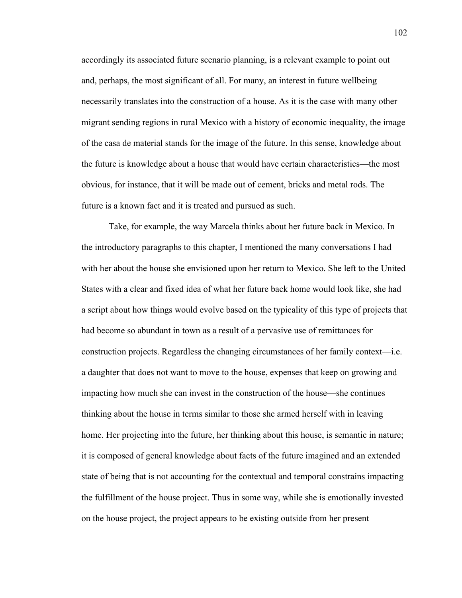accordingly its associated future scenario planning, is a relevant example to point out and, perhaps, the most significant of all. For many, an interest in future wellbeing necessarily translates into the construction of a house. As it is the case with many other migrant sending regions in rural Mexico with a history of economic inequality, the image of the casa de material stands for the image of the future. In this sense, knowledge about the future is knowledge about a house that would have certain characteristics—the most obvious, for instance, that it will be made out of cement, bricks and metal rods. The future is a known fact and it is treated and pursued as such.

Take, for example, the way Marcela thinks about her future back in Mexico. In the introductory paragraphs to this chapter, I mentioned the many conversations I had with her about the house she envisioned upon her return to Mexico. She left to the United States with a clear and fixed idea of what her future back home would look like, she had a script about how things would evolve based on the typicality of this type of projects that had become so abundant in town as a result of a pervasive use of remittances for construction projects. Regardless the changing circumstances of her family context—i.e. a daughter that does not want to move to the house, expenses that keep on growing and impacting how much she can invest in the construction of the house—she continues thinking about the house in terms similar to those she armed herself with in leaving home. Her projecting into the future, her thinking about this house, is semantic in nature; it is composed of general knowledge about facts of the future imagined and an extended state of being that is not accounting for the contextual and temporal constrains impacting the fulfillment of the house project. Thus in some way, while she is emotionally invested on the house project, the project appears to be existing outside from her present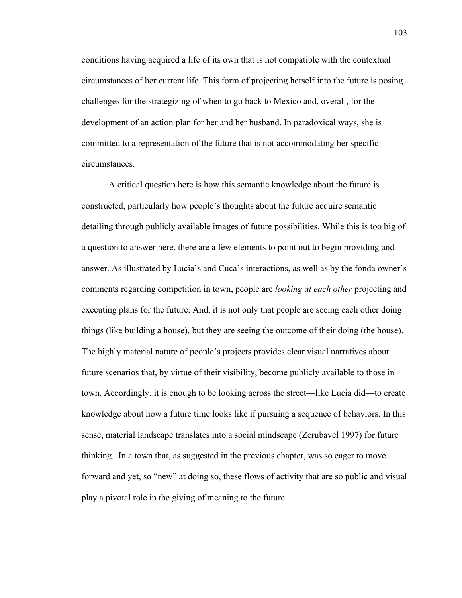conditions having acquired a life of its own that is not compatible with the contextual circumstances of her current life. This form of projecting herself into the future is posing challenges for the strategizing of when to go back to Mexico and, overall, for the development of an action plan for her and her husband. In paradoxical ways, she is committed to a representation of the future that is not accommodating her specific circumstances.

A critical question here is how this semantic knowledge about the future is constructed, particularly how people's thoughts about the future acquire semantic detailing through publicly available images of future possibilities. While this is too big of a question to answer here, there are a few elements to point out to begin providing and answer. As illustrated by Lucia's and Cuca's interactions, as well as by the fonda owner's comments regarding competition in town, people are *looking at each other* projecting and executing plans for the future. And, it is not only that people are seeing each other doing things (like building a house), but they are seeing the outcome of their doing (the house). The highly material nature of people's projects provides clear visual narratives about future scenarios that, by virtue of their visibility, become publicly available to those in town. Accordingly, it is enough to be looking across the street—like Lucia did—to create knowledge about how a future time looks like if pursuing a sequence of behaviors. In this sense, material landscape translates into a social mindscape (Zerubavel 1997) for future thinking. In a town that, as suggested in the previous chapter, was so eager to move forward and yet, so "new" at doing so, these flows of activity that are so public and visual play a pivotal role in the giving of meaning to the future.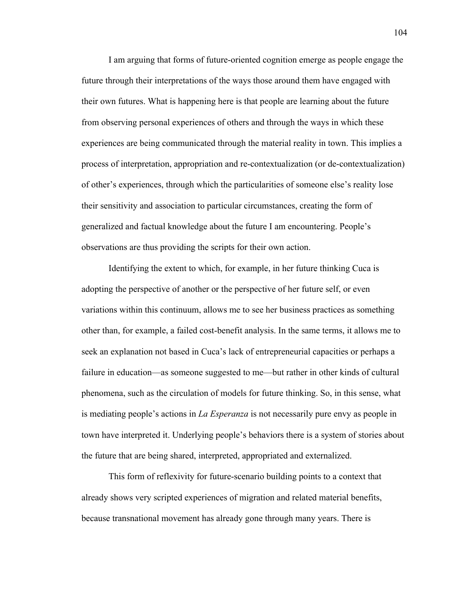I am arguing that forms of future-oriented cognition emerge as people engage the future through their interpretations of the ways those around them have engaged with their own futures. What is happening here is that people are learning about the future from observing personal experiences of others and through the ways in which these experiences are being communicated through the material reality in town. This implies a process of interpretation, appropriation and re-contextualization (or de-contextualization) of other's experiences, through which the particularities of someone else's reality lose their sensitivity and association to particular circumstances, creating the form of generalized and factual knowledge about the future I am encountering. People's observations are thus providing the scripts for their own action.

Identifying the extent to which, for example, in her future thinking Cuca is adopting the perspective of another or the perspective of her future self, or even variations within this continuum, allows me to see her business practices as something other than, for example, a failed cost-benefit analysis. In the same terms, it allows me to seek an explanation not based in Cuca's lack of entrepreneurial capacities or perhaps a failure in education—as someone suggested to me—but rather in other kinds of cultural phenomena, such as the circulation of models for future thinking. So, in this sense, what is mediating people's actions in *La Esperanza* is not necessarily pure envy as people in town have interpreted it. Underlying people's behaviors there is a system of stories about the future that are being shared, interpreted, appropriated and externalized.

This form of reflexivity for future-scenario building points to a context that already shows very scripted experiences of migration and related material benefits, because transnational movement has already gone through many years. There is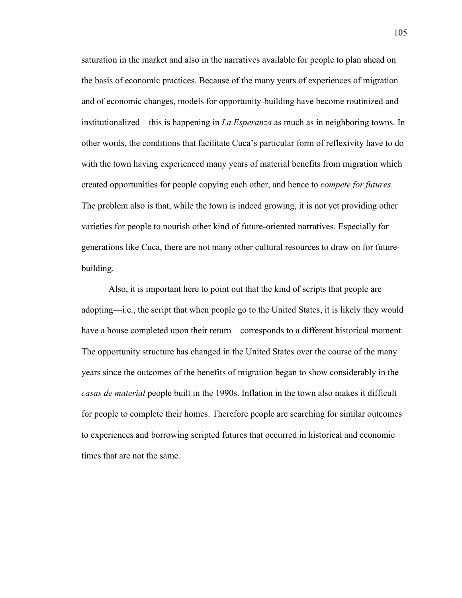saturation in the market and also in the narratives available for people to plan ahead on the basis of economic practices. Because of the many years of experiences of migration and of economic changes, models for opportunity-building have become routinized and institutionalized—this is happening in *La Esperanza* as much as in neighboring towns. In other words, the conditions that facilitate Cuca's particular form of reflexivity have to do with the town having experienced many years of material benefits from migration which created opportunities for people copying each other, and hence to *compete for futures*. The problem also is that, while the town is indeed growing, it is not yet providing other varieties for people to nourish other kind of future-oriented narratives. Especially for generations like Cuca, there are not many other cultural resources to draw on for futurebuilding.

Also, it is important here to point out that the kind of scripts that people are adopting—i.e., the script that when people go to the United States, it is likely they would have a house completed upon their return—corresponds to a different historical moment. The opportunity structure has changed in the United States over the course of the many years since the outcomes of the benefits of migration began to show considerably in the *casas de material* people built in the 1990s. Inflation in the town also makes it difficult for people to complete their homes. Therefore people are searching for similar outcomes to experiences and borrowing scripted futures that occurred in historical and economic times that are not the same.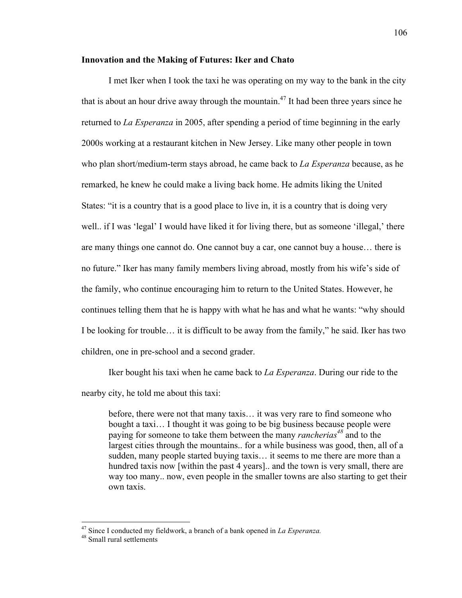#### **Innovation and the Making of Futures: Iker and Chato**

I met Iker when I took the taxi he was operating on my way to the bank in the city that is about an hour drive away through the mountain.<sup>47</sup> It had been three years since he returned to *La Esperanza* in 2005, after spending a period of time beginning in the early 2000s working at a restaurant kitchen in New Jersey. Like many other people in town who plan short/medium-term stays abroad, he came back to *La Esperanza* because, as he remarked, he knew he could make a living back home. He admits liking the United States: "it is a country that is a good place to live in, it is a country that is doing very well.. if I was 'legal' I would have liked it for living there, but as someone 'illegal,' there are many things one cannot do. One cannot buy a car, one cannot buy a house… there is no future." Iker has many family members living abroad, mostly from his wife's side of the family, who continue encouraging him to return to the United States. However, he continues telling them that he is happy with what he has and what he wants: "why should I be looking for trouble… it is difficult to be away from the family," he said. Iker has two children, one in pre-school and a second grader.

Iker bought his taxi when he came back to *La Esperanza*. During our ride to the

nearby city, he told me about this taxi:

before, there were not that many taxis… it was very rare to find someone who bought a taxi… I thought it was going to be big business because people were paying for someone to take them between the many *rancherias*<sup>48</sup> and to the largest cities through the mountains.. for a while business was good, then, all of a sudden, many people started buying taxis… it seems to me there are more than a hundred taxis now [within the past 4 years].. and the town is very small, there are way too many.. now, even people in the smaller towns are also starting to get their own taxis.

<sup>&</sup>lt;sup>47</sup> Since I conducted my fieldwork, a branch of a bank opened in *La Esperanza*.<br><sup>48</sup> Small rural settlements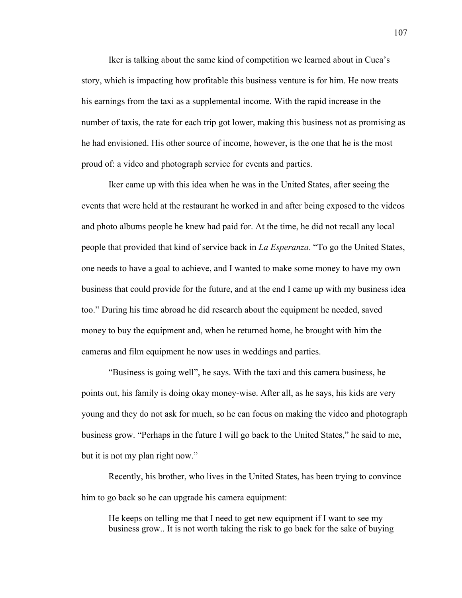Iker is talking about the same kind of competition we learned about in Cuca's story, which is impacting how profitable this business venture is for him. He now treats his earnings from the taxi as a supplemental income. With the rapid increase in the number of taxis, the rate for each trip got lower, making this business not as promising as he had envisioned. His other source of income, however, is the one that he is the most proud of: a video and photograph service for events and parties.

Iker came up with this idea when he was in the United States, after seeing the events that were held at the restaurant he worked in and after being exposed to the videos and photo albums people he knew had paid for. At the time, he did not recall any local people that provided that kind of service back in *La Esperanza*. "To go the United States, one needs to have a goal to achieve, and I wanted to make some money to have my own business that could provide for the future, and at the end I came up with my business idea too." During his time abroad he did research about the equipment he needed, saved money to buy the equipment and, when he returned home, he brought with him the cameras and film equipment he now uses in weddings and parties.

"Business is going well", he says. With the taxi and this camera business, he points out, his family is doing okay money-wise. After all, as he says, his kids are very young and they do not ask for much, so he can focus on making the video and photograph business grow. "Perhaps in the future I will go back to the United States," he said to me, but it is not my plan right now."

Recently, his brother, who lives in the United States, has been trying to convince him to go back so he can upgrade his camera equipment:

He keeps on telling me that I need to get new equipment if I want to see my business grow.. It is not worth taking the risk to go back for the sake of buying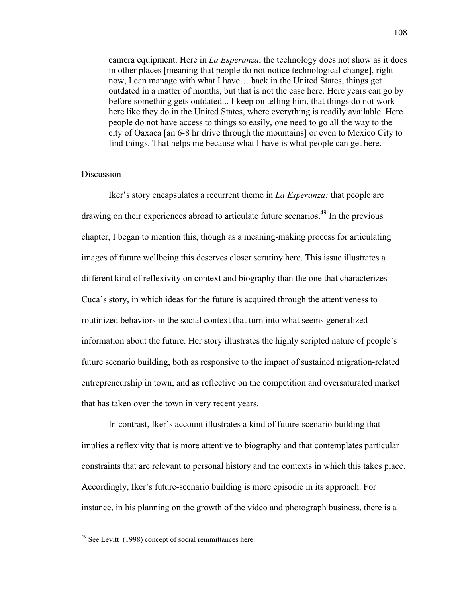camera equipment. Here in *La Esperanza*, the technology does not show as it does in other places [meaning that people do not notice technological change], right now, I can manage with what I have… back in the United States, things get outdated in a matter of months, but that is not the case here. Here years can go by before something gets outdated... I keep on telling him, that things do not work here like they do in the United States, where everything is readily available. Here people do not have access to things so easily, one need to go all the way to the city of Oaxaca [an 6-8 hr drive through the mountains] or even to Mexico City to find things. That helps me because what I have is what people can get here.

## Discussion

Iker's story encapsulates a recurrent theme in *La Esperanza:* that people are drawing on their experiences abroad to articulate future scenarios.<sup>49</sup> In the previous chapter, I began to mention this, though as a meaning-making process for articulating images of future wellbeing this deserves closer scrutiny here. This issue illustrates a different kind of reflexivity on context and biography than the one that characterizes Cuca's story, in which ideas for the future is acquired through the attentiveness to routinized behaviors in the social context that turn into what seems generalized information about the future. Her story illustrates the highly scripted nature of people's future scenario building, both as responsive to the impact of sustained migration-related entrepreneurship in town, and as reflective on the competition and oversaturated market that has taken over the town in very recent years.

In contrast, Iker's account illustrates a kind of future-scenario building that implies a reflexivity that is more attentive to biography and that contemplates particular constraints that are relevant to personal history and the contexts in which this takes place. Accordingly, Iker's future-scenario building is more episodic in its approach. For instance, in his planning on the growth of the video and photograph business, there is a

 $49$  See Levitt (1998) concept of social remmittances here.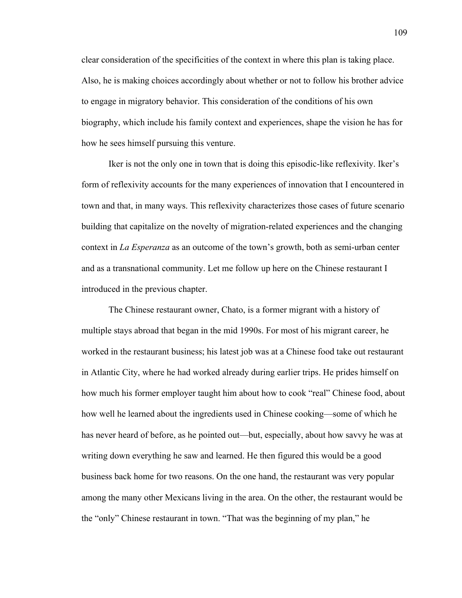clear consideration of the specificities of the context in where this plan is taking place. Also, he is making choices accordingly about whether or not to follow his brother advice to engage in migratory behavior. This consideration of the conditions of his own biography, which include his family context and experiences, shape the vision he has for how he sees himself pursuing this venture.

Iker is not the only one in town that is doing this episodic-like reflexivity. Iker's form of reflexivity accounts for the many experiences of innovation that I encountered in town and that, in many ways. This reflexivity characterizes those cases of future scenario building that capitalize on the novelty of migration-related experiences and the changing context in *La Esperanza* as an outcome of the town's growth, both as semi-urban center and as a transnational community. Let me follow up here on the Chinese restaurant I introduced in the previous chapter.

The Chinese restaurant owner, Chato, is a former migrant with a history of multiple stays abroad that began in the mid 1990s. For most of his migrant career, he worked in the restaurant business; his latest job was at a Chinese food take out restaurant in Atlantic City, where he had worked already during earlier trips. He prides himself on how much his former employer taught him about how to cook "real" Chinese food, about how well he learned about the ingredients used in Chinese cooking—some of which he has never heard of before, as he pointed out—but, especially, about how savvy he was at writing down everything he saw and learned. He then figured this would be a good business back home for two reasons. On the one hand, the restaurant was very popular among the many other Mexicans living in the area. On the other, the restaurant would be the "only" Chinese restaurant in town. "That was the beginning of my plan," he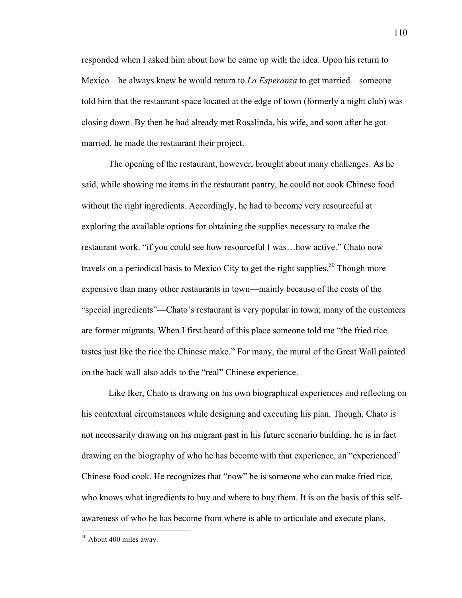responded when I asked him about how he came up with the idea. Upon his return to Mexico—he always knew he would return to *La Esperanza* to get married—someone told him that the restaurant space located at the edge of town (formerly a night club) was closing down. By then he had already met Rosalinda, his wife, and soon after he got married, he made the restaurant their project.

The opening of the restaurant, however, brought about many challenges. As he said, while showing me items in the restaurant pantry, he could not cook Chinese food without the right ingredients. Accordingly, he had to become very resourceful at exploring the available options for obtaining the supplies necessary to make the restaurant work. "if you could see how resourceful I was…how active." Chato now travels on a periodical basis to Mexico City to get the right supplies.<sup>50</sup> Though more expensive than many other restaurants in town—mainly because of the costs of the "special ingredients"—Chato's restaurant is very popular in town; many of the customers are former migrants. When I first heard of this place someone told me "the fried rice tastes just like the rice the Chinese make." For many, the mural of the Great Wall painted on the back wall also adds to the "real" Chinese experience.

Like Iker, Chato is drawing on his own biographical experiences and reflecting on his contextual circumstances while designing and executing his plan. Though, Chato is not necessarily drawing on his migrant past in his future scenario building, he is in fact drawing on the biography of who he has become with that experience, an "experienced" Chinese food cook. He recognizes that "now" he is someone who can make fried rice, who knows what ingredients to buy and where to buy them. It is on the basis of this selfawareness of who he has become from where is able to articulate and execute plans.

 $50$  About 400 miles away.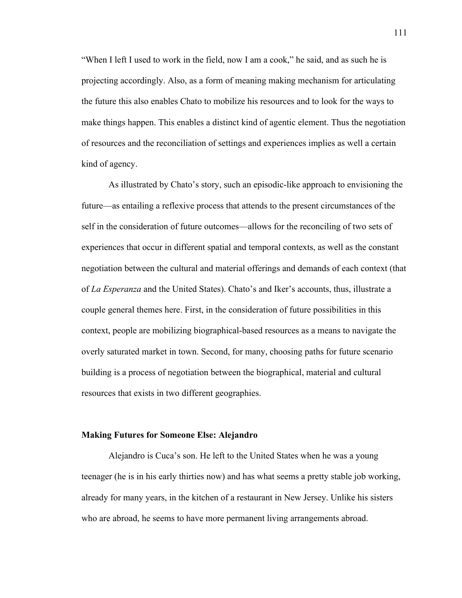"When I left I used to work in the field, now I am a cook," he said, and as such he is projecting accordingly. Also, as a form of meaning making mechanism for articulating the future this also enables Chato to mobilize his resources and to look for the ways to make things happen. This enables a distinct kind of agentic element. Thus the negotiation of resources and the reconciliation of settings and experiences implies as well a certain kind of agency.

As illustrated by Chato's story, such an episodic-like approach to envisioning the future—as entailing a reflexive process that attends to the present circumstances of the self in the consideration of future outcomes—allows for the reconciling of two sets of experiences that occur in different spatial and temporal contexts, as well as the constant negotiation between the cultural and material offerings and demands of each context (that of *La Esperanza* and the United States). Chato's and Iker's accounts, thus, illustrate a couple general themes here. First, in the consideration of future possibilities in this context, people are mobilizing biographical-based resources as a means to navigate the overly saturated market in town. Second, for many, choosing paths for future scenario building is a process of negotiation between the biographical, material and cultural resources that exists in two different geographies.

#### **Making Futures for Someone Else: Alejandro**

Alejandro is Cuca's son. He left to the United States when he was a young teenager (he is in his early thirties now) and has what seems a pretty stable job working, already for many years, in the kitchen of a restaurant in New Jersey. Unlike his sisters who are abroad, he seems to have more permanent living arrangements abroad.

111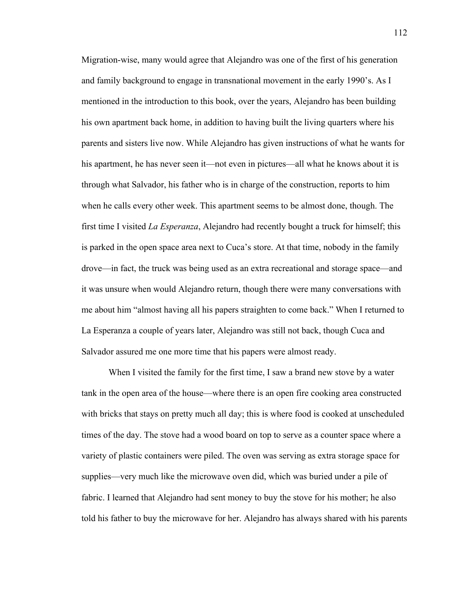Migration-wise, many would agree that Alejandro was one of the first of his generation and family background to engage in transnational movement in the early 1990's. As I mentioned in the introduction to this book, over the years, Alejandro has been building his own apartment back home, in addition to having built the living quarters where his parents and sisters live now. While Alejandro has given instructions of what he wants for his apartment, he has never seen it—not even in pictures—all what he knows about it is through what Salvador, his father who is in charge of the construction, reports to him when he calls every other week. This apartment seems to be almost done, though. The first time I visited *La Esperanza*, Alejandro had recently bought a truck for himself; this is parked in the open space area next to Cuca's store. At that time, nobody in the family drove—in fact, the truck was being used as an extra recreational and storage space—and it was unsure when would Alejandro return, though there were many conversations with me about him "almost having all his papers straighten to come back." When I returned to La Esperanza a couple of years later, Alejandro was still not back, though Cuca and Salvador assured me one more time that his papers were almost ready.

When I visited the family for the first time, I saw a brand new stove by a water tank in the open area of the house—where there is an open fire cooking area constructed with bricks that stays on pretty much all day; this is where food is cooked at unscheduled times of the day. The stove had a wood board on top to serve as a counter space where a variety of plastic containers were piled. The oven was serving as extra storage space for supplies—very much like the microwave oven did, which was buried under a pile of fabric. I learned that Alejandro had sent money to buy the stove for his mother; he also told his father to buy the microwave for her. Alejandro has always shared with his parents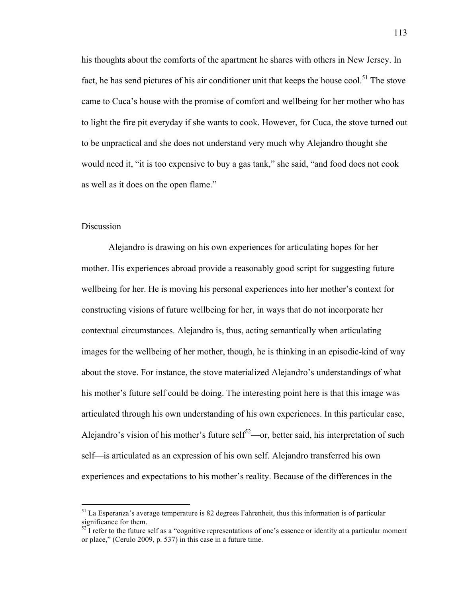his thoughts about the comforts of the apartment he shares with others in New Jersey. In fact, he has send pictures of his air conditioner unit that keeps the house cool.<sup>51</sup> The stove came to Cuca's house with the promise of comfort and wellbeing for her mother who has to light the fire pit everyday if she wants to cook. However, for Cuca, the stove turned out to be unpractical and she does not understand very much why Alejandro thought she would need it, "it is too expensive to buy a gas tank," she said, "and food does not cook as well as it does on the open flame."

## Discussion

Alejandro is drawing on his own experiences for articulating hopes for her mother. His experiences abroad provide a reasonably good script for suggesting future wellbeing for her. He is moving his personal experiences into her mother's context for constructing visions of future wellbeing for her, in ways that do not incorporate her contextual circumstances. Alejandro is, thus, acting semantically when articulating images for the wellbeing of her mother, though, he is thinking in an episodic-kind of way about the stove. For instance, the stove materialized Alejandro's understandings of what his mother's future self could be doing. The interesting point here is that this image was articulated through his own understanding of his own experiences. In this particular case, Alejandro's vision of his mother's future self<sup>52</sup>—or, better said, his interpretation of such self—is articulated as an expression of his own self. Alejandro transferred his own experiences and expectations to his mother's reality. Because of the differences in the

 $<sup>51</sup>$  La Esperanza's average temperature is 82 degrees Fahrenheit, thus this information is of particular</sup> significance for them.

 $52$  I refer to the future self as a "cognitive representations of one's essence or identity at a particular moment or place," (Cerulo 2009, p. 537) in this case in a future time.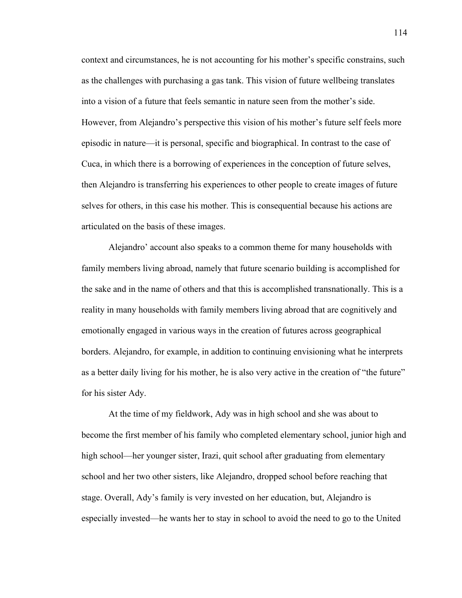context and circumstances, he is not accounting for his mother's specific constrains, such as the challenges with purchasing a gas tank. This vision of future wellbeing translates into a vision of a future that feels semantic in nature seen from the mother's side. However, from Alejandro's perspective this vision of his mother's future self feels more episodic in nature—it is personal, specific and biographical. In contrast to the case of Cuca, in which there is a borrowing of experiences in the conception of future selves, then Alejandro is transferring his experiences to other people to create images of future selves for others, in this case his mother. This is consequential because his actions are articulated on the basis of these images.

Alejandro' account also speaks to a common theme for many households with family members living abroad, namely that future scenario building is accomplished for the sake and in the name of others and that this is accomplished transnationally. This is a reality in many households with family members living abroad that are cognitively and emotionally engaged in various ways in the creation of futures across geographical borders. Alejandro, for example, in addition to continuing envisioning what he interprets as a better daily living for his mother, he is also very active in the creation of "the future" for his sister Ady.

At the time of my fieldwork, Ady was in high school and she was about to become the first member of his family who completed elementary school, junior high and high school—her younger sister, Irazi, quit school after graduating from elementary school and her two other sisters, like Alejandro, dropped school before reaching that stage. Overall, Ady's family is very invested on her education, but, Alejandro is especially invested—he wants her to stay in school to avoid the need to go to the United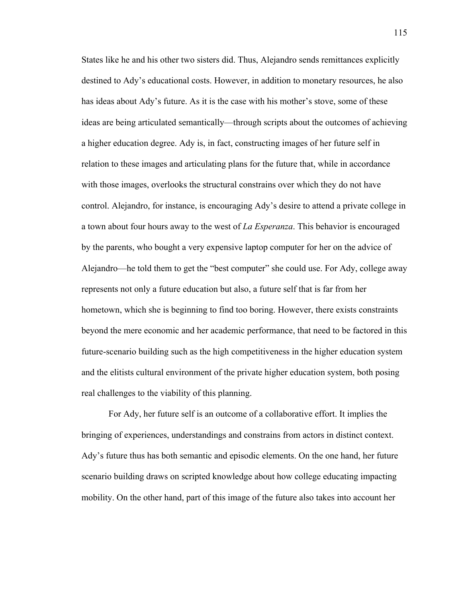States like he and his other two sisters did. Thus, Alejandro sends remittances explicitly destined to Ady's educational costs. However, in addition to monetary resources, he also has ideas about Ady's future. As it is the case with his mother's stove, some of these ideas are being articulated semantically—through scripts about the outcomes of achieving a higher education degree. Ady is, in fact, constructing images of her future self in relation to these images and articulating plans for the future that, while in accordance with those images, overlooks the structural constrains over which they do not have control. Alejandro, for instance, is encouraging Ady's desire to attend a private college in a town about four hours away to the west of *La Esperanza*. This behavior is encouraged by the parents, who bought a very expensive laptop computer for her on the advice of Alejandro—he told them to get the "best computer" she could use. For Ady, college away represents not only a future education but also, a future self that is far from her hometown, which she is beginning to find too boring. However, there exists constraints beyond the mere economic and her academic performance, that need to be factored in this future-scenario building such as the high competitiveness in the higher education system and the elitists cultural environment of the private higher education system, both posing real challenges to the viability of this planning.

For Ady, her future self is an outcome of a collaborative effort. It implies the bringing of experiences, understandings and constrains from actors in distinct context. Ady's future thus has both semantic and episodic elements. On the one hand, her future scenario building draws on scripted knowledge about how college educating impacting mobility. On the other hand, part of this image of the future also takes into account her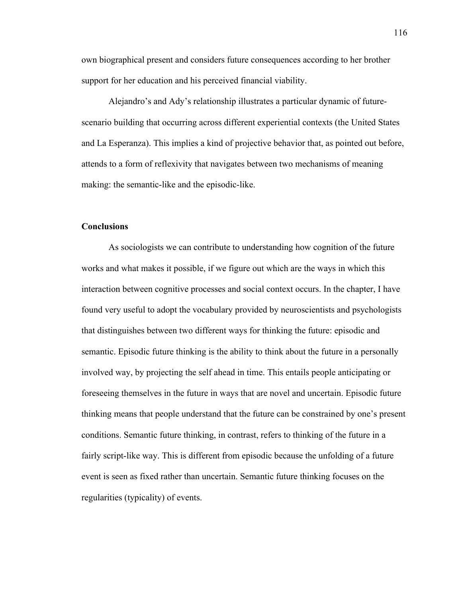own biographical present and considers future consequences according to her brother support for her education and his perceived financial viability.

Alejandro's and Ady's relationship illustrates a particular dynamic of futurescenario building that occurring across different experiential contexts (the United States and La Esperanza). This implies a kind of projective behavior that, as pointed out before, attends to a form of reflexivity that navigates between two mechanisms of meaning making: the semantic-like and the episodic-like.

### **Conclusions**

As sociologists we can contribute to understanding how cognition of the future works and what makes it possible, if we figure out which are the ways in which this interaction between cognitive processes and social context occurs. In the chapter, I have found very useful to adopt the vocabulary provided by neuroscientists and psychologists that distinguishes between two different ways for thinking the future: episodic and semantic. Episodic future thinking is the ability to think about the future in a personally involved way, by projecting the self ahead in time. This entails people anticipating or foreseeing themselves in the future in ways that are novel and uncertain. Episodic future thinking means that people understand that the future can be constrained by one's present conditions. Semantic future thinking, in contrast, refers to thinking of the future in a fairly script-like way. This is different from episodic because the unfolding of a future event is seen as fixed rather than uncertain. Semantic future thinking focuses on the regularities (typicality) of events.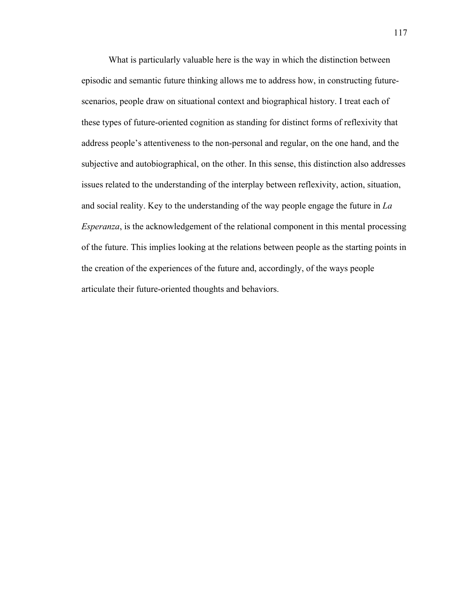What is particularly valuable here is the way in which the distinction between episodic and semantic future thinking allows me to address how, in constructing futurescenarios, people draw on situational context and biographical history. I treat each of these types of future-oriented cognition as standing for distinct forms of reflexivity that address people's attentiveness to the non-personal and regular, on the one hand, and the subjective and autobiographical, on the other. In this sense, this distinction also addresses issues related to the understanding of the interplay between reflexivity, action, situation, and social reality. Key to the understanding of the way people engage the future in *La Esperanza*, is the acknowledgement of the relational component in this mental processing of the future. This implies looking at the relations between people as the starting points in the creation of the experiences of the future and, accordingly, of the ways people articulate their future-oriented thoughts and behaviors.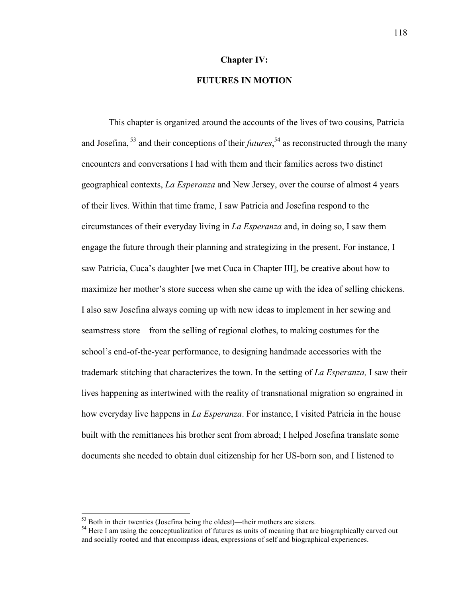#### **Chapter IV:**

# **FUTURES IN MOTION**

This chapter is organized around the accounts of the lives of two cousins, Patricia and Josefina, 53 and their conceptions of their *futures*, 54 as reconstructed through the many encounters and conversations I had with them and their families across two distinct geographical contexts, *La Esperanza* and New Jersey, over the course of almost 4 years of their lives. Within that time frame, I saw Patricia and Josefina respond to the circumstances of their everyday living in *La Esperanza* and, in doing so, I saw them engage the future through their planning and strategizing in the present. For instance, I saw Patricia, Cuca's daughter [we met Cuca in Chapter III], be creative about how to maximize her mother's store success when she came up with the idea of selling chickens. I also saw Josefina always coming up with new ideas to implement in her sewing and seamstress store—from the selling of regional clothes, to making costumes for the school's end-of-the-year performance, to designing handmade accessories with the trademark stitching that characterizes the town. In the setting of *La Esperanza,* I saw their lives happening as intertwined with the reality of transnational migration so engrained in how everyday live happens in *La Esperanza*. For instance, I visited Patricia in the house built with the remittances his brother sent from abroad; I helped Josefina translate some documents she needed to obtain dual citizenship for her US-born son, and I listened to

 $53$  Both in their twenties (Josefina being the oldest)—their mothers are sisters.<br> $54$  Here I am using the conceptualization of futures as units of meaning that are biographically carved out and socially rooted and that encompass ideas, expressions of self and biographical experiences.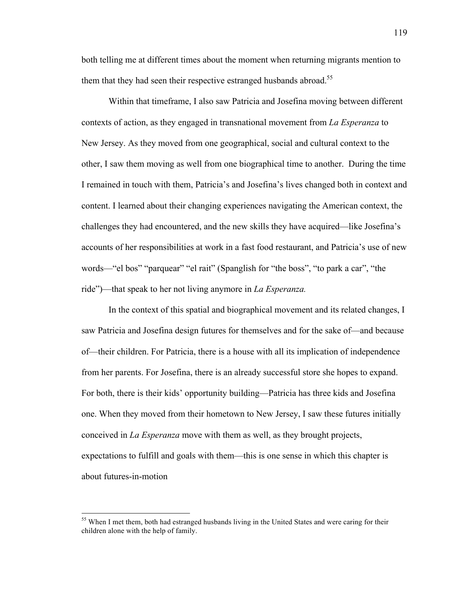both telling me at different times about the moment when returning migrants mention to them that they had seen their respective estranged husbands abroad.<sup>55</sup>

Within that timeframe, I also saw Patricia and Josefina moving between different contexts of action, as they engaged in transnational movement from *La Esperanza* to New Jersey. As they moved from one geographical, social and cultural context to the other, I saw them moving as well from one biographical time to another. During the time I remained in touch with them, Patricia's and Josefina's lives changed both in context and content. I learned about their changing experiences navigating the American context, the challenges they had encountered, and the new skills they have acquired—like Josefina's accounts of her responsibilities at work in a fast food restaurant, and Patricia's use of new words—"el bos" "parquear" "el rait" (Spanglish for "the boss", "to park a car", "the ride")—that speak to her not living anymore in *La Esperanza.*

In the context of this spatial and biographical movement and its related changes, I saw Patricia and Josefina design futures for themselves and for the sake of—and because of—their children. For Patricia, there is a house with all its implication of independence from her parents. For Josefina, there is an already successful store she hopes to expand. For both, there is their kids' opportunity building—Patricia has three kids and Josefina one. When they moved from their hometown to New Jersey, I saw these futures initially conceived in *La Esperanza* move with them as well, as they brought projects, expectations to fulfill and goals with them—this is one sense in which this chapter is about futures-in-motion

<sup>&</sup>lt;sup>55</sup> When I met them, both had estranged husbands living in the United States and were caring for their children alone with the help of family.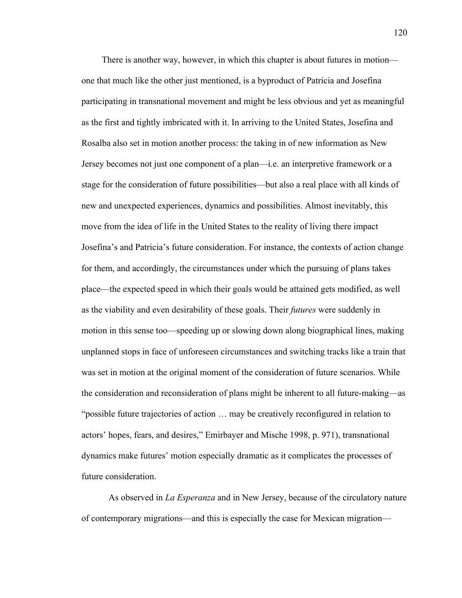There is another way, however, in which this chapter is about futures in motion one that much like the other just mentioned, is a byproduct of Patricia and Josefina participating in transnational movement and might be less obvious and yet as meaningful as the first and tightly imbricated with it. In arriving to the United States, Josefina and Rosalba also set in motion another process: the taking in of new information as New Jersey becomes not just one component of a plan—i.e. an interpretive framework or a stage for the consideration of future possibilities—but also a real place with all kinds of new and unexpected experiences, dynamics and possibilities. Almost inevitably, this move from the idea of life in the United States to the reality of living there impact Josefina's and Patricia's future consideration. For instance, the contexts of action change for them, and accordingly, the circumstances under which the pursuing of plans takes place—the expected speed in which their goals would be attained gets modified, as well as the viability and even desirability of these goals. Their *futures* were suddenly in motion in this sense too—speeding up or slowing down along biographical lines, making unplanned stops in face of unforeseen circumstances and switching tracks like a train that was set in motion at the original moment of the consideration of future scenarios. While the consideration and reconsideration of plans might be inherent to all future-making—as "possible future trajectories of action … may be creatively reconfigured in relation to actors' hopes, fears, and desires," Emirbayer and Mische 1998, p. 971), transnational dynamics make futures' motion especially dramatic as it complicates the processes of future consideration.

As observed in *La Esperanza* and in New Jersey, because of the circulatory nature of contemporary migrations—and this is especially the case for Mexican migration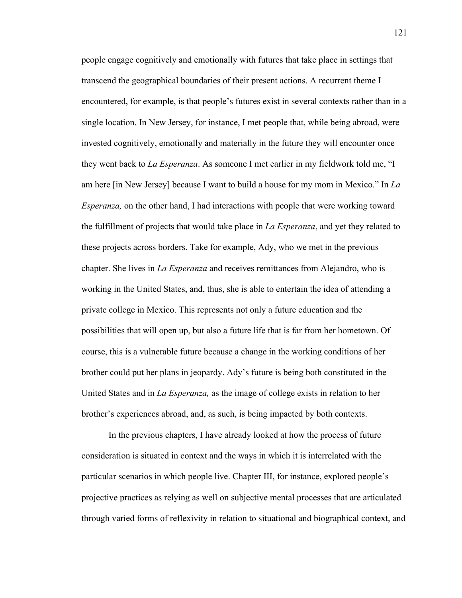people engage cognitively and emotionally with futures that take place in settings that transcend the geographical boundaries of their present actions. A recurrent theme I encountered, for example, is that people's futures exist in several contexts rather than in a single location. In New Jersey, for instance, I met people that, while being abroad, were invested cognitively, emotionally and materially in the future they will encounter once they went back to *La Esperanza*. As someone I met earlier in my fieldwork told me, "I am here [in New Jersey] because I want to build a house for my mom in Mexico." In *La Esperanza,* on the other hand, I had interactions with people that were working toward the fulfillment of projects that would take place in *La Esperanza*, and yet they related to these projects across borders. Take for example, Ady, who we met in the previous chapter. She lives in *La Esperanza* and receives remittances from Alejandro, who is working in the United States, and, thus, she is able to entertain the idea of attending a private college in Mexico. This represents not only a future education and the possibilities that will open up, but also a future life that is far from her hometown. Of course, this is a vulnerable future because a change in the working conditions of her brother could put her plans in jeopardy. Ady's future is being both constituted in the United States and in *La Esperanza,* as the image of college exists in relation to her brother's experiences abroad, and, as such, is being impacted by both contexts.

In the previous chapters, I have already looked at how the process of future consideration is situated in context and the ways in which it is interrelated with the particular scenarios in which people live. Chapter III, for instance, explored people's projective practices as relying as well on subjective mental processes that are articulated through varied forms of reflexivity in relation to situational and biographical context, and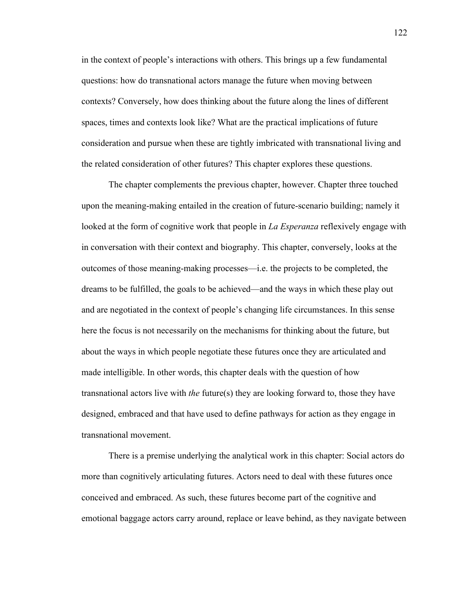in the context of people's interactions with others. This brings up a few fundamental questions: how do transnational actors manage the future when moving between contexts? Conversely, how does thinking about the future along the lines of different spaces, times and contexts look like? What are the practical implications of future consideration and pursue when these are tightly imbricated with transnational living and the related consideration of other futures? This chapter explores these questions.

The chapter complements the previous chapter, however. Chapter three touched upon the meaning-making entailed in the creation of future-scenario building; namely it looked at the form of cognitive work that people in *La Esperanza* reflexively engage with in conversation with their context and biography. This chapter, conversely, looks at the outcomes of those meaning-making processes—i.e. the projects to be completed, the dreams to be fulfilled, the goals to be achieved—and the ways in which these play out and are negotiated in the context of people's changing life circumstances. In this sense here the focus is not necessarily on the mechanisms for thinking about the future, but about the ways in which people negotiate these futures once they are articulated and made intelligible. In other words, this chapter deals with the question of how transnational actors live with *the* future(s) they are looking forward to, those they have designed, embraced and that have used to define pathways for action as they engage in transnational movement.

There is a premise underlying the analytical work in this chapter: Social actors do more than cognitively articulating futures. Actors need to deal with these futures once conceived and embraced. As such, these futures become part of the cognitive and emotional baggage actors carry around, replace or leave behind, as they navigate between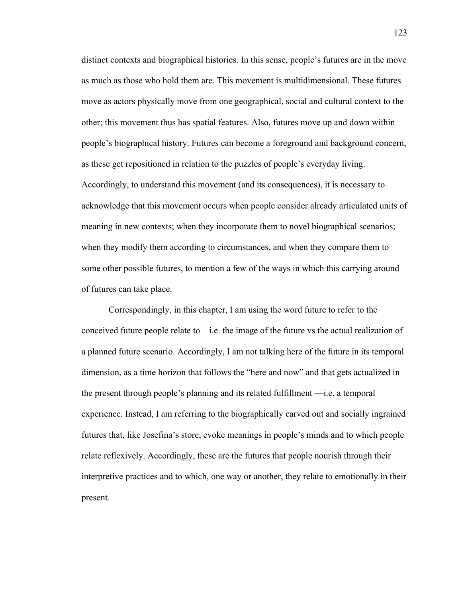distinct contexts and biographical histories. In this sense, people's futures are in the move as much as those who hold them are. This movement is multidimensional. These futures move as actors physically move from one geographical, social and cultural context to the other; this movement thus has spatial features. Also, futures move up and down within people's biographical history. Futures can become a foreground and background concern, as these get repositioned in relation to the puzzles of people's everyday living. Accordingly, to understand this movement (and its consequences), it is necessary to acknowledge that this movement occurs when people consider already articulated units of meaning in new contexts; when they incorporate them to novel biographical scenarios; when they modify them according to circumstances, and when they compare them to some other possible futures, to mention a few of the ways in which this carrying around of futures can take place.

Correspondingly, in this chapter, I am using the word future to refer to the conceived future people relate to—i.e. the image of the future vs the actual realization of a planned future scenario. Accordingly, I am not talking here of the future in its temporal dimension, as a time horizon that follows the "here and now" and that gets actualized in the present through people's planning and its related fulfillment —i.e. a temporal experience. Instead, I am referring to the biographically carved out and socially ingrained futures that, like Josefina's store, evoke meanings in people's minds and to which people relate reflexively. Accordingly, these are the futures that people nourish through their interpretive practices and to which, one way or another, they relate to emotionally in their present.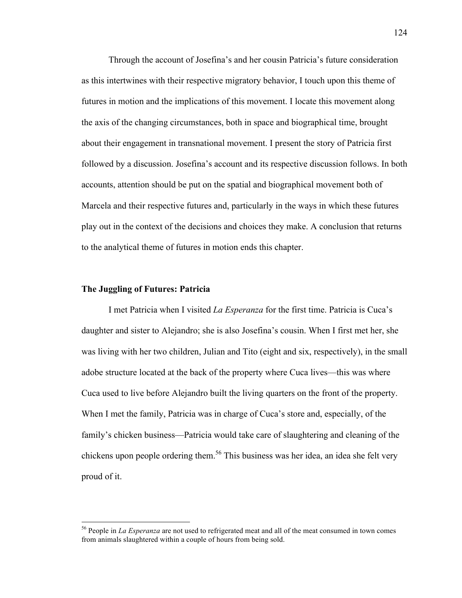Through the account of Josefina's and her cousin Patricia's future consideration as this intertwines with their respective migratory behavior, I touch upon this theme of futures in motion and the implications of this movement. I locate this movement along the axis of the changing circumstances, both in space and biographical time, brought about their engagement in transnational movement. I present the story of Patricia first followed by a discussion. Josefina's account and its respective discussion follows. In both accounts, attention should be put on the spatial and biographical movement both of Marcela and their respective futures and, particularly in the ways in which these futures play out in the context of the decisions and choices they make. A conclusion that returns to the analytical theme of futures in motion ends this chapter.

### **The Juggling of Futures: Patricia**

I met Patricia when I visited *La Esperanza* for the first time. Patricia is Cuca's daughter and sister to Alejandro; she is also Josefina's cousin. When I first met her, she was living with her two children, Julian and Tito (eight and six, respectively), in the small adobe structure located at the back of the property where Cuca lives—this was where Cuca used to live before Alejandro built the living quarters on the front of the property. When I met the family, Patricia was in charge of Cuca's store and, especially, of the family's chicken business—Patricia would take care of slaughtering and cleaning of the chickens upon people ordering them.<sup>56</sup> This business was her idea, an idea she felt very proud of it.

 <sup>56</sup> People in *La Esperanza* are not used to refrigerated meat and all of the meat consumed in town comes from animals slaughtered within a couple of hours from being sold.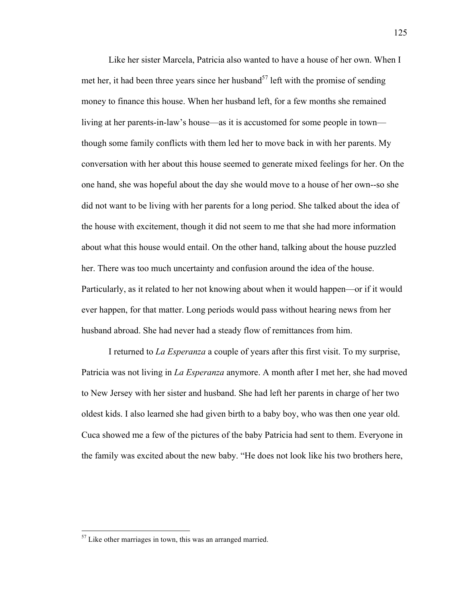Like her sister Marcela, Patricia also wanted to have a house of her own. When I met her, it had been three years since her husband<sup>57</sup> left with the promise of sending money to finance this house. When her husband left, for a few months she remained living at her parents-in-law's house—as it is accustomed for some people in town though some family conflicts with them led her to move back in with her parents. My conversation with her about this house seemed to generate mixed feelings for her. On the one hand, she was hopeful about the day she would move to a house of her own--so she did not want to be living with her parents for a long period. She talked about the idea of the house with excitement, though it did not seem to me that she had more information about what this house would entail. On the other hand, talking about the house puzzled her. There was too much uncertainty and confusion around the idea of the house. Particularly, as it related to her not knowing about when it would happen—or if it would ever happen, for that matter. Long periods would pass without hearing news from her husband abroad. She had never had a steady flow of remittances from him.

I returned to *La Esperanza* a couple of years after this first visit. To my surprise, Patricia was not living in *La Esperanza* anymore. A month after I met her, she had moved to New Jersey with her sister and husband. She had left her parents in charge of her two oldest kids. I also learned she had given birth to a baby boy, who was then one year old. Cuca showed me a few of the pictures of the baby Patricia had sent to them. Everyone in the family was excited about the new baby. "He does not look like his two brothers here,

 $<sup>57</sup>$  Like other marriages in town, this was an arranged married.</sup>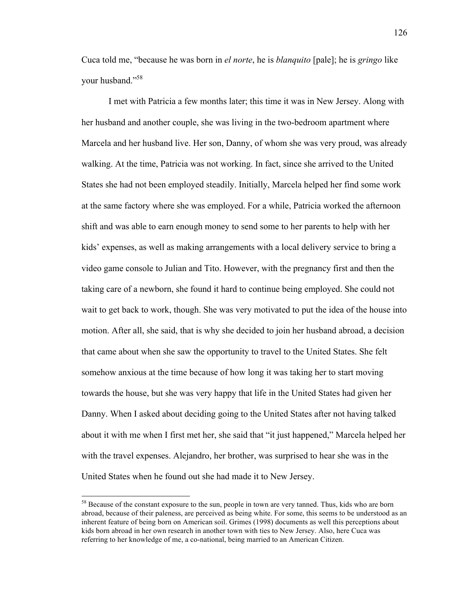Cuca told me, "because he was born in *el norte*, he is *blanquito* [pale]; he is *gringo* like your husband."<sup>58</sup>

I met with Patricia a few months later; this time it was in New Jersey. Along with her husband and another couple, she was living in the two-bedroom apartment where Marcela and her husband live. Her son, Danny, of whom she was very proud, was already walking. At the time, Patricia was not working. In fact, since she arrived to the United States she had not been employed steadily. Initially, Marcela helped her find some work at the same factory where she was employed. For a while, Patricia worked the afternoon shift and was able to earn enough money to send some to her parents to help with her kids' expenses, as well as making arrangements with a local delivery service to bring a video game console to Julian and Tito. However, with the pregnancy first and then the taking care of a newborn, she found it hard to continue being employed. She could not wait to get back to work, though. She was very motivated to put the idea of the house into motion. After all, she said, that is why she decided to join her husband abroad, a decision that came about when she saw the opportunity to travel to the United States. She felt somehow anxious at the time because of how long it was taking her to start moving towards the house, but she was very happy that life in the United States had given her Danny. When I asked about deciding going to the United States after not having talked about it with me when I first met her, she said that "it just happened," Marcela helped her with the travel expenses. Alejandro, her brother, was surprised to hear she was in the United States when he found out she had made it to New Jersey.

<sup>&</sup>lt;sup>58</sup> Because of the constant exposure to the sun, people in town are very tanned. Thus, kids who are born abroad, because of their paleness, are perceived as being white. For some, this seems to be understood as an inherent feature of being born on American soil. Grimes (1998) documents as well this perceptions about kids born abroad in her own research in another town with ties to New Jersey. Also, here Cuca was referring to her knowledge of me, a co-national, being married to an American Citizen.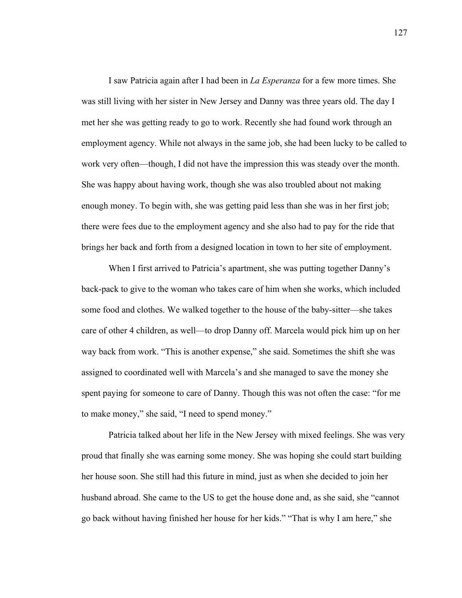I saw Patricia again after I had been in *La Esperanza* for a few more times. She was still living with her sister in New Jersey and Danny was three years old. The day I met her she was getting ready to go to work. Recently she had found work through an employment agency. While not always in the same job, she had been lucky to be called to work very often—though, I did not have the impression this was steady over the month. She was happy about having work, though she was also troubled about not making enough money. To begin with, she was getting paid less than she was in her first job; there were fees due to the employment agency and she also had to pay for the ride that brings her back and forth from a designed location in town to her site of employment.

When I first arrived to Patricia's apartment, she was putting together Danny's back-pack to give to the woman who takes care of him when she works, which included some food and clothes. We walked together to the house of the baby-sitter—she takes care of other 4 children, as well—to drop Danny off. Marcela would pick him up on her way back from work. "This is another expense," she said. Sometimes the shift she was assigned to coordinated well with Marcela's and she managed to save the money she spent paying for someone to care of Danny. Though this was not often the case: "for me to make money," she said, "I need to spend money."

Patricia talked about her life in the New Jersey with mixed feelings. She was very proud that finally she was earning some money. She was hoping she could start building her house soon. She still had this future in mind, just as when she decided to join her husband abroad. She came to the US to get the house done and, as she said, she "cannot go back without having finished her house for her kids." "That is why I am here," she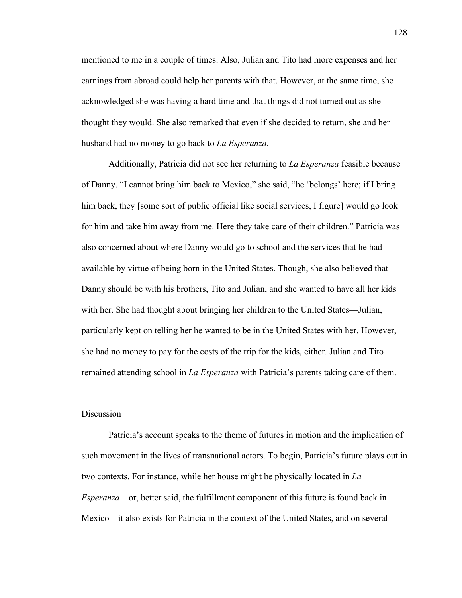mentioned to me in a couple of times. Also, Julian and Tito had more expenses and her earnings from abroad could help her parents with that. However, at the same time, she acknowledged she was having a hard time and that things did not turned out as she thought they would. She also remarked that even if she decided to return, she and her husband had no money to go back to *La Esperanza.*

Additionally, Patricia did not see her returning to *La Esperanza* feasible because of Danny. "I cannot bring him back to Mexico," she said, "he 'belongs' here; if I bring him back, they [some sort of public official like social services, I figure] would go look for him and take him away from me. Here they take care of their children." Patricia was also concerned about where Danny would go to school and the services that he had available by virtue of being born in the United States. Though, she also believed that Danny should be with his brothers, Tito and Julian, and she wanted to have all her kids with her. She had thought about bringing her children to the United States—Julian, particularly kept on telling her he wanted to be in the United States with her. However, she had no money to pay for the costs of the trip for the kids, either. Julian and Tito remained attending school in *La Esperanza* with Patricia's parents taking care of them.

### Discussion

Patricia's account speaks to the theme of futures in motion and the implication of such movement in the lives of transnational actors. To begin, Patricia's future plays out in two contexts. For instance, while her house might be physically located in *La Esperanza*—or, better said, the fulfillment component of this future is found back in Mexico—it also exists for Patricia in the context of the United States, and on several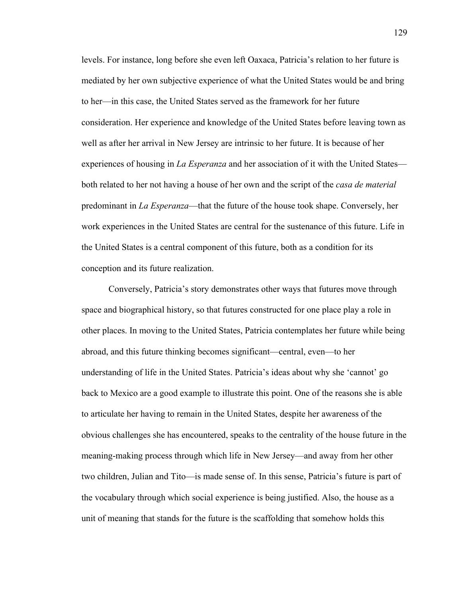levels. For instance, long before she even left Oaxaca, Patricia's relation to her future is mediated by her own subjective experience of what the United States would be and bring to her—in this case, the United States served as the framework for her future consideration. Her experience and knowledge of the United States before leaving town as well as after her arrival in New Jersey are intrinsic to her future. It is because of her experiences of housing in *La Esperanza* and her association of it with the United States both related to her not having a house of her own and the script of the *casa de material* predominant in *La Esperanza*—that the future of the house took shape. Conversely, her work experiences in the United States are central for the sustenance of this future. Life in the United States is a central component of this future, both as a condition for its conception and its future realization.

Conversely, Patricia's story demonstrates other ways that futures move through space and biographical history, so that futures constructed for one place play a role in other places. In moving to the United States, Patricia contemplates her future while being abroad, and this future thinking becomes significant—central, even—to her understanding of life in the United States. Patricia's ideas about why she 'cannot' go back to Mexico are a good example to illustrate this point. One of the reasons she is able to articulate her having to remain in the United States, despite her awareness of the obvious challenges she has encountered, speaks to the centrality of the house future in the meaning-making process through which life in New Jersey—and away from her other two children, Julian and Tito—is made sense of. In this sense, Patricia's future is part of the vocabulary through which social experience is being justified. Also, the house as a unit of meaning that stands for the future is the scaffolding that somehow holds this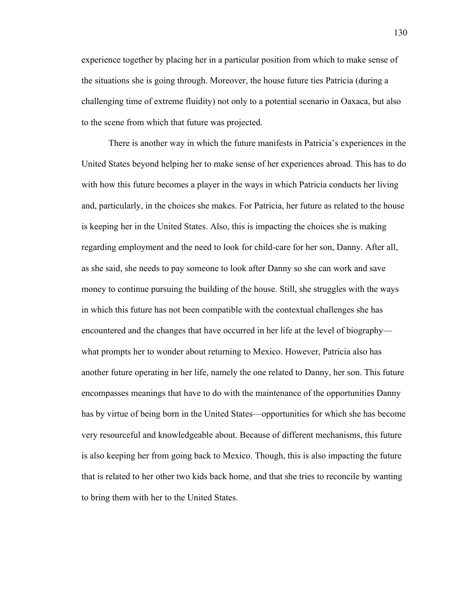experience together by placing her in a particular position from which to make sense of the situations she is going through. Moreover, the house future ties Patricia (during a challenging time of extreme fluidity) not only to a potential scenario in Oaxaca, but also to the scene from which that future was projected.

There is another way in which the future manifests in Patricia's experiences in the United States beyond helping her to make sense of her experiences abroad. This has to do with how this future becomes a player in the ways in which Patricia conducts her living and, particularly, in the choices she makes. For Patricia, her future as related to the house is keeping her in the United States. Also, this is impacting the choices she is making regarding employment and the need to look for child-care for her son, Danny. After all, as she said, she needs to pay someone to look after Danny so she can work and save money to continue pursuing the building of the house. Still, she struggles with the ways in which this future has not been compatible with the contextual challenges she has encountered and the changes that have occurred in her life at the level of biography what prompts her to wonder about returning to Mexico. However, Patricia also has another future operating in her life, namely the one related to Danny, her son. This future encompasses meanings that have to do with the maintenance of the opportunities Danny has by virtue of being born in the United States—opportunities for which she has become very resourceful and knowledgeable about. Because of different mechanisms, this future is also keeping her from going back to Mexico. Though, this is also impacting the future that is related to her other two kids back home, and that she tries to reconcile by wanting to bring them with her to the United States.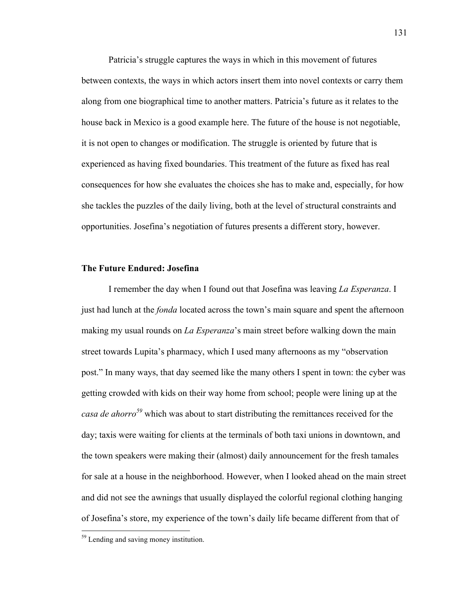Patricia's struggle captures the ways in which in this movement of futures between contexts, the ways in which actors insert them into novel contexts or carry them along from one biographical time to another matters. Patricia's future as it relates to the house back in Mexico is a good example here. The future of the house is not negotiable, it is not open to changes or modification. The struggle is oriented by future that is experienced as having fixed boundaries. This treatment of the future as fixed has real consequences for how she evaluates the choices she has to make and, especially, for how she tackles the puzzles of the daily living, both at the level of structural constraints and opportunities. Josefina's negotiation of futures presents a different story, however.

#### **The Future Endured: Josefina**

I remember the day when I found out that Josefina was leaving *La Esperanza*. I just had lunch at the *fonda* located across the town's main square and spent the afternoon making my usual rounds on *La Esperanza*'s main street before walking down the main street towards Lupita's pharmacy, which I used many afternoons as my "observation post." In many ways, that day seemed like the many others I spent in town: the cyber was getting crowded with kids on their way home from school; people were lining up at the *casa de ahorro<sup>59</sup>* which was about to start distributing the remittances received for the day; taxis were waiting for clients at the terminals of both taxi unions in downtown, and the town speakers were making their (almost) daily announcement for the fresh tamales for sale at a house in the neighborhood. However, when I looked ahead on the main street and did not see the awnings that usually displayed the colorful regional clothing hanging of Josefina's store, my experience of the town's daily life became different from that of

<sup>&</sup>lt;sup>59</sup> Lending and saving money institution.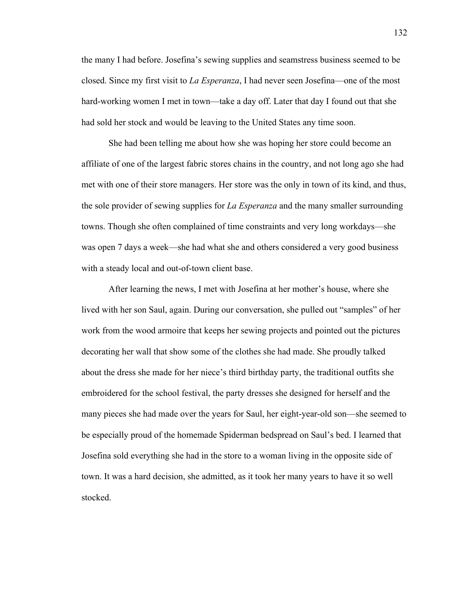the many I had before. Josefina's sewing supplies and seamstress business seemed to be closed. Since my first visit to *La Esperanza*, I had never seen Josefina—one of the most hard-working women I met in town—take a day off. Later that day I found out that she had sold her stock and would be leaving to the United States any time soon.

She had been telling me about how she was hoping her store could become an affiliate of one of the largest fabric stores chains in the country, and not long ago she had met with one of their store managers. Her store was the only in town of its kind, and thus, the sole provider of sewing supplies for *La Esperanza* and the many smaller surrounding towns. Though she often complained of time constraints and very long workdays—she was open 7 days a week—she had what she and others considered a very good business with a steady local and out-of-town client base.

After learning the news, I met with Josefina at her mother's house, where she lived with her son Saul, again. During our conversation, she pulled out "samples" of her work from the wood armoire that keeps her sewing projects and pointed out the pictures decorating her wall that show some of the clothes she had made. She proudly talked about the dress she made for her niece's third birthday party, the traditional outfits she embroidered for the school festival, the party dresses she designed for herself and the many pieces she had made over the years for Saul, her eight-year-old son—she seemed to be especially proud of the homemade Spiderman bedspread on Saul's bed. I learned that Josefina sold everything she had in the store to a woman living in the opposite side of town. It was a hard decision, she admitted, as it took her many years to have it so well stocked.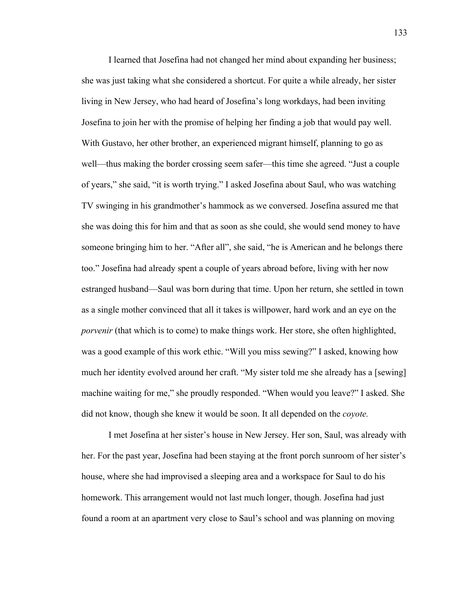I learned that Josefina had not changed her mind about expanding her business; she was just taking what she considered a shortcut. For quite a while already, her sister living in New Jersey, who had heard of Josefina's long workdays, had been inviting Josefina to join her with the promise of helping her finding a job that would pay well. With Gustavo, her other brother, an experienced migrant himself, planning to go as well—thus making the border crossing seem safer—this time she agreed. "Just a couple of years," she said, "it is worth trying." I asked Josefina about Saul, who was watching TV swinging in his grandmother's hammock as we conversed. Josefina assured me that she was doing this for him and that as soon as she could, she would send money to have someone bringing him to her. "After all", she said, "he is American and he belongs there too." Josefina had already spent a couple of years abroad before, living with her now estranged husband—Saul was born during that time. Upon her return, she settled in town as a single mother convinced that all it takes is willpower, hard work and an eye on the *porvenir* (that which is to come) to make things work. Her store, she often highlighted, was a good example of this work ethic. "Will you miss sewing?" I asked, knowing how much her identity evolved around her craft. "My sister told me she already has a [sewing] machine waiting for me," she proudly responded. "When would you leave?" I asked. She did not know, though she knew it would be soon. It all depended on the *coyote.*

I met Josefina at her sister's house in New Jersey. Her son, Saul, was already with her. For the past year, Josefina had been staying at the front porch sunroom of her sister's house, where she had improvised a sleeping area and a workspace for Saul to do his homework. This arrangement would not last much longer, though. Josefina had just found a room at an apartment very close to Saul's school and was planning on moving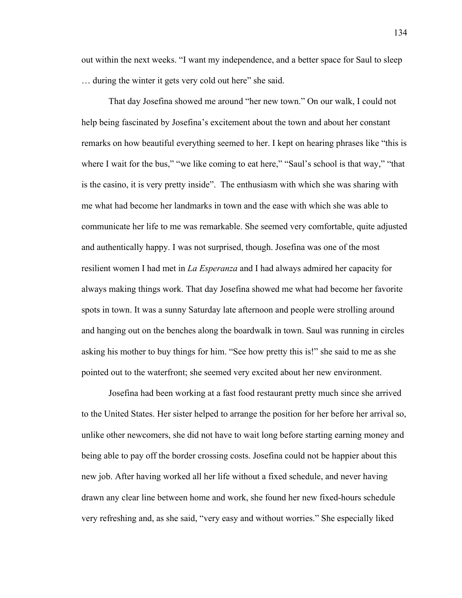out within the next weeks. "I want my independence, and a better space for Saul to sleep … during the winter it gets very cold out here" she said.

That day Josefina showed me around "her new town." On our walk, I could not help being fascinated by Josefina's excitement about the town and about her constant remarks on how beautiful everything seemed to her. I kept on hearing phrases like "this is where I wait for the bus," "we like coming to eat here," "Saul's school is that way," "that is the casino, it is very pretty inside". The enthusiasm with which she was sharing with me what had become her landmarks in town and the ease with which she was able to communicate her life to me was remarkable. She seemed very comfortable, quite adjusted and authentically happy. I was not surprised, though. Josefina was one of the most resilient women I had met in *La Esperanza* and I had always admired her capacity for always making things work. That day Josefina showed me what had become her favorite spots in town. It was a sunny Saturday late afternoon and people were strolling around and hanging out on the benches along the boardwalk in town. Saul was running in circles asking his mother to buy things for him. "See how pretty this is!" she said to me as she pointed out to the waterfront; she seemed very excited about her new environment.

Josefina had been working at a fast food restaurant pretty much since she arrived to the United States. Her sister helped to arrange the position for her before her arrival so, unlike other newcomers, she did not have to wait long before starting earning money and being able to pay off the border crossing costs. Josefina could not be happier about this new job. After having worked all her life without a fixed schedule, and never having drawn any clear line between home and work, she found her new fixed-hours schedule very refreshing and, as she said, "very easy and without worries." She especially liked

134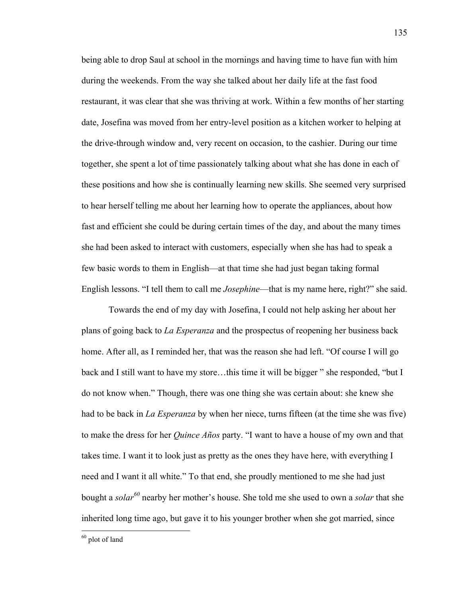being able to drop Saul at school in the mornings and having time to have fun with him during the weekends. From the way she talked about her daily life at the fast food restaurant, it was clear that she was thriving at work. Within a few months of her starting date, Josefina was moved from her entry-level position as a kitchen worker to helping at the drive-through window and, very recent on occasion, to the cashier. During our time together, she spent a lot of time passionately talking about what she has done in each of these positions and how she is continually learning new skills. She seemed very surprised to hear herself telling me about her learning how to operate the appliances, about how fast and efficient she could be during certain times of the day, and about the many times she had been asked to interact with customers, especially when she has had to speak a few basic words to them in English—at that time she had just began taking formal English lessons. "I tell them to call me *Josephine*—that is my name here, right?" she said.

Towards the end of my day with Josefina, I could not help asking her about her plans of going back to *La Esperanza* and the prospectus of reopening her business back home. After all, as I reminded her, that was the reason she had left. "Of course I will go back and I still want to have my store…this time it will be bigger " she responded, "but I do not know when." Though, there was one thing she was certain about: she knew she had to be back in *La Esperanza* by when her niece, turns fifteen (at the time she was five) to make the dress for her *Quince Años* party. "I want to have a house of my own and that takes time. I want it to look just as pretty as the ones they have here, with everything I need and I want it all white." To that end, she proudly mentioned to me she had just bought a *solar<sup>60</sup>* nearby her mother's house. She told me she used to own a *solar* that she inherited long time ago, but gave it to his younger brother when she got married, since

<sup>135</sup> 

 $60$  plot of land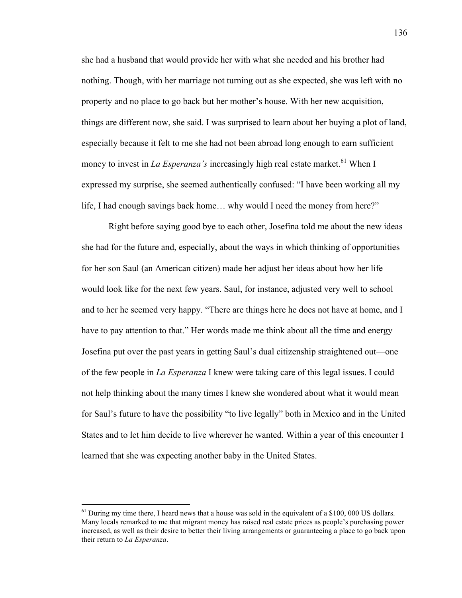she had a husband that would provide her with what she needed and his brother had nothing. Though, with her marriage not turning out as she expected, she was left with no property and no place to go back but her mother's house. With her new acquisition, things are different now, she said. I was surprised to learn about her buying a plot of land, especially because it felt to me she had not been abroad long enough to earn sufficient money to invest in *La Esperanza's* increasingly high real estate market.<sup>61</sup> When I expressed my surprise, she seemed authentically confused: "I have been working all my life, I had enough savings back home… why would I need the money from here?"

Right before saying good bye to each other, Josefina told me about the new ideas she had for the future and, especially, about the ways in which thinking of opportunities for her son Saul (an American citizen) made her adjust her ideas about how her life would look like for the next few years. Saul, for instance, adjusted very well to school and to her he seemed very happy. "There are things here he does not have at home, and I have to pay attention to that." Her words made me think about all the time and energy Josefina put over the past years in getting Saul's dual citizenship straightened out—one of the few people in *La Esperanza* I knew were taking care of this legal issues. I could not help thinking about the many times I knew she wondered about what it would mean for Saul's future to have the possibility "to live legally" both in Mexico and in the United States and to let him decide to live wherever he wanted. Within a year of this encounter I learned that she was expecting another baby in the United States.

 $<sup>61</sup>$  During my time there, I heard news that a house was sold in the equivalent of a \$100, 000 US dollars.</sup> Many locals remarked to me that migrant money has raised real estate prices as people's purchasing power increased, as well as their desire to better their living arrangements or guaranteeing a place to go back upon their return to *La Esperanza*.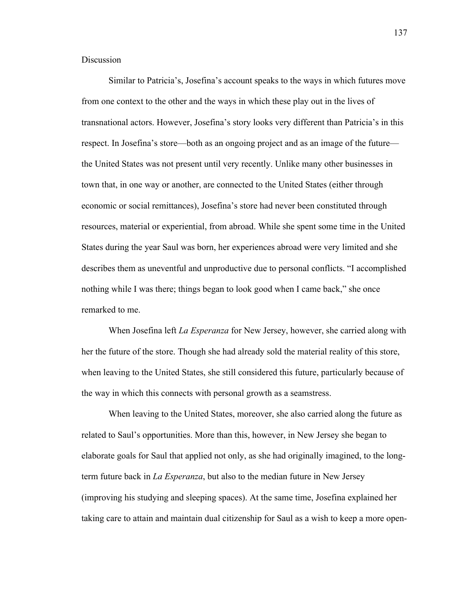**Discussion** 

Similar to Patricia's, Josefina's account speaks to the ways in which futures move from one context to the other and the ways in which these play out in the lives of transnational actors. However, Josefina's story looks very different than Patricia's in this respect. In Josefina's store—both as an ongoing project and as an image of the future the United States was not present until very recently. Unlike many other businesses in town that, in one way or another, are connected to the United States (either through economic or social remittances), Josefina's store had never been constituted through resources, material or experiential, from abroad. While she spent some time in the United States during the year Saul was born, her experiences abroad were very limited and she describes them as uneventful and unproductive due to personal conflicts. "I accomplished nothing while I was there; things began to look good when I came back," she once remarked to me.

When Josefina left *La Esperanza* for New Jersey, however, she carried along with her the future of the store. Though she had already sold the material reality of this store, when leaving to the United States, she still considered this future, particularly because of the way in which this connects with personal growth as a seamstress.

When leaving to the United States, moreover, she also carried along the future as related to Saul's opportunities. More than this, however, in New Jersey she began to elaborate goals for Saul that applied not only, as she had originally imagined, to the longterm future back in *La Esperanza*, but also to the median future in New Jersey (improving his studying and sleeping spaces). At the same time, Josefina explained her taking care to attain and maintain dual citizenship for Saul as a wish to keep a more open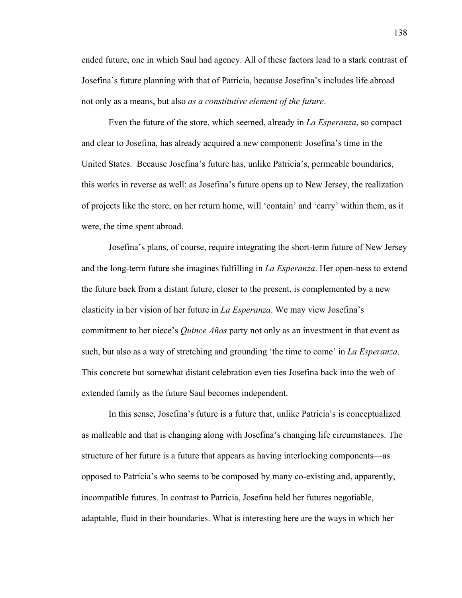ended future, one in which Saul had agency. All of these factors lead to a stark contrast of Josefina's future planning with that of Patricia, because Josefina's includes life abroad not only as a means, but also *as a constitutive element of the future*.

Even the future of the store, which seemed, already in *La Esperanza*, so compact and clear to Josefina, has already acquired a new component: Josefina's time in the United States. Because Josefina's future has, unlike Patricia's, permeable boundaries, this works in reverse as well: as Josefina's future opens up to New Jersey, the realization of projects like the store, on her return home, will 'contain' and 'carry' within them, as it were, the time spent abroad.

Josefina's plans, of course, require integrating the short-term future of New Jersey and the long-term future she imagines fulfilling in *La Esperanza*. Her open-ness to extend the future back from a distant future, closer to the present, is complemented by a new elasticity in her vision of her future in *La Esperanza*. We may view Josefina's commitment to her niece's *Quince Años* party not only as an investment in that event as such, but also as a way of stretching and grounding 'the time to come' in *La Esperanza*. This concrete but somewhat distant celebration even ties Josefina back into the web of extended family as the future Saul becomes independent.

In this sense, Josefina's future is a future that, unlike Patricia's is conceptualized as malleable and that is changing along with Josefina's changing life circumstances. The structure of her future is a future that appears as having interlocking components—as opposed to Patricia's who seems to be composed by many co-existing and, apparently, incompatible futures. In contrast to Patricia, Josefina held her futures negotiable, adaptable, fluid in their boundaries. What is interesting here are the ways in which her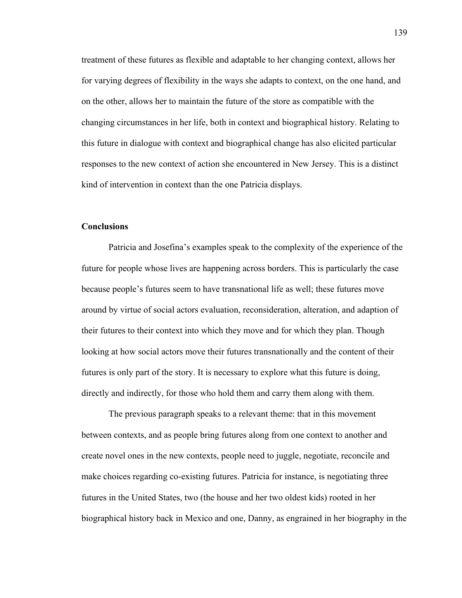treatment of these futures as flexible and adaptable to her changing context, allows her for varying degrees of flexibility in the ways she adapts to context, on the one hand, and on the other, allows her to maintain the future of the store as compatible with the changing circumstances in her life, both in context and biographical history. Relating to this future in dialogue with context and biographical change has also elicited particular responses to the new context of action she encountered in New Jersey. This is a distinct kind of intervention in context than the one Patricia displays.

## **Conclusions**

Patricia and Josefina's examples speak to the complexity of the experience of the future for people whose lives are happening across borders. This is particularly the case because people's futures seem to have transnational life as well; these futures move around by virtue of social actors evaluation, reconsideration, alteration, and adaption of their futures to their context into which they move and for which they plan. Though looking at how social actors move their futures transnationally and the content of their futures is only part of the story. It is necessary to explore what this future is doing, directly and indirectly, for those who hold them and carry them along with them.

The previous paragraph speaks to a relevant theme: that in this movement between contexts, and as people bring futures along from one context to another and create novel ones in the new contexts, people need to juggle, negotiate, reconcile and make choices regarding co-existing futures. Patricia for instance, is negotiating three futures in the United States, two (the house and her two oldest kids) rooted in her biographical history back in Mexico and one, Danny, as engrained in her biography in the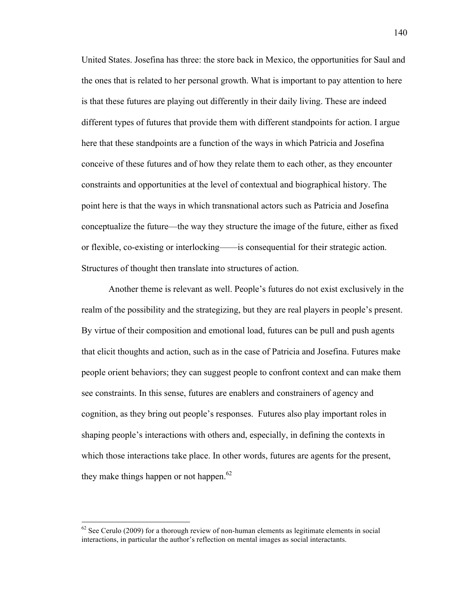United States. Josefina has three: the store back in Mexico, the opportunities for Saul and the ones that is related to her personal growth. What is important to pay attention to here is that these futures are playing out differently in their daily living. These are indeed different types of futures that provide them with different standpoints for action. I argue here that these standpoints are a function of the ways in which Patricia and Josefina conceive of these futures and of how they relate them to each other, as they encounter constraints and opportunities at the level of contextual and biographical history. The point here is that the ways in which transnational actors such as Patricia and Josefina conceptualize the future—the way they structure the image of the future, either as fixed or flexible, co-existing or interlocking——is consequential for their strategic action. Structures of thought then translate into structures of action.

Another theme is relevant as well. People's futures do not exist exclusively in the realm of the possibility and the strategizing, but they are real players in people's present. By virtue of their composition and emotional load, futures can be pull and push agents that elicit thoughts and action, such as in the case of Patricia and Josefina. Futures make people orient behaviors; they can suggest people to confront context and can make them see constraints. In this sense, futures are enablers and constrainers of agency and cognition, as they bring out people's responses. Futures also play important roles in shaping people's interactions with others and, especially, in defining the contexts in which those interactions take place. In other words, futures are agents for the present, they make things happen or not happen.<sup>62</sup>

 $62$  See Cerulo (2009) for a thorough review of non-human elements as legitimate elements in social interactions, in particular the author's reflection on mental images as social interactants.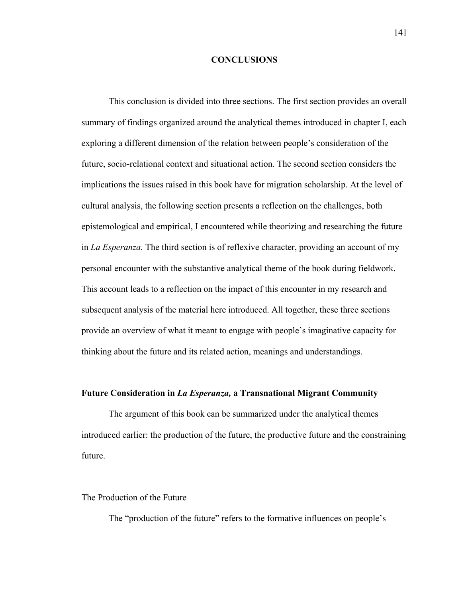### **CONCLUSIONS**

This conclusion is divided into three sections. The first section provides an overall summary of findings organized around the analytical themes introduced in chapter I, each exploring a different dimension of the relation between people's consideration of the future, socio-relational context and situational action. The second section considers the implications the issues raised in this book have for migration scholarship. At the level of cultural analysis, the following section presents a reflection on the challenges, both epistemological and empirical, I encountered while theorizing and researching the future in *La Esperanza.* The third section is of reflexive character, providing an account of my personal encounter with the substantive analytical theme of the book during fieldwork. This account leads to a reflection on the impact of this encounter in my research and subsequent analysis of the material here introduced. All together, these three sections provide an overview of what it meant to engage with people's imaginative capacity for thinking about the future and its related action, meanings and understandings.

## **Future Consideration in** *La Esperanza,* **a Transnational Migrant Community**

The argument of this book can be summarized under the analytical themes introduced earlier: the production of the future, the productive future and the constraining future.

## The Production of the Future

The "production of the future" refers to the formative influences on people's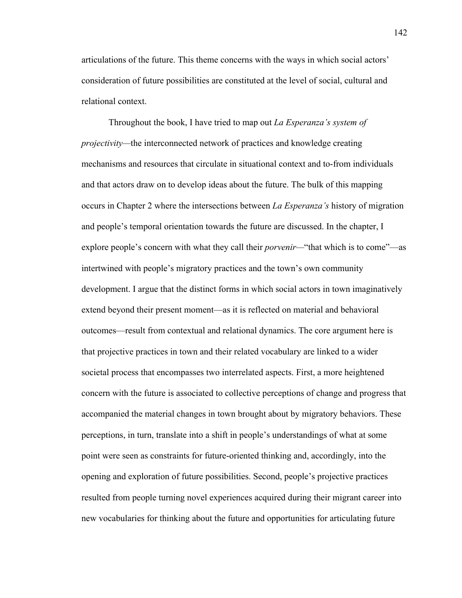articulations of the future. This theme concerns with the ways in which social actors' consideration of future possibilities are constituted at the level of social, cultural and relational context.

Throughout the book, I have tried to map out *La Esperanza's system of projectivity—*the interconnected network of practices and knowledge creating mechanisms and resources that circulate in situational context and to-from individuals and that actors draw on to develop ideas about the future. The bulk of this mapping occurs in Chapter 2 where the intersections between *La Esperanza's* history of migration and people's temporal orientation towards the future are discussed. In the chapter, I explore people's concern with what they call their *porvenir—*"that which is to come"—as intertwined with people's migratory practices and the town's own community development. I argue that the distinct forms in which social actors in town imaginatively extend beyond their present moment—as it is reflected on material and behavioral outcomes—result from contextual and relational dynamics. The core argument here is that projective practices in town and their related vocabulary are linked to a wider societal process that encompasses two interrelated aspects. First, a more heightened concern with the future is associated to collective perceptions of change and progress that accompanied the material changes in town brought about by migratory behaviors. These perceptions, in turn, translate into a shift in people's understandings of what at some point were seen as constraints for future-oriented thinking and, accordingly, into the opening and exploration of future possibilities. Second, people's projective practices resulted from people turning novel experiences acquired during their migrant career into new vocabularies for thinking about the future and opportunities for articulating future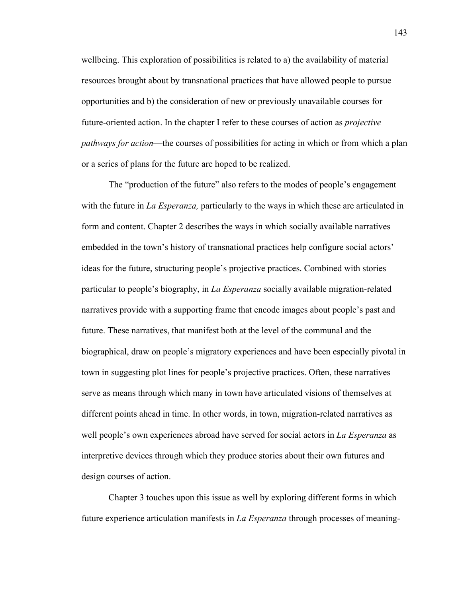wellbeing. This exploration of possibilities is related to a) the availability of material resources brought about by transnational practices that have allowed people to pursue opportunities and b) the consideration of new or previously unavailable courses for future-oriented action. In the chapter I refer to these courses of action as *projective pathways for action*—the courses of possibilities for acting in which or from which a plan or a series of plans for the future are hoped to be realized.

The "production of the future" also refers to the modes of people's engagement with the future in *La Esperanza,* particularly to the ways in which these are articulated in form and content. Chapter 2 describes the ways in which socially available narratives embedded in the town's history of transnational practices help configure social actors' ideas for the future, structuring people's projective practices. Combined with stories particular to people's biography, in *La Esperanza* socially available migration-related narratives provide with a supporting frame that encode images about people's past and future. These narratives, that manifest both at the level of the communal and the biographical, draw on people's migratory experiences and have been especially pivotal in town in suggesting plot lines for people's projective practices. Often, these narratives serve as means through which many in town have articulated visions of themselves at different points ahead in time. In other words, in town, migration-related narratives as well people's own experiences abroad have served for social actors in *La Esperanza* as interpretive devices through which they produce stories about their own futures and design courses of action.

Chapter 3 touches upon this issue as well by exploring different forms in which future experience articulation manifests in *La Esperanza* through processes of meaning-

143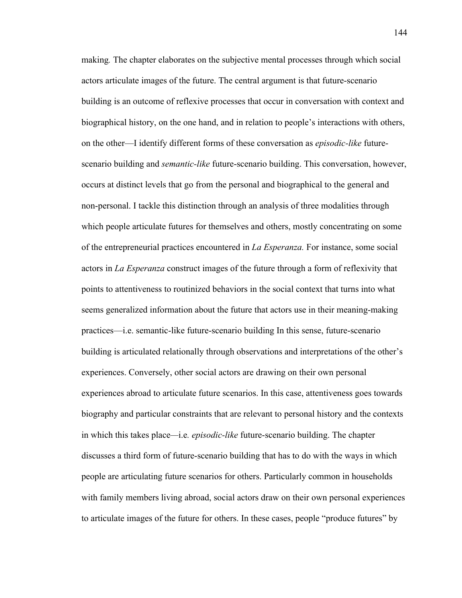making*.* The chapter elaborates on the subjective mental processes through which social actors articulate images of the future. The central argument is that future-scenario building is an outcome of reflexive processes that occur in conversation with context and biographical history, on the one hand, and in relation to people's interactions with others, on the other—I identify different forms of these conversation as *episodic-like* futurescenario building and *semantic-like* future-scenario building. This conversation, however, occurs at distinct levels that go from the personal and biographical to the general and non-personal. I tackle this distinction through an analysis of three modalities through which people articulate futures for themselves and others, mostly concentrating on some of the entrepreneurial practices encountered in *La Esperanza.* For instance, some social actors in *La Esperanza* construct images of the future through a form of reflexivity that points to attentiveness to routinized behaviors in the social context that turns into what seems generalized information about the future that actors use in their meaning-making practices—i.e. semantic-like future-scenario building In this sense, future-scenario building is articulated relationally through observations and interpretations of the other's experiences. Conversely, other social actors are drawing on their own personal experiences abroad to articulate future scenarios. In this case, attentiveness goes towards biography and particular constraints that are relevant to personal history and the contexts in which this takes place*—*i.e*. episodic-like* future-scenario building. The chapter discusses a third form of future-scenario building that has to do with the ways in which people are articulating future scenarios for others. Particularly common in households with family members living abroad, social actors draw on their own personal experiences to articulate images of the future for others. In these cases, people "produce futures" by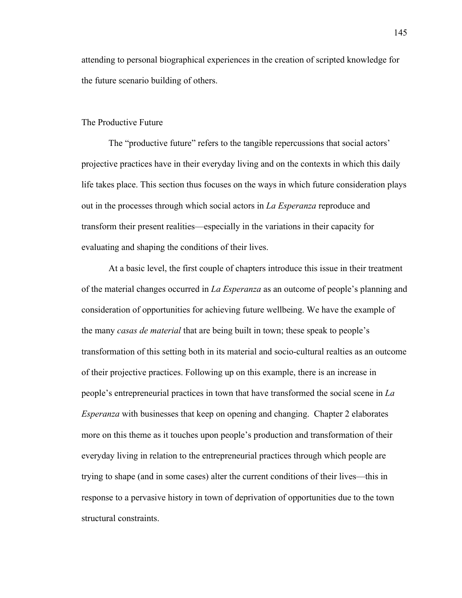attending to personal biographical experiences in the creation of scripted knowledge for the future scenario building of others.

### The Productive Future

The "productive future" refers to the tangible repercussions that social actors' projective practices have in their everyday living and on the contexts in which this daily life takes place. This section thus focuses on the ways in which future consideration plays out in the processes through which social actors in *La Esperanza* reproduce and transform their present realities—especially in the variations in their capacity for evaluating and shaping the conditions of their lives.

At a basic level, the first couple of chapters introduce this issue in their treatment of the material changes occurred in *La Esperanza* as an outcome of people's planning and consideration of opportunities for achieving future wellbeing. We have the example of the many *casas de material* that are being built in town; these speak to people's transformation of this setting both in its material and socio-cultural realties as an outcome of their projective practices. Following up on this example, there is an increase in people's entrepreneurial practices in town that have transformed the social scene in *La Esperanza* with businesses that keep on opening and changing. Chapter 2 elaborates more on this theme as it touches upon people's production and transformation of their everyday living in relation to the entrepreneurial practices through which people are trying to shape (and in some cases) alter the current conditions of their lives—this in response to a pervasive history in town of deprivation of opportunities due to the town structural constraints.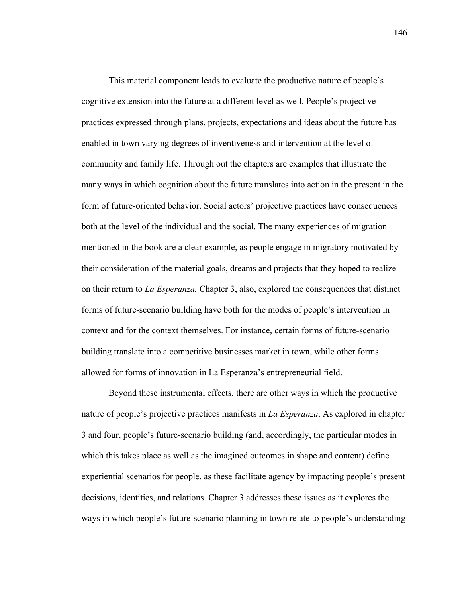This material component leads to evaluate the productive nature of people's cognitive extension into the future at a different level as well. People's projective practices expressed through plans, projects, expectations and ideas about the future has enabled in town varying degrees of inventiveness and intervention at the level of community and family life. Through out the chapters are examples that illustrate the many ways in which cognition about the future translates into action in the present in the form of future-oriented behavior. Social actors' projective practices have consequences both at the level of the individual and the social. The many experiences of migration mentioned in the book are a clear example, as people engage in migratory motivated by their consideration of the material goals, dreams and projects that they hoped to realize on their return to *La Esperanza.* Chapter 3, also, explored the consequences that distinct forms of future-scenario building have both for the modes of people's intervention in context and for the context themselves. For instance, certain forms of future-scenario building translate into a competitive businesses market in town, while other forms allowed for forms of innovation in La Esperanza's entrepreneurial field.

Beyond these instrumental effects, there are other ways in which the productive nature of people's projective practices manifests in *La Esperanza*. As explored in chapter 3 and four, people's future-scenario building (and, accordingly, the particular modes in which this takes place as well as the imagined outcomes in shape and content) define experiential scenarios for people, as these facilitate agency by impacting people's present decisions, identities, and relations. Chapter 3 addresses these issues as it explores the ways in which people's future-scenario planning in town relate to people's understanding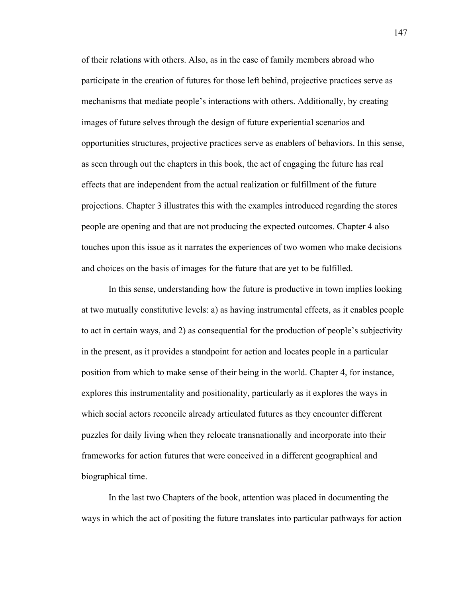of their relations with others. Also, as in the case of family members abroad who participate in the creation of futures for those left behind, projective practices serve as mechanisms that mediate people's interactions with others. Additionally, by creating images of future selves through the design of future experiential scenarios and opportunities structures, projective practices serve as enablers of behaviors. In this sense, as seen through out the chapters in this book, the act of engaging the future has real effects that are independent from the actual realization or fulfillment of the future projections. Chapter 3 illustrates this with the examples introduced regarding the stores people are opening and that are not producing the expected outcomes. Chapter 4 also touches upon this issue as it narrates the experiences of two women who make decisions and choices on the basis of images for the future that are yet to be fulfilled.

In this sense, understanding how the future is productive in town implies looking at two mutually constitutive levels: a) as having instrumental effects, as it enables people to act in certain ways, and 2) as consequential for the production of people's subjectivity in the present, as it provides a standpoint for action and locates people in a particular position from which to make sense of their being in the world. Chapter 4, for instance, explores this instrumentality and positionality, particularly as it explores the ways in which social actors reconcile already articulated futures as they encounter different puzzles for daily living when they relocate transnationally and incorporate into their frameworks for action futures that were conceived in a different geographical and biographical time.

In the last two Chapters of the book, attention was placed in documenting the ways in which the act of positing the future translates into particular pathways for action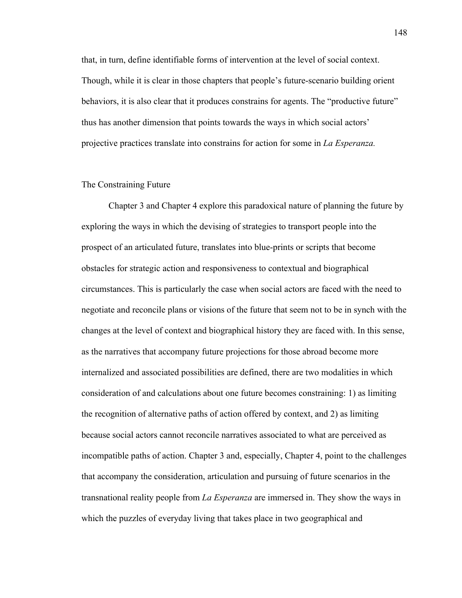that, in turn, define identifiable forms of intervention at the level of social context. Though, while it is clear in those chapters that people's future-scenario building orient behaviors, it is also clear that it produces constrains for agents. The "productive future" thus has another dimension that points towards the ways in which social actors' projective practices translate into constrains for action for some in *La Esperanza.*

## The Constraining Future

Chapter 3 and Chapter 4 explore this paradoxical nature of planning the future by exploring the ways in which the devising of strategies to transport people into the prospect of an articulated future, translates into blue-prints or scripts that become obstacles for strategic action and responsiveness to contextual and biographical circumstances. This is particularly the case when social actors are faced with the need to negotiate and reconcile plans or visions of the future that seem not to be in synch with the changes at the level of context and biographical history they are faced with. In this sense, as the narratives that accompany future projections for those abroad become more internalized and associated possibilities are defined, there are two modalities in which consideration of and calculations about one future becomes constraining: 1) as limiting the recognition of alternative paths of action offered by context, and 2) as limiting because social actors cannot reconcile narratives associated to what are perceived as incompatible paths of action. Chapter 3 and, especially, Chapter 4, point to the challenges that accompany the consideration, articulation and pursuing of future scenarios in the transnational reality people from *La Esperanza* are immersed in. They show the ways in which the puzzles of everyday living that takes place in two geographical and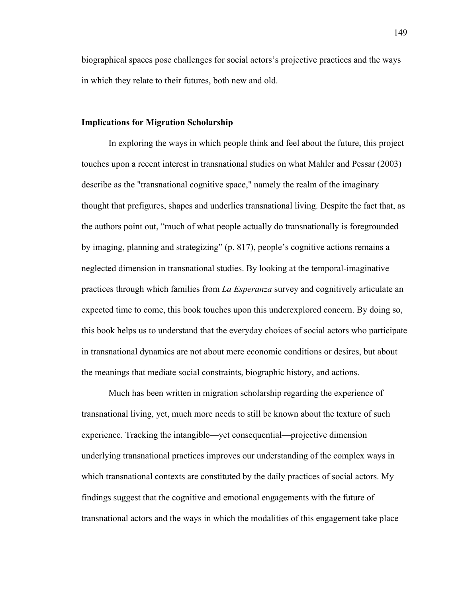biographical spaces pose challenges for social actors's projective practices and the ways in which they relate to their futures, both new and old.

### **Implications for Migration Scholarship**

In exploring the ways in which people think and feel about the future, this project touches upon a recent interest in transnational studies on what Mahler and Pessar (2003) describe as the "transnational cognitive space," namely the realm of the imaginary thought that prefigures, shapes and underlies transnational living. Despite the fact that, as the authors point out, "much of what people actually do transnationally is foregrounded by imaging, planning and strategizing" (p. 817), people's cognitive actions remains a neglected dimension in transnational studies. By looking at the temporal-imaginative practices through which families from *La Esperanza* survey and cognitively articulate an expected time to come, this book touches upon this underexplored concern. By doing so, this book helps us to understand that the everyday choices of social actors who participate in transnational dynamics are not about mere economic conditions or desires, but about the meanings that mediate social constraints, biographic history, and actions.

Much has been written in migration scholarship regarding the experience of transnational living, yet, much more needs to still be known about the texture of such experience. Tracking the intangible—yet consequential—projective dimension underlying transnational practices improves our understanding of the complex ways in which transnational contexts are constituted by the daily practices of social actors. My findings suggest that the cognitive and emotional engagements with the future of transnational actors and the ways in which the modalities of this engagement take place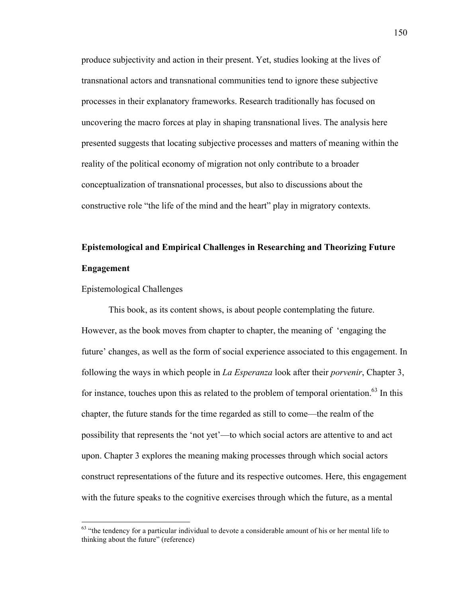produce subjectivity and action in their present. Yet, studies looking at the lives of transnational actors and transnational communities tend to ignore these subjective processes in their explanatory frameworks. Research traditionally has focused on uncovering the macro forces at play in shaping transnational lives. The analysis here presented suggests that locating subjective processes and matters of meaning within the reality of the political economy of migration not only contribute to a broader conceptualization of transnational processes, but also to discussions about the constructive role "the life of the mind and the heart" play in migratory contexts.

# **Epistemological and Empirical Challenges in Researching and Theorizing Future Engagement**

## Epistemological Challenges

This book, as its content shows, is about people contemplating the future. However, as the book moves from chapter to chapter, the meaning of 'engaging the future' changes, as well as the form of social experience associated to this engagement. In following the ways in which people in *La Esperanza* look after their *porvenir*, Chapter 3, for instance, touches upon this as related to the problem of temporal orientation. $63$  In this chapter, the future stands for the time regarded as still to come—the realm of the possibility that represents the 'not yet'—to which social actors are attentive to and act upon. Chapter 3 explores the meaning making processes through which social actors construct representations of the future and its respective outcomes. Here, this engagement with the future speaks to the cognitive exercises through which the future, as a mental

 $63$  "the tendency for a particular individual to devote a considerable amount of his or her mental life to thinking about the future" (reference)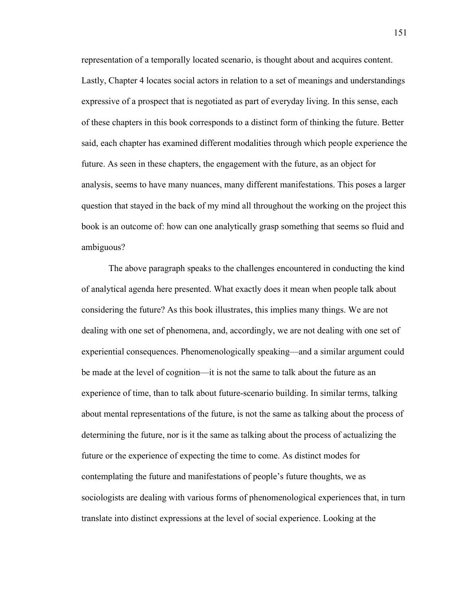representation of a temporally located scenario, is thought about and acquires content. Lastly, Chapter 4 locates social actors in relation to a set of meanings and understandings expressive of a prospect that is negotiated as part of everyday living. In this sense, each of these chapters in this book corresponds to a distinct form of thinking the future. Better said, each chapter has examined different modalities through which people experience the future. As seen in these chapters, the engagement with the future, as an object for analysis, seems to have many nuances, many different manifestations. This poses a larger question that stayed in the back of my mind all throughout the working on the project this book is an outcome of: how can one analytically grasp something that seems so fluid and ambiguous?

The above paragraph speaks to the challenges encountered in conducting the kind of analytical agenda here presented. What exactly does it mean when people talk about considering the future? As this book illustrates, this implies many things. We are not dealing with one set of phenomena, and, accordingly, we are not dealing with one set of experiential consequences. Phenomenologically speaking—and a similar argument could be made at the level of cognition—it is not the same to talk about the future as an experience of time, than to talk about future-scenario building. In similar terms, talking about mental representations of the future, is not the same as talking about the process of determining the future, nor is it the same as talking about the process of actualizing the future or the experience of expecting the time to come. As distinct modes for contemplating the future and manifestations of people's future thoughts, we as sociologists are dealing with various forms of phenomenological experiences that, in turn translate into distinct expressions at the level of social experience. Looking at the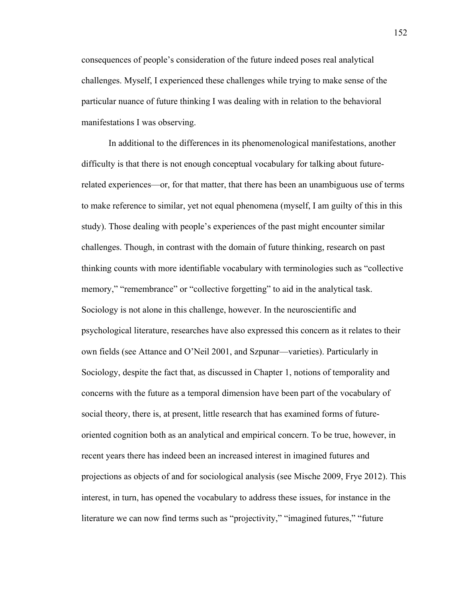consequences of people's consideration of the future indeed poses real analytical challenges. Myself, I experienced these challenges while trying to make sense of the particular nuance of future thinking I was dealing with in relation to the behavioral manifestations I was observing.

In additional to the differences in its phenomenological manifestations, another difficulty is that there is not enough conceptual vocabulary for talking about futurerelated experiences—or, for that matter, that there has been an unambiguous use of terms to make reference to similar, yet not equal phenomena (myself, I am guilty of this in this study). Those dealing with people's experiences of the past might encounter similar challenges. Though, in contrast with the domain of future thinking, research on past thinking counts with more identifiable vocabulary with terminologies such as "collective memory," "remembrance" or "collective forgetting" to aid in the analytical task. Sociology is not alone in this challenge, however. In the neuroscientific and psychological literature, researches have also expressed this concern as it relates to their own fields (see Attance and O'Neil 2001, and Szpunar—varieties). Particularly in Sociology, despite the fact that, as discussed in Chapter 1, notions of temporality and concerns with the future as a temporal dimension have been part of the vocabulary of social theory, there is, at present, little research that has examined forms of futureoriented cognition both as an analytical and empirical concern. To be true, however, in recent years there has indeed been an increased interest in imagined futures and projections as objects of and for sociological analysis (see Mische 2009, Frye 2012). This interest, in turn, has opened the vocabulary to address these issues, for instance in the literature we can now find terms such as "projectivity," "imagined futures," "future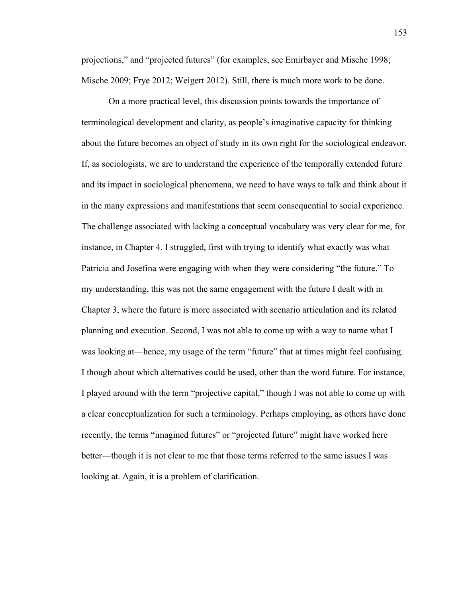projections," and "projected futures" (for examples, see Emirbayer and Mische 1998; Mische 2009; Frye 2012; Weigert 2012). Still, there is much more work to be done.

On a more practical level, this discussion points towards the importance of terminological development and clarity, as people's imaginative capacity for thinking about the future becomes an object of study in its own right for the sociological endeavor. If, as sociologists, we are to understand the experience of the temporally extended future and its impact in sociological phenomena, we need to have ways to talk and think about it in the many expressions and manifestations that seem consequential to social experience. The challenge associated with lacking a conceptual vocabulary was very clear for me, for instance, in Chapter 4. I struggled, first with trying to identify what exactly was what Patricia and Josefina were engaging with when they were considering "the future." To my understanding, this was not the same engagement with the future I dealt with in Chapter 3, where the future is more associated with scenario articulation and its related planning and execution. Second, I was not able to come up with a way to name what I was looking at—hence, my usage of the term "future" that at times might feel confusing. I though about which alternatives could be used, other than the word future. For instance, I played around with the term "projective capital," though I was not able to come up with a clear conceptualization for such a terminology. Perhaps employing, as others have done recently, the terms "imagined futures" or "projected future" might have worked here better—though it is not clear to me that those terms referred to the same issues I was looking at. Again, it is a problem of clarification.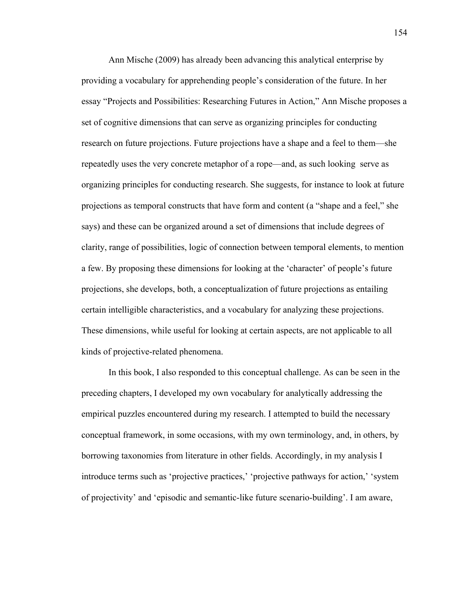Ann Mische (2009) has already been advancing this analytical enterprise by providing a vocabulary for apprehending people's consideration of the future. In her essay "Projects and Possibilities: Researching Futures in Action," Ann Mische proposes a set of cognitive dimensions that can serve as organizing principles for conducting research on future projections. Future projections have a shape and a feel to them—she repeatedly uses the very concrete metaphor of a rope—and, as such looking serve as organizing principles for conducting research. She suggests, for instance to look at future projections as temporal constructs that have form and content (a "shape and a feel," she says) and these can be organized around a set of dimensions that include degrees of clarity, range of possibilities, logic of connection between temporal elements, to mention a few. By proposing these dimensions for looking at the 'character' of people's future projections, she develops, both, a conceptualization of future projections as entailing certain intelligible characteristics, and a vocabulary for analyzing these projections. These dimensions, while useful for looking at certain aspects, are not applicable to all kinds of projective-related phenomena.

In this book, I also responded to this conceptual challenge. As can be seen in the preceding chapters, I developed my own vocabulary for analytically addressing the empirical puzzles encountered during my research. I attempted to build the necessary conceptual framework, in some occasions, with my own terminology, and, in others, by borrowing taxonomies from literature in other fields. Accordingly, in my analysis I introduce terms such as 'projective practices,' 'projective pathways for action,' 'system of projectivity' and 'episodic and semantic-like future scenario-building'. I am aware,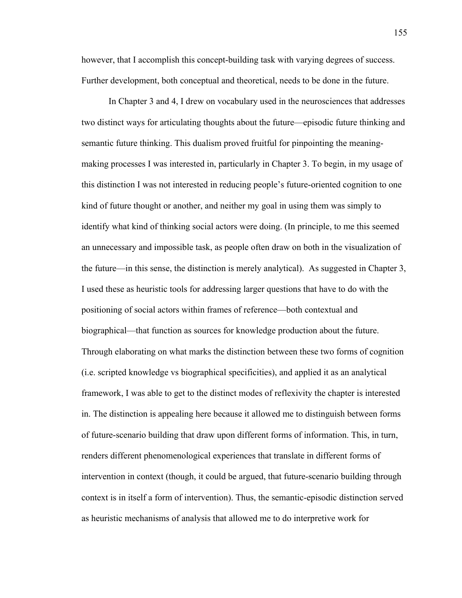however, that I accomplish this concept-building task with varying degrees of success. Further development, both conceptual and theoretical, needs to be done in the future.

In Chapter 3 and 4, I drew on vocabulary used in the neurosciences that addresses two distinct ways for articulating thoughts about the future—episodic future thinking and semantic future thinking. This dualism proved fruitful for pinpointing the meaningmaking processes I was interested in, particularly in Chapter 3. To begin, in my usage of this distinction I was not interested in reducing people's future-oriented cognition to one kind of future thought or another, and neither my goal in using them was simply to identify what kind of thinking social actors were doing. (In principle, to me this seemed an unnecessary and impossible task, as people often draw on both in the visualization of the future—in this sense, the distinction is merely analytical). As suggested in Chapter 3, I used these as heuristic tools for addressing larger questions that have to do with the positioning of social actors within frames of reference—both contextual and biographical—that function as sources for knowledge production about the future. Through elaborating on what marks the distinction between these two forms of cognition (i.e. scripted knowledge vs biographical specificities), and applied it as an analytical framework, I was able to get to the distinct modes of reflexivity the chapter is interested in. The distinction is appealing here because it allowed me to distinguish between forms of future-scenario building that draw upon different forms of information. This, in turn, renders different phenomenological experiences that translate in different forms of intervention in context (though, it could be argued, that future-scenario building through context is in itself a form of intervention). Thus, the semantic-episodic distinction served as heuristic mechanisms of analysis that allowed me to do interpretive work for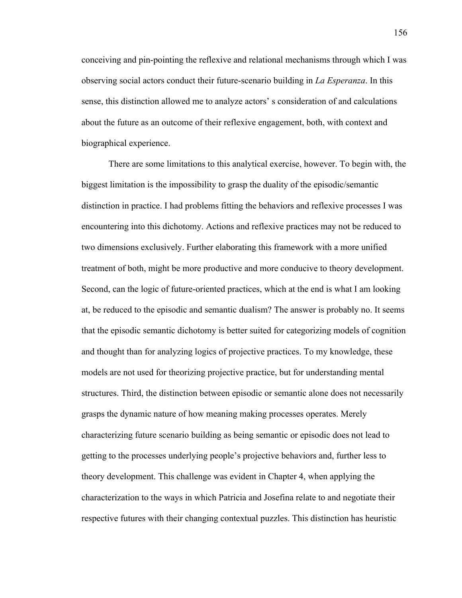conceiving and pin-pointing the reflexive and relational mechanisms through which I was observing social actors conduct their future-scenario building in *La Esperanza*. In this sense, this distinction allowed me to analyze actors' s consideration of and calculations about the future as an outcome of their reflexive engagement, both, with context and biographical experience.

There are some limitations to this analytical exercise, however. To begin with, the biggest limitation is the impossibility to grasp the duality of the episodic/semantic distinction in practice. I had problems fitting the behaviors and reflexive processes I was encountering into this dichotomy. Actions and reflexive practices may not be reduced to two dimensions exclusively. Further elaborating this framework with a more unified treatment of both, might be more productive and more conducive to theory development. Second, can the logic of future-oriented practices, which at the end is what I am looking at, be reduced to the episodic and semantic dualism? The answer is probably no. It seems that the episodic semantic dichotomy is better suited for categorizing models of cognition and thought than for analyzing logics of projective practices. To my knowledge, these models are not used for theorizing projective practice, but for understanding mental structures. Third, the distinction between episodic or semantic alone does not necessarily grasps the dynamic nature of how meaning making processes operates. Merely characterizing future scenario building as being semantic or episodic does not lead to getting to the processes underlying people's projective behaviors and, further less to theory development. This challenge was evident in Chapter 4, when applying the characterization to the ways in which Patricia and Josefina relate to and negotiate their respective futures with their changing contextual puzzles. This distinction has heuristic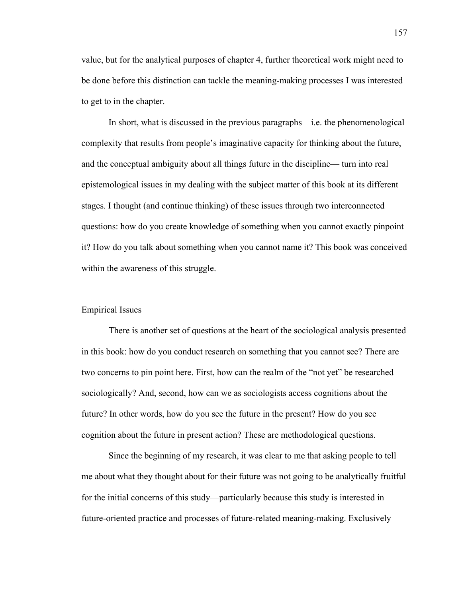value, but for the analytical purposes of chapter 4, further theoretical work might need to be done before this distinction can tackle the meaning-making processes I was interested to get to in the chapter.

In short, what is discussed in the previous paragraphs—i.e. the phenomenological complexity that results from people's imaginative capacity for thinking about the future, and the conceptual ambiguity about all things future in the discipline— turn into real epistemological issues in my dealing with the subject matter of this book at its different stages. I thought (and continue thinking) of these issues through two interconnected questions: how do you create knowledge of something when you cannot exactly pinpoint it? How do you talk about something when you cannot name it? This book was conceived within the awareness of this struggle.

### Empirical Issues

There is another set of questions at the heart of the sociological analysis presented in this book: how do you conduct research on something that you cannot see? There are two concerns to pin point here. First, how can the realm of the "not yet" be researched sociologically? And, second, how can we as sociologists access cognitions about the future? In other words, how do you see the future in the present? How do you see cognition about the future in present action? These are methodological questions.

Since the beginning of my research, it was clear to me that asking people to tell me about what they thought about for their future was not going to be analytically fruitful for the initial concerns of this study—particularly because this study is interested in future-oriented practice and processes of future-related meaning-making. Exclusively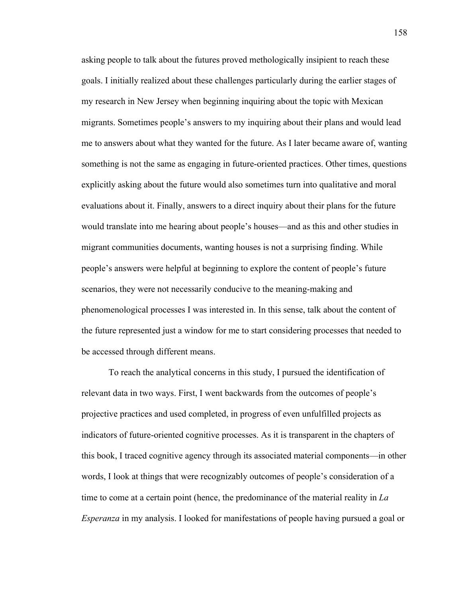asking people to talk about the futures proved methologically insipient to reach these goals. I initially realized about these challenges particularly during the earlier stages of my research in New Jersey when beginning inquiring about the topic with Mexican migrants. Sometimes people's answers to my inquiring about their plans and would lead me to answers about what they wanted for the future. As I later became aware of, wanting something is not the same as engaging in future-oriented practices. Other times, questions explicitly asking about the future would also sometimes turn into qualitative and moral evaluations about it. Finally, answers to a direct inquiry about their plans for the future would translate into me hearing about people's houses—and as this and other studies in migrant communities documents, wanting houses is not a surprising finding. While people's answers were helpful at beginning to explore the content of people's future scenarios, they were not necessarily conducive to the meaning-making and phenomenological processes I was interested in. In this sense, talk about the content of the future represented just a window for me to start considering processes that needed to be accessed through different means.

To reach the analytical concerns in this study, I pursued the identification of relevant data in two ways. First, I went backwards from the outcomes of people's projective practices and used completed, in progress of even unfulfilled projects as indicators of future-oriented cognitive processes. As it is transparent in the chapters of this book, I traced cognitive agency through its associated material components—in other words, I look at things that were recognizably outcomes of people's consideration of a time to come at a certain point (hence, the predominance of the material reality in *La Esperanza* in my analysis. I looked for manifestations of people having pursued a goal or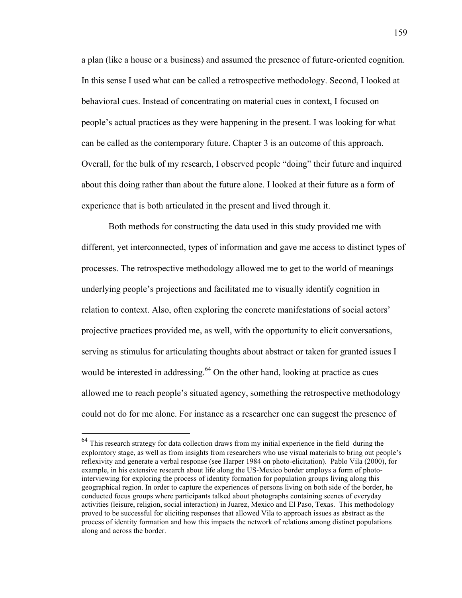a plan (like a house or a business) and assumed the presence of future-oriented cognition. In this sense I used what can be called a retrospective methodology. Second, I looked at behavioral cues. Instead of concentrating on material cues in context, I focused on people's actual practices as they were happening in the present. I was looking for what can be called as the contemporary future. Chapter 3 is an outcome of this approach. Overall, for the bulk of my research, I observed people "doing" their future and inquired about this doing rather than about the future alone. I looked at their future as a form of experience that is both articulated in the present and lived through it.

Both methods for constructing the data used in this study provided me with different, yet interconnected, types of information and gave me access to distinct types of processes. The retrospective methodology allowed me to get to the world of meanings underlying people's projections and facilitated me to visually identify cognition in relation to context. Also, often exploring the concrete manifestations of social actors' projective practices provided me, as well, with the opportunity to elicit conversations, serving as stimulus for articulating thoughts about abstract or taken for granted issues I would be interested in addressing.<sup>64</sup> On the other hand, looking at practice as cues allowed me to reach people's situated agency, something the retrospective methodology could not do for me alone. For instance as a researcher one can suggest the presence of

<sup>&</sup>lt;sup>64</sup> This research strategy for data collection draws from my initial experience in the field during the exploratory stage, as well as from insights from researchers who use visual materials to bring out people's reflexivity and generate a verbal response (see Harper 1984 on photo-elicitation). Pablo Vila (2000), for example, in his extensive research about life along the US-Mexico border employs a form of photointerviewing for exploring the process of identity formation for population groups living along this geographical region. In order to capture the experiences of persons living on both side of the border, he conducted focus groups where participants talked about photographs containing scenes of everyday activities (leisure, religion, social interaction) in Juarez, Mexico and El Paso, Texas. This methodology proved to be successful for eliciting responses that allowed Vila to approach issues as abstract as the process of identity formation and how this impacts the network of relations among distinct populations along and across the border.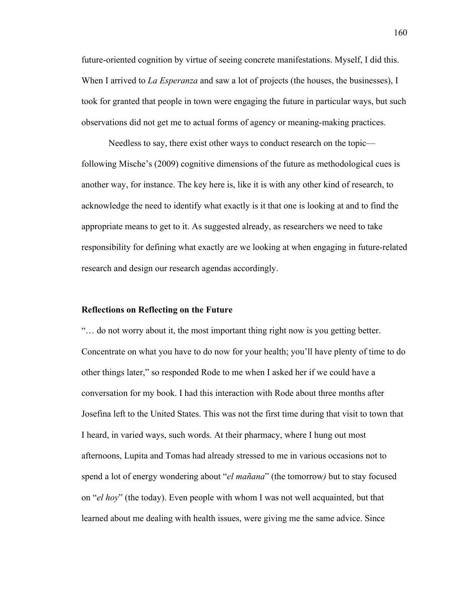future-oriented cognition by virtue of seeing concrete manifestations. Myself, I did this. When I arrived to *La Esperanza* and saw a lot of projects (the houses, the businesses), I took for granted that people in town were engaging the future in particular ways, but such observations did not get me to actual forms of agency or meaning-making practices.

Needless to say, there exist other ways to conduct research on the topic following Mische's (2009) cognitive dimensions of the future as methodological cues is another way, for instance. The key here is, like it is with any other kind of research, to acknowledge the need to identify what exactly is it that one is looking at and to find the appropriate means to get to it. As suggested already, as researchers we need to take responsibility for defining what exactly are we looking at when engaging in future-related research and design our research agendas accordingly.

#### **Reflections on Reflecting on the Future**

"… do not worry about it, the most important thing right now is you getting better. Concentrate on what you have to do now for your health; you'll have plenty of time to do other things later," so responded Rode to me when I asked her if we could have a conversation for my book. I had this interaction with Rode about three months after Josefina left to the United States. This was not the first time during that visit to town that I heard, in varied ways, such words. At their pharmacy, where I hung out most afternoons, Lupita and Tomas had already stressed to me in various occasions not to spend a lot of energy wondering about "*el mañana*" (the tomorrow*)* but to stay focused on "*el hoy*" (the today). Even people with whom I was not well acquainted, but that learned about me dealing with health issues, were giving me the same advice. Since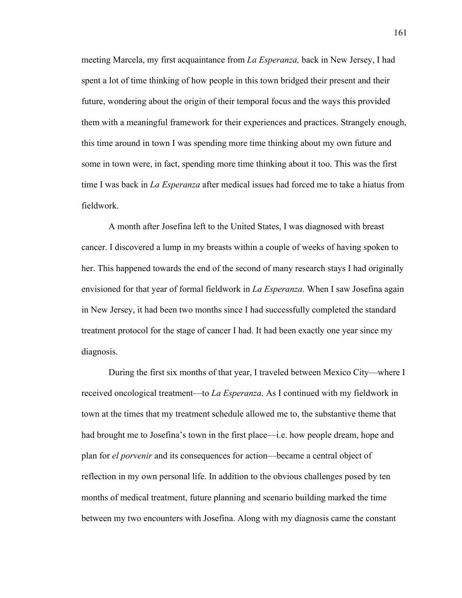meeting Marcela, my first acquaintance from *La Esperanza,* back in New Jersey, I had spent a lot of time thinking of how people in this town bridged their present and their future, wondering about the origin of their temporal focus and the ways this provided them with a meaningful framework for their experiences and practices. Strangely enough, this time around in town I was spending more time thinking about my own future and some in town were, in fact, spending more time thinking about it too. This was the first time I was back in *La Esperanza* after medical issues had forced me to take a hiatus from fieldwork.

A month after Josefina left to the United States, I was diagnosed with breast cancer. I discovered a lump in my breasts within a couple of weeks of having spoken to her. This happened towards the end of the second of many research stays I had originally envisioned for that year of formal fieldwork in *La Esperanza*. When I saw Josefina again in New Jersey, it had been two months since I had successfully completed the standard treatment protocol for the stage of cancer I had. It had been exactly one year since my diagnosis.

During the first six months of that year, I traveled between Mexico City—where I received oncological treatment—to *La Esperanza*. As I continued with my fieldwork in town at the times that my treatment schedule allowed me to, the substantive theme that had brought me to Josefina's town in the first place—i.e. how people dream, hope and plan for *el porvenir* and its consequences for action—became a central object of reflection in my own personal life. In addition to the obvious challenges posed by ten months of medical treatment, future planning and scenario building marked the time between my two encounters with Josefina. Along with my diagnosis came the constant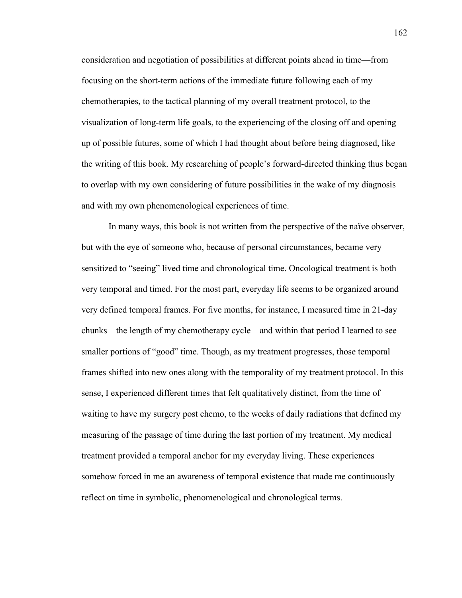consideration and negotiation of possibilities at different points ahead in time—from focusing on the short-term actions of the immediate future following each of my chemotherapies, to the tactical planning of my overall treatment protocol, to the visualization of long-term life goals, to the experiencing of the closing off and opening up of possible futures, some of which I had thought about before being diagnosed, like the writing of this book. My researching of people's forward-directed thinking thus began to overlap with my own considering of future possibilities in the wake of my diagnosis and with my own phenomenological experiences of time.

In many ways, this book is not written from the perspective of the naïve observer, but with the eye of someone who, because of personal circumstances, became very sensitized to "seeing" lived time and chronological time. Oncological treatment is both very temporal and timed. For the most part, everyday life seems to be organized around very defined temporal frames. For five months, for instance, I measured time in 21-day chunks—the length of my chemotherapy cycle—and within that period I learned to see smaller portions of "good" time. Though, as my treatment progresses, those temporal frames shifted into new ones along with the temporality of my treatment protocol. In this sense, I experienced different times that felt qualitatively distinct, from the time of waiting to have my surgery post chemo, to the weeks of daily radiations that defined my measuring of the passage of time during the last portion of my treatment. My medical treatment provided a temporal anchor for my everyday living. These experiences somehow forced in me an awareness of temporal existence that made me continuously reflect on time in symbolic, phenomenological and chronological terms.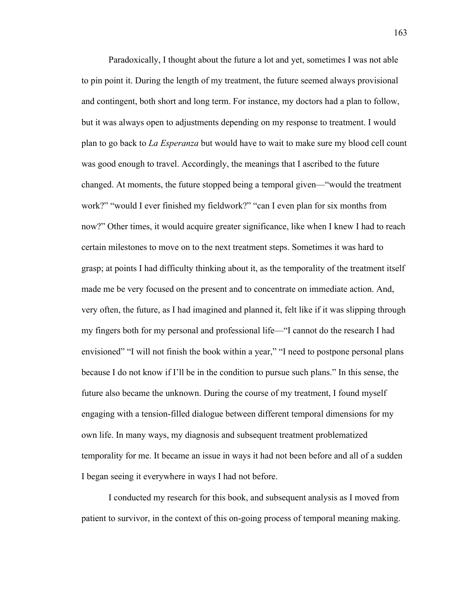Paradoxically, I thought about the future a lot and yet, sometimes I was not able to pin point it. During the length of my treatment, the future seemed always provisional and contingent, both short and long term. For instance, my doctors had a plan to follow, but it was always open to adjustments depending on my response to treatment. I would plan to go back to *La Esperanza* but would have to wait to make sure my blood cell count was good enough to travel. Accordingly, the meanings that I ascribed to the future changed. At moments, the future stopped being a temporal given—"would the treatment work?" "would I ever finished my fieldwork?" "can I even plan for six months from now?" Other times, it would acquire greater significance, like when I knew I had to reach certain milestones to move on to the next treatment steps. Sometimes it was hard to grasp; at points I had difficulty thinking about it, as the temporality of the treatment itself made me be very focused on the present and to concentrate on immediate action. And, very often, the future, as I had imagined and planned it, felt like if it was slipping through my fingers both for my personal and professional life—"I cannot do the research I had envisioned" "I will not finish the book within a year," "I need to postpone personal plans because I do not know if I'll be in the condition to pursue such plans." In this sense, the future also became the unknown. During the course of my treatment, I found myself engaging with a tension-filled dialogue between different temporal dimensions for my own life. In many ways, my diagnosis and subsequent treatment problematized temporality for me. It became an issue in ways it had not been before and all of a sudden I began seeing it everywhere in ways I had not before.

I conducted my research for this book, and subsequent analysis as I moved from patient to survivor, in the context of this on-going process of temporal meaning making.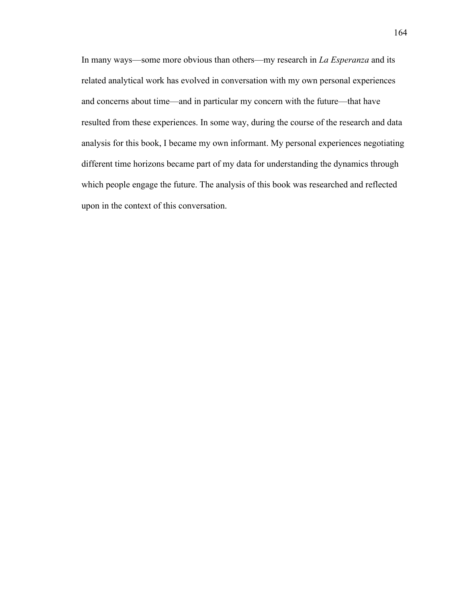In many ways—some more obvious than others—my research in *La Esperanza* and its related analytical work has evolved in conversation with my own personal experiences and concerns about time—and in particular my concern with the future—that have resulted from these experiences. In some way, during the course of the research and data analysis for this book, I became my own informant. My personal experiences negotiating different time horizons became part of my data for understanding the dynamics through which people engage the future. The analysis of this book was researched and reflected upon in the context of this conversation.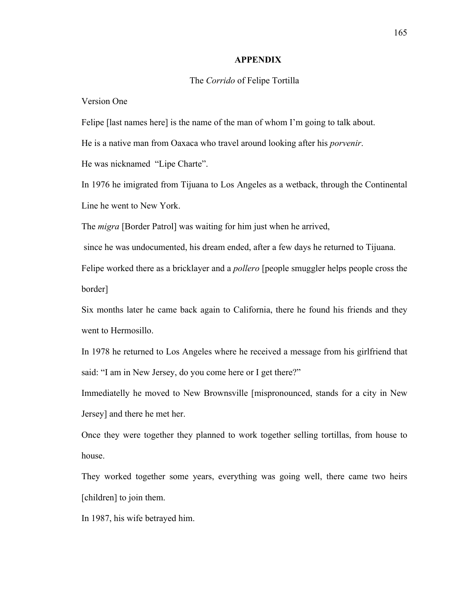### **APPENDIX**

### The *Corrido* of Felipe Tortilla

Version One

Felipe [last names here] is the name of the man of whom I'm going to talk about.

He is a native man from Oaxaca who travel around looking after his *porvenir*.

He was nicknamed "Lipe Charte".

In 1976 he imigrated from Tijuana to Los Angeles as a wetback, through the Continental Line he went to New York.

The *migra* [Border Patrol] was waiting for him just when he arrived,

since he was undocumented, his dream ended, after a few days he returned to Tijuana.

Felipe worked there as a bricklayer and a *pollero* [people smuggler helps people cross the border]

Six months later he came back again to California, there he found his friends and they went to Hermosillo.

In 1978 he returned to Los Angeles where he received a message from his girlfriend that said: "I am in New Jersey, do you come here or I get there?"

Immediatelly he moved to New Brownsville [mispronounced, stands for a city in New Jersey] and there he met her.

Once they were together they planned to work together selling tortillas, from house to house.

They worked together some years, everything was going well, there came two heirs [children] to join them.

In 1987, his wife betrayed him.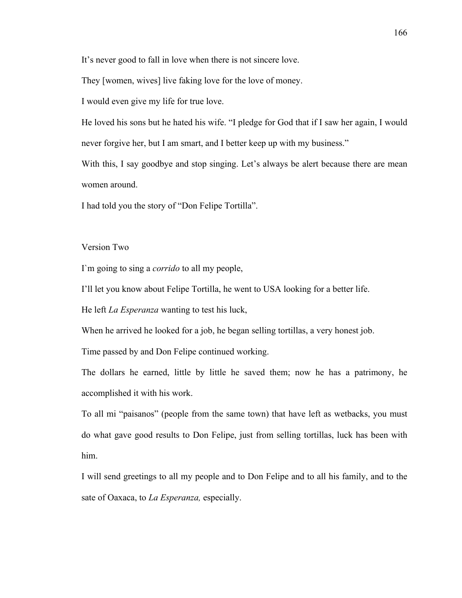It's never good to fall in love when there is not sincere love.

They [women, wives] live faking love for the love of money.

I would even give my life for true love.

He loved his sons but he hated his wife. "I pledge for God that if I saw her again, I would never forgive her, but I am smart, and I better keep up with my business."

With this, I say goodbye and stop singing. Let's always be alert because there are mean women around.

I had told you the story of "Don Felipe Tortilla".

## Version Two

I`m going to sing a *corrido* to all my people,

I'll let you know about Felipe Tortilla, he went to USA looking for a better life.

He left *La Esperanza* wanting to test his luck,

When he arrived he looked for a job, he began selling tortillas, a very honest job.

Time passed by and Don Felipe continued working.

The dollars he earned, little by little he saved them; now he has a patrimony, he accomplished it with his work.

To all mi "paisanos" (people from the same town) that have left as wetbacks, you must do what gave good results to Don Felipe, just from selling tortillas, luck has been with him.

I will send greetings to all my people and to Don Felipe and to all his family, and to the sate of Oaxaca, to *La Esperanza,* especially.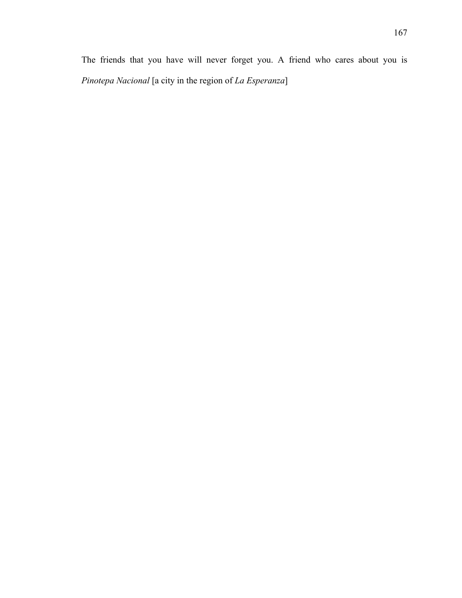The friends that you have will never forget you. A friend who cares about you is *Pinotepa Nacional* [a city in the region of *La Esperanza*]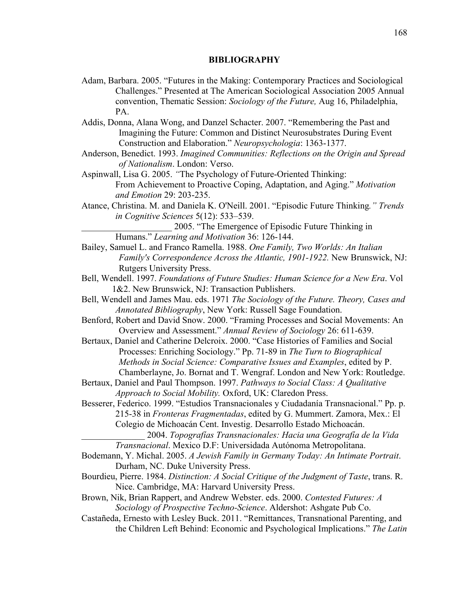## **BIBLIOGRAPHY**

- Adam, Barbara. 2005. "Futures in the Making: Contemporary Practices and Sociological Challenges." Presented at The American Sociological Association 2005 Annual convention, Thematic Session: *Sociology of the Future,* Aug 16, Philadelphia, PA.
- Addis, Donna, Alana Wong, and Danzel Schacter. 2007. "Remembering the Past and Imagining the Future: Common and Distinct Neurosubstrates During Event Construction and Elaboration." *Neuropsychologia*: 1363-1377.
- Anderson, Benedict. 1993. *Imagined Communities: Reflections on the Origin and Spread of Nationalism*. London: Verso.
- Aspinwall, Lisa G. 2005. *"*The Psychology of Future-Oriented Thinking: From Achievement to Proactive Coping, Adaptation, and Aging." *Motivation and Emotion* 29: 203-235.
- Atance, Christina. M. and Daniela K. O'Neill. 2001. "Episodic Future Thinking*." Trends in Cognitive Sciences* 5(12): 533–539.
	- \_\_\_\_\_\_\_\_\_\_\_\_\_\_\_\_\_\_\_\_ 2005. "The Emergence of Episodic Future Thinking in Humans." *Learning and Motivation* 36: 126-144.
- Bailey, Samuel L. and Franco Ramella. 1988. *One Family, Two Worlds: An Italian Family's Correspondence Across the Atlantic, 1901-1922.* New Brunswick, NJ: Rutgers University Press.
- Bell, Wendell. 1997. *Foundations of Future Studies: Human Science for a New Era*. Vol 1&2. New Brunswick, NJ: Transaction Publishers.
- Bell, Wendell and James Mau. eds. 1971 *The Sociology of the Future. Theory, Cases and Annotated Bibliography*, New York: Russell Sage Foundation.
- Benford, Robert and David Snow. 2000. "Framing Processes and Social Movements: An Overview and Assessment." *Annual Review of Sociology* 26: 611-639.
- Bertaux, Daniel and Catherine Delcroix. 2000. "Case Histories of Families and Social Processes: Enriching Sociology." Pp. 71-89 in *The Turn to Biographical Methods in Social Science: Comparative Issues and Examples*, edited by P. Chamberlayne, Jo. Bornat and T. Wengraf. London and New York: Routledge.
- Bertaux, Daniel and Paul Thompson. 1997. *Pathways to Social Class: A Qualitative Approach to Social Mobility.* Oxford, UK: Claredon Press.
- Besserer, Federico. 1999. "Estudios Transnacionales y Ciudadanía Transnacional." Pp. p. 215-38 in *Fronteras Fragmentadas*, edited by G. Mummert. Zamora, Mex.: El Colegio de Michoacán Cent. Investig. Desarrollo Estado Michoacán.
	- \_\_\_\_\_\_\_\_\_\_\_\_\_\_ 2004. *Topografías Transnacionales: Hacia una Geografía de la Vida Transnacional*. Mexico D.F: Universidada Autónoma Metropolitana.
- Bodemann, Y. Michal. 2005. *A Jewish Family in Germany Today: An Intimate Portrait*. Durham, NC. Duke University Press.
- Bourdieu, Pierre. 1984. *Distinction: A Social Critique of the Judgment of Taste*, trans. R. Nice. Cambridge, MA: Harvard University Press.
- Brown, Nik, Brian Rappert, and Andrew Webster. eds. 2000. *Contested Futures: A Sociology of Prospective Techno-Science*. Aldershot: Ashgate Pub Co.
- Castañeda, Ernesto with Lesley Buck. 2011. "Remittances, Transnational Parenting, and the Children Left Behind: Economic and Psychological Implications." *The Latin*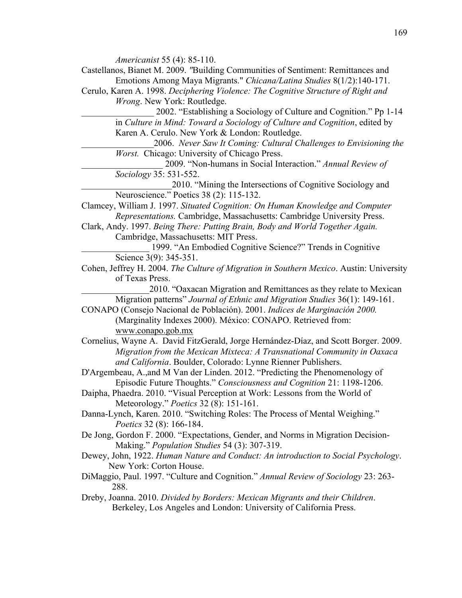*Americanist* 55 (4): 85-110.

- Castellanos, Bianet M. 2009. *"*Building Communities of Sentiment: Remittances and Emotions Among Maya Migrants." *Chicana/Latina Studies* 8(1/2):140-171.
- Cerulo, Karen A. 1998. *Deciphering Violence: The Cognitive Structure of Right and Wrong*. New York: Routledge.

\_\_\_\_\_\_\_\_\_\_\_\_\_\_\_\_ 2002. "Establishing a Sociology of Culture and Cognition." Pp 1-14 in *Culture in Mind: Toward a Sociology of Culture and Cognition*, edited by Karen A. Cerulo. New York & London: Routledge.

\_\_\_\_\_\_\_\_\_\_\_\_\_\_\_\_2006. *Never Saw It Coming: Cultural Challenges to Envisioning the Worst.* Chicago: University of Chicago Press.

\_\_\_\_\_\_\_\_\_\_\_\_\_\_\_\_\_\_ 2009. "Non-humans in Social Interaction." *Annual Review of Sociology* 35: 531-552.

\_\_\_\_\_\_\_\_\_\_\_\_\_\_\_\_\_\_\_\_2010. "Mining the Intersections of Cognitive Sociology and Neuroscience." Poetics 38 (2): 115-132.

- Clamcey, William J. 1997. *Situated Cognition: On Human Knowledge and Computer Representations.* Cambridge, Massachusetts: Cambridge University Press.
- Clark, Andy. 1997. *Being There: Putting Brain, Body and World Together Again.*  Cambridge, Massachusetts: MIT Press.

\_\_\_\_\_\_\_\_\_\_\_\_\_\_\_ 1999. "An Embodied Cognitive Science?" Trends in Cognitive Science 3(9): 345-351.

Cohen, Jeffrey H. 2004. *The Culture of Migration in Southern Mexico*. Austin: University of Texas Press.

\_\_\_\_\_\_\_\_\_\_\_\_\_\_\_2010. "Oaxacan Migration and Remittances as they relate to Mexican Migration patterns" *Journal of Ethnic and Migration Studies* 36(1): 149-161.

CONAPO (Consejo Nacional de Población). 2001. *Indices de Marginación 2000.*  (Marginality Indexes 2000). México: CONAPO. Retrieved from: www.conapo.gob.mx

- Cornelius, Wayne A. David FitzGerald, Jorge Hernández-Díaz, and Scott Borger. 2009. *Migration from the Mexican Mixteca: A Transnational Community in Oaxaca and California*. Boulder, Colorado: Lynne Rienner Publishers.
- D'Argembeau, A.,and M Van der Linden. 2012. "Predicting the Phenomenology of Episodic Future Thoughts." *Consciousness and Cognition* 21: 1198-1206.

Daipha, Phaedra. 2010. "Visual Perception at Work: Lessons from the World of Meteorology." *Poetics* 32 (8): 151-161.

- Danna-Lynch, Karen. 2010. "Switching Roles: The Process of Mental Weighing." *Poetics* 32 (8): 166-184.
- De Jong, Gordon F. 2000. "Expectations, Gender, and Norms in Migration Decision-Making." *Population Studies* 54 (3): 307-319.
- Dewey, John, 1922. *Human Nature and Conduct: An introduction to Social Psychology*. New York: Corton House.
- DiMaggio, Paul. 1997. "Culture and Cognition." *Annual Review of Sociology* 23: 263- 288.
- Dreby, Joanna. 2010. *Divided by Borders: Mexican Migrants and their Children*. Berkeley, Los Angeles and London: University of California Press.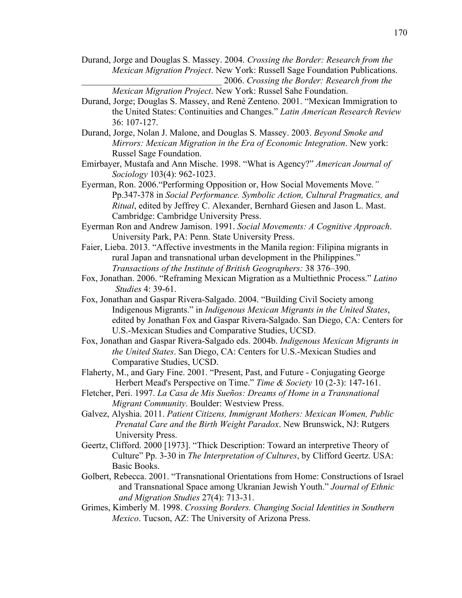Durand, Jorge and Douglas S. Massey. 2004. *Crossing the Border: Research from the Mexican Migration Project*. New York: Russell Sage Foundation Publications. \_\_\_\_\_\_\_\_\_\_\_\_\_\_\_\_\_\_\_\_\_\_\_\_\_\_\_\_\_\_\_ 2006. *Crossing the Border: Research from the* 

*Mexican Migration Project*. New York: Russel Sahe Foundation.

- Durand, Jorge; Douglas S. Massey, and René Zenteno. 2001. "Mexican Immigration to the United States: Continuities and Changes." *Latin American Research Review* 36: 107-127.
- Durand, Jorge, Nolan J. Malone, and Douglas S. Massey. 2003. *Beyond Smoke and Mirrors: Mexican Migration in the Era of Economic Integration*. New york: Russel Sage Foundation.
- Emirbayer, Mustafa and Ann Mische. 1998. "What is Agency?" *American Journal of Sociology* 103(4): 962-1023.
- Eyerman, Ron. 2006."Performing Opposition or, How Social Movements Move*."*  Pp.347-378 in *Social Performance. Symbolic Action, Cultural Pragmatics, and Ritual*, edited by Jeffrey C. Alexander, Bernhard Giesen and Jason L. Mast. Cambridge: Cambridge University Press.
- Eyerman Ron and Andrew Jamison. 1991. *Social Movements: A Cognitive Approach*. University Park, PA: Penn. State University Press.
- Faier, Lieba. 2013. "Affective investments in the Manila region: Filipina migrants in rural Japan and transnational urban development in the Philippines." *Transactions of the Institute of British Geographers:* 38 376–390.
- Fox, Jonathan. 2006. "Reframing Mexican Migration as a Multiethnic Process." *Latino Studies* 4: 39-61.
- Fox, Jonathan and Gaspar Rivera-Salgado. 2004. "Building Civil Society among Indigenous Migrants." in *Indigenous Mexican Migrants in the United States*, edited by Jonathan Fox and Gaspar Rivera-Salgado. San Diego, CA: Centers for U.S.-Mexican Studies and Comparative Studies, UCSD.
- Fox, Jonathan and Gaspar Rivera-Salgado eds. 2004b. *Indigenous Mexican Migrants in the United States*. San Diego, CA: Centers for U.S.-Mexican Studies and Comparative Studies, UCSD.
- Flaherty, M., and Gary Fine. 2001. "Present, Past, and Future Conjugating George Herbert Mead's Perspective on Time." *Time & Society* 10 (2-3): 147-161.
- Fletcher, Peri. 1997. *La Casa de Mis Sueños: Dreams of Home in a Transnational Migrant Community*. Boulder: Westview Press.
- Galvez, Alyshia. 2011. *Patient Citizens, Immigrant Mothers: Mexican Women, Public Prenatal Care and the Birth Weight Paradox*. New Brunswick, NJ: Rutgers University Press.
- Geertz, Clifford. 2000 [1973]. "Thick Description: Toward an interpretive Theory of Culture" Pp. 3-30 in *The Interpretation of Cultures*, by Clifford Geertz. USA: Basic Books.
- Golbert, Rebecca. 2001. "Transnational Orientations from Home: Constructions of Israel and Transnational Space among Ukranian Jewish Youth." *Journal of Ethnic and Migration Studies* 27(4): 713-31.
- Grimes, Kimberly M. 1998. *Crossing Borders. Changing Social Identities in Southern Mexico*. Tucson, AZ: The University of Arizona Press.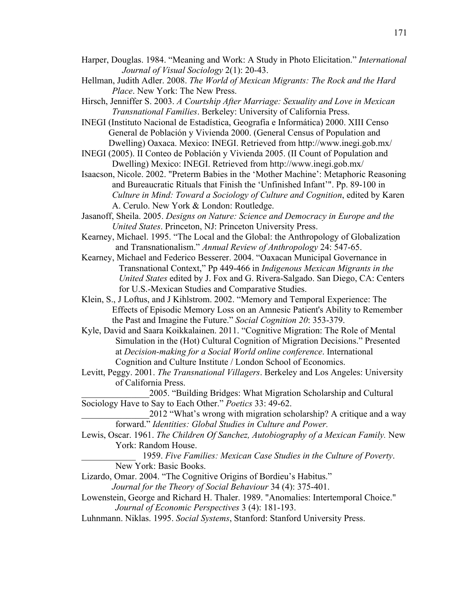- Harper, Douglas. 1984. "Meaning and Work: A Study in Photo Elicitation." *International Journal of Visual Sociology* 2(1): 20-43.
- Hellman, Judith Adler. 2008. *The World of Mexican Migrants: The Rock and the Hard Place*. New York: The New Press.
- Hirsch, Jenniffer S. 2003. *A Courtship After Marriage: Sexuality and Love in Mexican Transnational Families*. Berkeley: University of California Press.
- INEGI (Instituto Nacional de Estadística, Geografía e Informática) 2000. XIII Censo General de Población y Vivienda 2000. (General Census of Population and Dwelling) Oaxaca. Mexico: INEGI. Retrieved from http://www.inegi.gob.mx/
- INEGI (2005). II Conteo de Población y Vivienda 2005. (II Count of Population and Dwelling) Mexico: INEGI. Retrieved from http://www.inegi.gob.mx/
- Isaacson, Nicole. 2002. "Preterm Babies in the 'Mother Machine': Metaphoric Reasoning and Bureaucratic Rituals that Finish the 'Unfinished Infant'". Pp. 89-100 in *Culture in Mind: Toward a Sociology of Culture and Cognition*, edited by Karen A. Cerulo. New York & London: Routledge.
- Jasanoff, Sheila. 2005. *Designs on Nature: Science and Democracy in Europe and the United States*. Princeton, NJ: Princeton University Press.
- Kearney, Michael. 1995. "The Local and the Global: the Anthropology of Globalization and Transnationalism." *Annual Review of Anthropology* 24: 547-65.
- Kearney, Michael and Federico Besserer. 2004. "Oaxacan Municipal Governance in Transnational Context," Pp 449-466 in *Indigenous Mexican Migrants in the United States* edited by J. Fox and G. Rivera-Salgado. San Diego, CA: Centers for U.S.-Mexican Studies and Comparative Studies.
- Klein, S., J Loftus, and J Kihlstrom. 2002. "Memory and Temporal Experience: The Effects of Episodic Memory Loss on an Amnesic Patient's Ability to Remember the Past and Imagine the Future." *Social Cognition 20*: 353-379.
- Kyle, David and Saara Koikkalainen. 2011. "Cognitive Migration: The Role of Mental Simulation in the (Hot) Cultural Cognition of Migration Decisions." Presented at *Decision-making for a Social World online conference*. International Cognition and Culture Institute / London School of Economics.
- Levitt, Peggy. 2001. *The Transnational Villagers*. Berkeley and Los Angeles: University of California Press.
- \_\_\_\_\_\_\_\_\_\_\_\_\_\_\_2005. "Building Bridges: What Migration Scholarship and Cultural Sociology Have to Say to Each Other." *Poetics* 33: 49-62.
	- \_\_\_\_\_\_\_\_\_\_\_\_\_\_\_2012 "What's wrong with migration scholarship? A critique and a way forward." *Identities: Global Studies in Culture and Power.*
- Lewis, Oscar. 1961. *The Children Of Sanchez, Autobiography of a Mexican Family.* New York: Random House.
	- \_\_\_\_\_\_\_\_\_\_\_\_ 1959. *Five Families: Mexican Case Studies in the Culture of Poverty*. New York: Basic Books.
- Lizardo, Omar. 2004. "The Cognitive Origins of Bordieu's Habitus."
	- *Journal for the Theory of Social Behaviour* 34 (4): 375-401.
- Lowenstein, George and Richard H. Thaler. 1989. "Anomalies: Intertemporal Choice." *Journal of Economic Perspectives* 3 (4): 181-193.
- Luhnmann. Niklas. 1995. *Social Systems*, Stanford: Stanford University Press.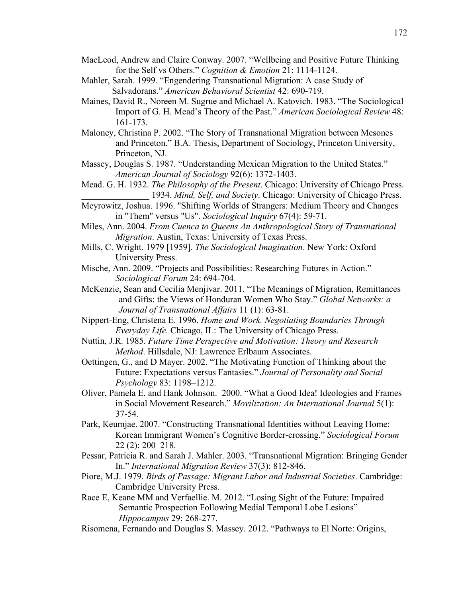- MacLeod, Andrew and Claire Conway. 2007. "Wellbeing and Positive Future Thinking for the Self vs Others." *Cognition & Emotion* 21: 1114-1124.
- Mahler, Sarah. 1999. "Engendering Transnational Migration: A case Study of Salvadorans." *American Behavioral Scientist* 42: 690-719.
- Maines, David R., Noreen M. Sugrue and Michael A. Katovich. 1983. "The Sociological Import of G. H. Mead's Theory of the Past." *American Sociological Review* 48: 161-173.
- Maloney, Christina P. 2002. "The Story of Transnational Migration between Mesones and Princeton." B.A. Thesis, Department of Sociology, Princeton University, Princeton, NJ.
- Massey, Douglas S. 1987. "Understanding Mexican Migration to the United States." *American Journal of Sociology* 92(6): 1372-1403.
- Mead. G. H. 1932. *The Philosophy of the Present*. Chicago: University of Chicago Press. 1934. *Mind, Self, and Society*. Chicago: University of Chicago Press.
- Meyrowitz, Joshua. 1996. "Shifting Worlds of Strangers: Medium Theory and Changes in "Them" versus "Us". *Sociological Inquiry* 67(4): 59-71.
- Miles, Ann. 2004. *From Cuenca to Queens An Anthropological Story of Transnational Migration*. Austin, Texas: University of Texas Press.
- Mills, C. Wright. 1979 [1959]. *The Sociological Imagination*. New York: Oxford University Press.
- Mische, Ann. 2009. "Projects and Possibilities: Researching Futures in Action." *Sociological Forum* 24: 694-704.
- McKenzie, Sean and Cecilia Menjivar. 2011. "The Meanings of Migration, Remittances and Gifts: the Views of Honduran Women Who Stay." *Global Networks: a Journal of Transnational Affairs* 11 (1): 63-81.
- Nippert-Eng, Christena E. 1996. *Home and Work. Negotiating Boundaries Through Everyday Life.* Chicago, IL: The University of Chicago Press.
- Nuttin, J.R. 1985. *Future Time Perspective and Motivation: Theory and Research Method*. Hillsdale, NJ: Lawrence Erlbaum Associates.
- Oettingen, G., and D Mayer. 2002. "The Motivating Function of Thinking about the Future: Expectations versus Fantasies." *Journal of Personality and Social Psychology* 83: 1198–1212.
- Oliver, Pamela E. and Hank Johnson. 2000. "What a Good Idea! Ideologies and Frames in Social Movement Research." *Movilization: An International Journal* 5(1): 37-54.
- Park, Keumjae. 2007. "Constructing Transnational Identities without Leaving Home: Korean Immigrant Women's Cognitive Border-crossing." *Sociological Forum*  22 (2): 200–218.
- Pessar, Patricia R. and Sarah J. Mahler. 2003. "Transnational Migration: Bringing Gender In." *International Migration Review* 37(3): 812-846.
- Piore, M.J. 1979. *Birds of Passage: Migrant Labor and Industrial Societies*. Cambridge: Cambridge University Press.
- Race E, Keane MM and Verfaellie. M. 2012. "Losing Sight of the Future: Impaired Semantic Prospection Following Medial Temporal Lobe Lesions" *Hippocampus* 29: 268-277.
- Risomena, Fernando and Douglas S. Massey. 2012. "Pathways to El Norte: Origins,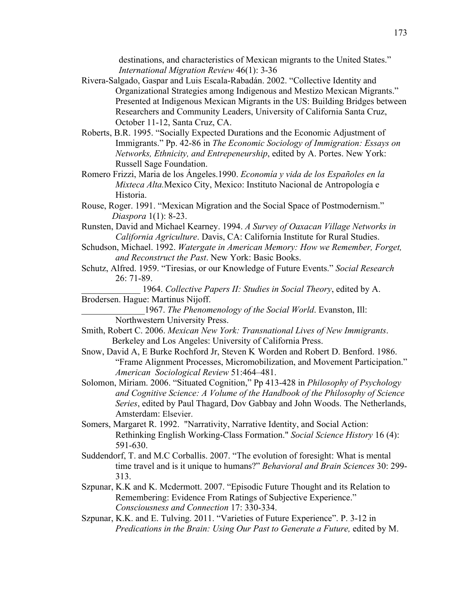destinations, and characteristics of Mexican migrants to the United States." *International Migration Review* 46(1): 3-36

- Rivera-Salgado, Gaspar and Luis Escala-Rabadán. 2002. "Collective Identity and Organizational Strategies among Indigenous and Mestizo Mexican Migrants." Presented at Indigenous Mexican Migrants in the US: Building Bridges between Researchers and Community Leaders, University of California Santa Cruz, October 11-12, Santa Cruz, CA.
- Roberts, B.R. 1995. "Socially Expected Durations and the Economic Adjustment of Immigrants." Pp. 42-86 in *The Economic Sociology of Immigration: Essays on Networks, Ethnicity, and Entrepeneurship*, edited by A. Portes. New York: Russell Sage Foundation.
- Romero Frizzi, Maria de los Ángeles.1990. *Economía y vida de los Españoles en la Mixteca Alta.*Mexico City, Mexico: Instituto Nacional de Antropología e Historia.
- Rouse, Roger. 1991. "Mexican Migration and the Social Space of Postmodernism." *Diaspora* 1(1): 8-23.
- Runsten, David and Michael Kearney. 1994. *A Survey of Oaxacan Village Networks in California Agriculture*. Davis, CA: California Institute for Rural Studies.
- Schudson, Michael. 1992. *Watergate in American Memory: How we Remember, Forget, and Reconstruct the Past*. New York: Basic Books.
- Schutz, Alfred. 1959. "Tiresias, or our Knowledge of Future Events." *Social Research* 26: 71-89.
- \_\_\_\_\_\_\_\_\_\_\_\_\_ 1964. *Collective Papers II: Studies in Social Theory*, edited by A. Brodersen. Hague: Martinus Nijoff.
- \_\_\_\_\_\_\_\_\_\_\_\_\_\_1967. *The Phenomenology of the Social World*. Evanston, Ill: Northwestern University Press.
- Smith, Robert C. 2006. *Mexican New York: Transnational Lives of New Immigrants*. Berkeley and Los Angeles: University of California Press.
- Snow, David A, E Burke Rochford Jr, Steven K Worden and Robert D. Benford. 1986. "Frame Alignment Processes, Micromobilization, and Movement Participation." *American Sociological Review* 51:464–481.
- Solomon, Miriam. 2006. "Situated Cognition," Pp 413-428 in *Philosophy of Psychology and Cognitive Science: A Volume of the Handbook of the Philosophy of Science Series*, edited by Paul Thagard, Dov Gabbay and John Woods. The Netherlands, Amsterdam: Elsevier.
- Somers, Margaret R. 1992. "Narrativity, Narrative Identity, and Social Action: Rethinking English Working-Class Formation." *Social Science History* 16 (4): 591-630.
- Suddendorf, T. and M.C Corballis. 2007. "The evolution of foresight: What is mental time travel and is it unique to humans?" *Behavioral and Brain Sciences* 30: 299- 313.
- Szpunar, K.K and K. Mcdermott. 2007. "Episodic Future Thought and its Relation to Remembering: Evidence From Ratings of Subjective Experience." *Consciousness and Connection* 17: 330-334.
- Szpunar, K.K. and E. Tulving. 2011. "Varieties of Future Experience". P. 3-12 in *Predications in the Brain: Using Our Past to Generate a Future,* edited by M.